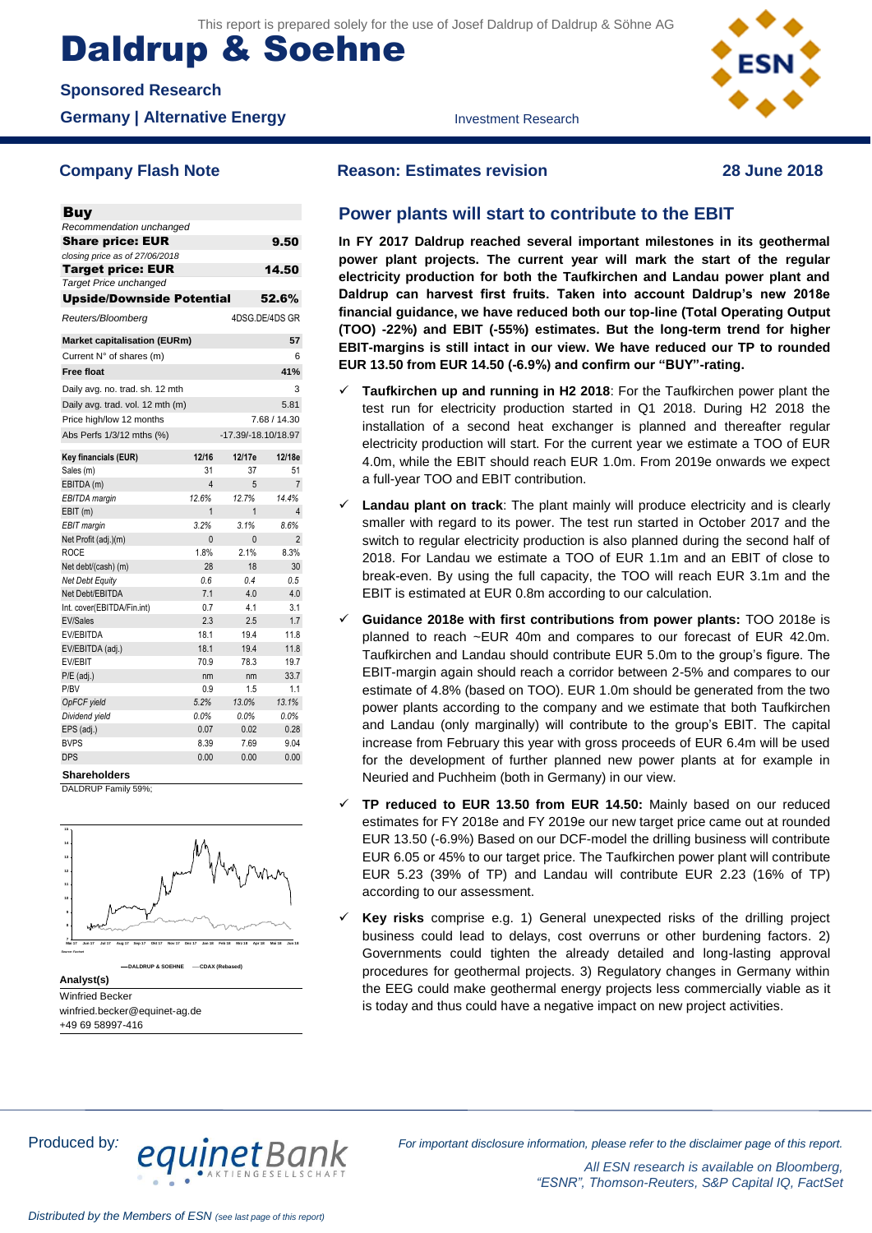**Sponsored Research**

**Germany | Alternative Energy Investment Research** 



| <b>Buy</b>                          |                |                     |                |
|-------------------------------------|----------------|---------------------|----------------|
| Recommendation unchanged            |                |                     |                |
| <b>Share price: EUR</b>             |                |                     | 9.50           |
| closing price as of 27/06/2018      |                |                     |                |
| <b>Target price: EUR</b>            |                |                     | 14.50          |
| Target Price unchanged              |                |                     |                |
| <b>Upside/Downside Potential</b>    |                |                     | 52.6%          |
| Reuters/Bloomberg                   |                |                     | 4DSG.DE/4DS GR |
| <b>Market capitalisation (EURm)</b> |                |                     | 57             |
| Current N° of shares (m)            |                |                     | 6              |
| <b>Free float</b>                   |                |                     | 41%            |
| Daily avg. no. trad. sh. 12 mth     |                |                     | 3              |
| Daily avg. trad. vol. 12 mth (m)    |                |                     | 5.81           |
| Price high/low 12 months            |                |                     | 7.68 / 14.30   |
| Abs Perfs 1/3/12 mths (%)           |                | -17.39/-18.10/18.97 |                |
| Key financials (EUR)                | 12/16          | 12/17e              | 12/18e         |
| Sales (m)                           | 31             | 37                  | 51             |
| EBITDA (m)                          | $\overline{4}$ | 5                   | 7              |
| EBITDA margin                       | 12.6%          | 12.7%               | 14.4%          |
| EBIT(m)                             | $\overline{1}$ | $\overline{1}$      | 4              |
| <b>EBIT</b> margin                  | 3.2%           | 3.1%                | 8.6%           |
| Net Profit (adj.)(m)                | $\mathbf{0}$   | 0                   | $\overline{2}$ |
| <b>ROCE</b>                         | 1.8%           | 2.1%                | 8.3%           |
| Net debt/(cash) (m)                 | 28             | 18                  | 30             |
| Net Debt Equity                     | 0.6            | 0.4                 | 0.5            |
| Net Debt/EBITDA                     | 7.1            | 4.0                 | 4.0            |
| Int. cover(EBITDA/Fin.int)          | 0.7            | 4.1                 | 3.1            |
| <b>EV/Sales</b>                     | 2.3            | 2.5                 | 1.7            |
| EV/EBITDA                           | 18.1           | 19.4                | 11.8           |
| EV/EBITDA (adj.)                    | 18.1           | 19.4                | 11.8           |
| <b>EV/EBIT</b>                      | 70.9           | 78.3                | 19.7           |
| $P/E$ (adj.)                        | nm             | nm                  | 33.7           |
| P/BV                                | 0.9            | 1.5                 | 1.1            |
| OpFCF yield                         | 5.2%           | 13.0%               | 13.1%          |
| Dividend yield                      | 0.0%           | 0.0%                | 0.0%           |
| EPS (adj.)                          | 0.07           | 0.02                | 0.28           |
| <b>BVPS</b>                         | 8.39           | 7.69                | 9.04           |
| DPS                                 | 0.00           | 0.00                | 0.00           |

**Shareholders**

DALDRUP Family 59%



**Analyst(s)**

Winfried Becker winfried.becker@equinet-ag.de +49 69 58997-416

### **Company Flash Note Reason: Estimates revision 28 June 2018**

## **Power plants will start to contribute to the EBIT**

**In FY 2017 Daldrup reached several important milestones in its geothermal power plant projects. The current year will mark the start of the regular electricity production for both the Taufkirchen and Landau power plant and Daldrup can harvest first fruits. Taken into account Daldrup's new 2018e financial guidance, we have reduced both our top-line (Total Operating Output (TOO) -22%) and EBIT (-55%) estimates. But the long-term trend for higher EBIT-margins is still intact in our view. We have reduced our TP to rounded EUR 13.50 from EUR 14.50 (-6.9%) and confirm our "BUY"-rating.** 

- **Taufkirchen up and running in H2 2018**: For the Taufkirchen power plant the test run for electricity production started in Q1 2018. During H2 2018 the installation of a second heat exchanger is planned and thereafter regular electricity production will start. For the current year we estimate a TOO of EUR 4.0m, while the EBIT should reach EUR 1.0m. From 2019e onwards we expect a full-year TOO and EBIT contribution.
- **Landau plant on track**: The plant mainly will produce electricity and is clearly smaller with regard to its power. The test run started in October 2017 and the switch to regular electricity production is also planned during the second half of 2018. For Landau we estimate a TOO of EUR 1.1m and an EBIT of close to break-even. By using the full capacity, the TOO will reach EUR 3.1m and the EBIT is estimated at EUR 0.8m according to our calculation.
- **Guidance 2018e with first contributions from power plants:** TOO 2018e is planned to reach ~EUR 40m and compares to our forecast of EUR 42.0m. Taufkirchen and Landau should contribute EUR 5.0m to the group's figure. The EBIT-margin again should reach a corridor between 2-5% and compares to our estimate of 4.8% (based on TOO). EUR 1.0m should be generated from the two power plants according to the company and we estimate that both Taufkirchen and Landau (only marginally) will contribute to the group's EBIT. The capital increase from February this year with gross proceeds of EUR 6.4m will be used for the development of further planned new power plants at for example in Neuried and Puchheim (both in Germany) in our view.
- **TP reduced to EUR 13.50 from EUR 14.50:** Mainly based on our reduced estimates for FY 2018e and FY 2019e our new target price came out at rounded EUR 13.50 (-6.9%) Based on our DCF-model the drilling business will contribute EUR 6.05 or 45% to our target price. The Taufkirchen power plant will contribute EUR 5.23 (39% of TP) and Landau will contribute EUR 2.23 (16% of TP) according to our assessment.
- **Key risks** comprise e.g. 1) General unexpected risks of the drilling project business could lead to delays, cost overruns or other burdening factors. 2) Governments could tighten the already detailed and long-lasting approval procedures for geothermal projects. 3) Regulatory changes in Germany within the EEG could make geothermal energy projects less commercially viable as it is today and thus could have a negative impact on new project activities.



*All ESN research is available on Bloomberg, "ESNR", Thomson-Reuters, S&P Capital IQ, FactSet*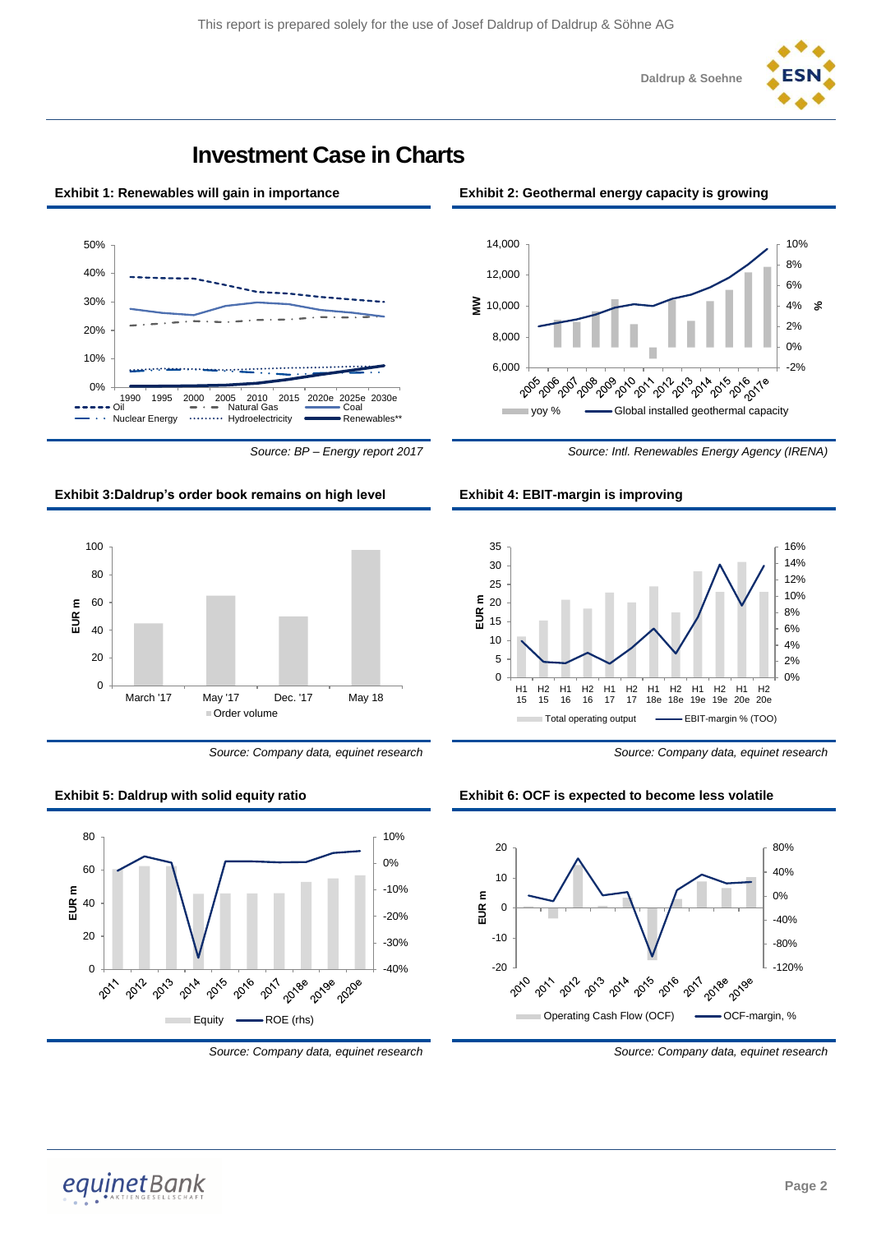

# **Investment Case in Charts**



#### **Exhibit 3:Daldrup's order book remains on high level Exhibit 4: EBIT-margin is improving**





## **Exhibit 1: Renewables will gain in importance Exhibit 2: Geothermal energy capacity is growing**



*Source: BP – Energy report 2017 Source: Intl. Renewables Energy Agency (IRENA)*

**Daldrup & Soehne**



*Source: Company data, equinet research Source: Company data, equinet research*

## **Exhibit 5: Daldrup with solid equity ratio Exhibit 6: OCF is expected to become less volatile**



equinetBank

### **Page 2**

*Source: Company data, equinet research Source: Company data, equinet research*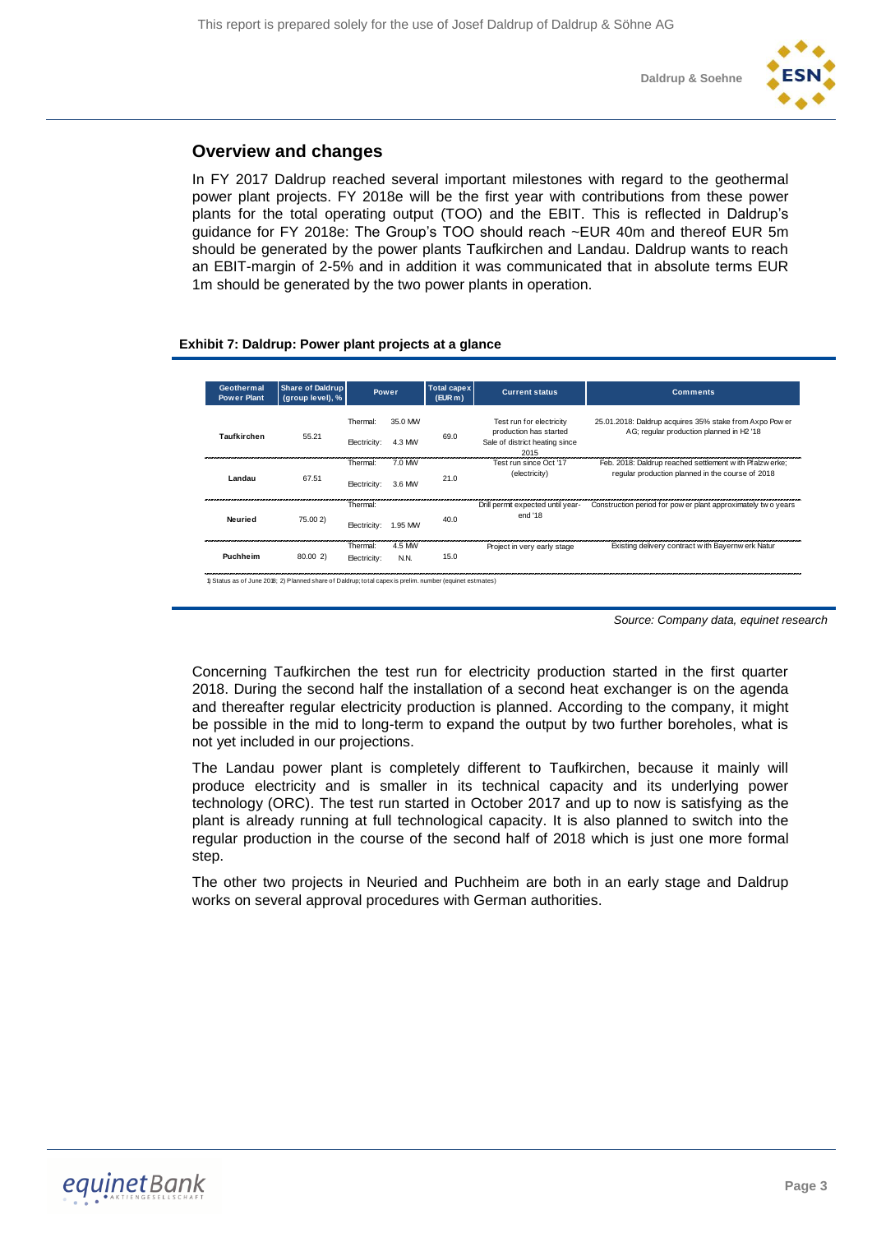

## **Overview and changes**

In FY 2017 Daldrup reached several important milestones with regard to the geothermal power plant projects. FY 2018e will be the first year with contributions from these power plants for the total operating output (TOO) and the EBIT. This is reflected in Daldrup's guidance for FY 2018e: The Group's TOO should reach ~EUR 40m and thereof EUR 5m should be generated by the power plants Taufkirchen and Landau. Daldrup wants to reach an EBIT-margin of 2-5% and in addition it was communicated that in absolute terms EUR 1m should be generated by the two power plants in operation.

#### **Exhibit 7: Daldrup: Power plant projects at a glance**

| Geothermal<br><b>Power Plant</b> | <b>Share of Daldrup</b><br>(group level), % | Power                |         | <b>Total capex</b><br>(EURm) | <b>Current status</b>                              | <b>Comments</b>                                                                                     |
|----------------------------------|---------------------------------------------|----------------------|---------|------------------------------|----------------------------------------------------|-----------------------------------------------------------------------------------------------------|
|                                  |                                             | Thermal:             | 35.0 MW |                              | Test run for electricity<br>production has started | 25.01.2018: Daldrup acquires 35% stake from Axpo Pow er<br>AG; regular production planned in H2 '18 |
| Taufkirchen                      | 55.21                                       | Electricity:         | 4.3 MW  | 69.0                         | Sale of district heating since<br>2015             |                                                                                                     |
|                                  |                                             | Thermal:             | 7.0 MW  |                              | Test run since Oct '17                             | Feb. 2018: Daldrup reached settlement with Pfalzwerke;                                              |
| Landau                           | 67.51                                       | Electricity:         | 3.6 MW  | 21.0                         | (electricity)                                      | regular production planned in the course of 2018                                                    |
|                                  |                                             | Thermal:             |         |                              |                                                    | Drill permit expected until year-<br>Construction period for power plant approximately two years    |
| Neuried                          | 75.00 2)                                    | Electricity: 1.95 MW |         | 40.0                         | end '18                                            |                                                                                                     |
|                                  |                                             | Thermal:             | 4.5 MW  |                              | Project in very early stage                        | Existing delivery contract with Bayernw erk Natur                                                   |
| <b>Puchheim</b>                  | 80.00 2)                                    | Electricity:         | N.N.    | 15.0                         |                                                    |                                                                                                     |

*Source: Company data, equinet research* 

Concerning Taufkirchen the test run for electricity production started in the first quarter 2018. During the second half the installation of a second heat exchanger is on the agenda and thereafter regular electricity production is planned. According to the company, it might be possible in the mid to long-term to expand the output by two further boreholes, what is not yet included in our projections.

The Landau power plant is completely different to Taufkirchen, because it mainly will produce electricity and is smaller in its technical capacity and its underlying power technology (ORC). The test run started in October 2017 and up to now is satisfying as the plant is already running at full technological capacity. It is also planned to switch into the regular production in the course of the second half of 2018 which is just one more formal step.

The other two projects in Neuried and Puchheim are both in an early stage and Daldrup works on several approval procedures with German authorities.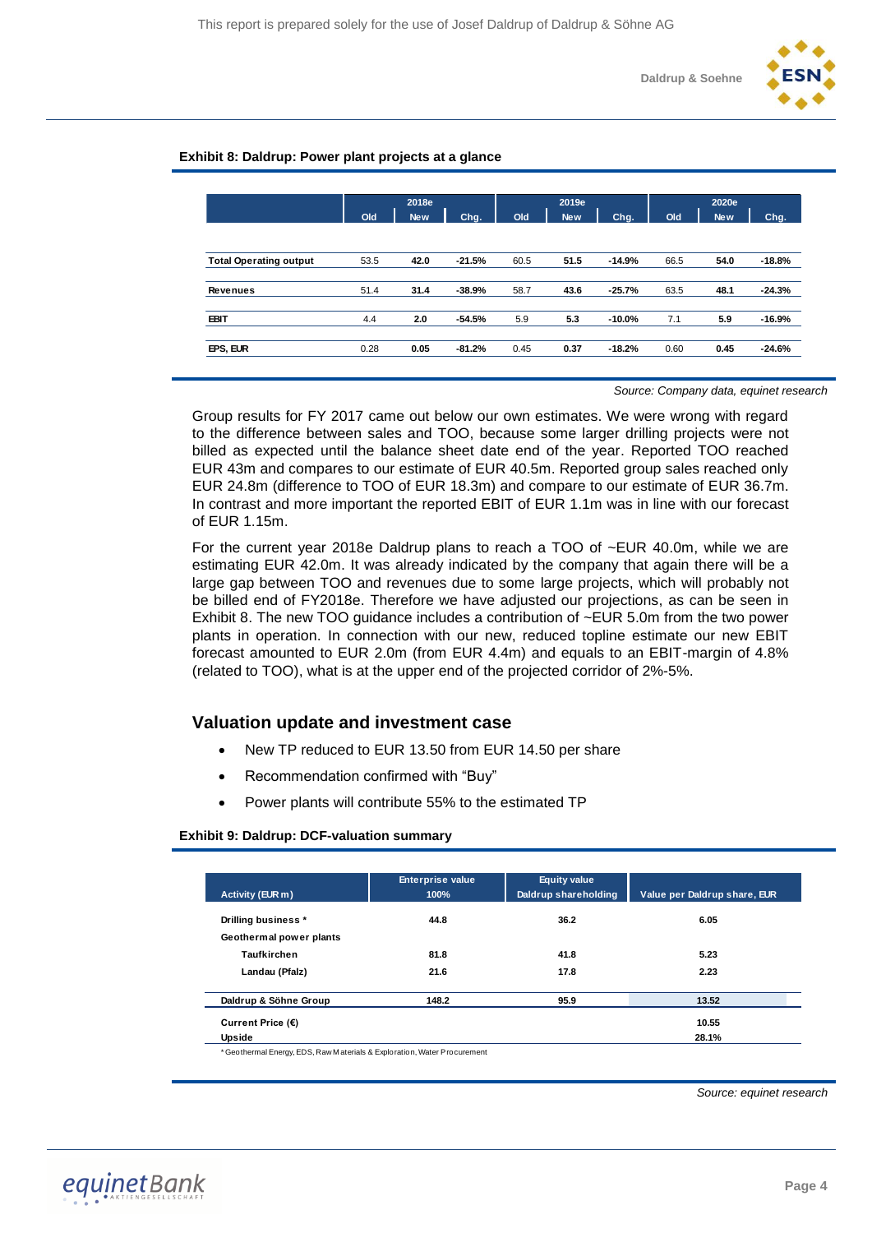

#### **Exhibit 8: Daldrup: Power plant projects at a glance**

|                               |      | 2018e      |          | 2019e |            |           | 2020e |            |          |  |
|-------------------------------|------|------------|----------|-------|------------|-----------|-------|------------|----------|--|
|                               | Old  | <b>New</b> | Chg.     | Old   | <b>New</b> | Chg.      | Old   | <b>New</b> | Chg.     |  |
|                               |      |            |          |       |            |           |       |            |          |  |
| <b>Total Operating output</b> | 53.5 | 42.0       | $-21.5%$ | 60.5  | 51.5       | $-14.9%$  | 66.5  | 54.0       | $-18.8%$ |  |
| <b>Revenues</b>               | 51.4 | 31.4       | $-38.9%$ | 58.7  | 43.6       | $-25.7%$  | 63.5  | 48.1       | $-24.3%$ |  |
| <b>EBIT</b>                   | 4.4  | 2.0        | $-54.5%$ | 5.9   | 5.3        | $-10.0\%$ | 7.1   | 5.9        | $-16.9%$ |  |
| EPS, EUR                      | 0.28 | 0.05       | $-81.2%$ | 0.45  | 0.37       | $-18.2%$  | 0.60  | 0.45       | $-24.6%$ |  |

*Source: Company data, equinet research* 

**Daldrup & Soehne**

Group results for FY 2017 came out below our own estimates. We were wrong with regard to the difference between sales and TOO, because some larger drilling projects were not billed as expected until the balance sheet date end of the year. Reported TOO reached EUR 43m and compares to our estimate of EUR 40.5m. Reported group sales reached only EUR 24.8m (difference to TOO of EUR 18.3m) and compare to our estimate of EUR 36.7m. In contrast and more important the reported EBIT of EUR 1.1m was in line with our forecast of EUR 1.15m.

For the current year 2018e Daldrup plans to reach a TOO of ~EUR 40.0m, while we are estimating EUR 42.0m. It was already indicated by the company that again there will be a large gap between TOO and revenues due to some large projects, which will probably not be billed end of FY2018e. Therefore we have adjusted our projections, as can be seen in Exhibit 8. The new TOO guidance includes a contribution of ~EUR 5.0m from the two power plants in operation. In connection with our new, reduced topline estimate our new EBIT forecast amounted to EUR 2.0m (from EUR 4.4m) and equals to an EBIT-margin of 4.8% (related to TOO), what is at the upper end of the projected corridor of 2%-5%.

## **Valuation update and investment case**

- New TP reduced to EUR 13.50 from EUR 14.50 per share
- Recommendation confirmed with "Buy"
- Power plants will contribute 55% to the estimated TP

#### **Exhibit 9: Daldrup: DCF-valuation summary**

| Activity (EUR m)        | <b>Enterprise value</b><br>100% | <b>Equity value</b><br>Daldrup shareholding | Value per Daldrup share, EUR |
|-------------------------|---------------------------------|---------------------------------------------|------------------------------|
| Drilling business *     | 44.8                            | 36.2                                        | 6.05                         |
| Geothermal power plants |                                 |                                             |                              |
| Taufkirchen             | 81.8                            | 41.8                                        | 5.23                         |
| Landau (Pfalz)          | 21.6                            | 17.8                                        | 2.23                         |
| Daldrup & Söhne Group   | 148.2                           | 95.9                                        | 13.52                        |
| Current Price (€)       |                                 |                                             | 10.55                        |
| Upside                  |                                 |                                             | 28.1%                        |

*Source: equinet research*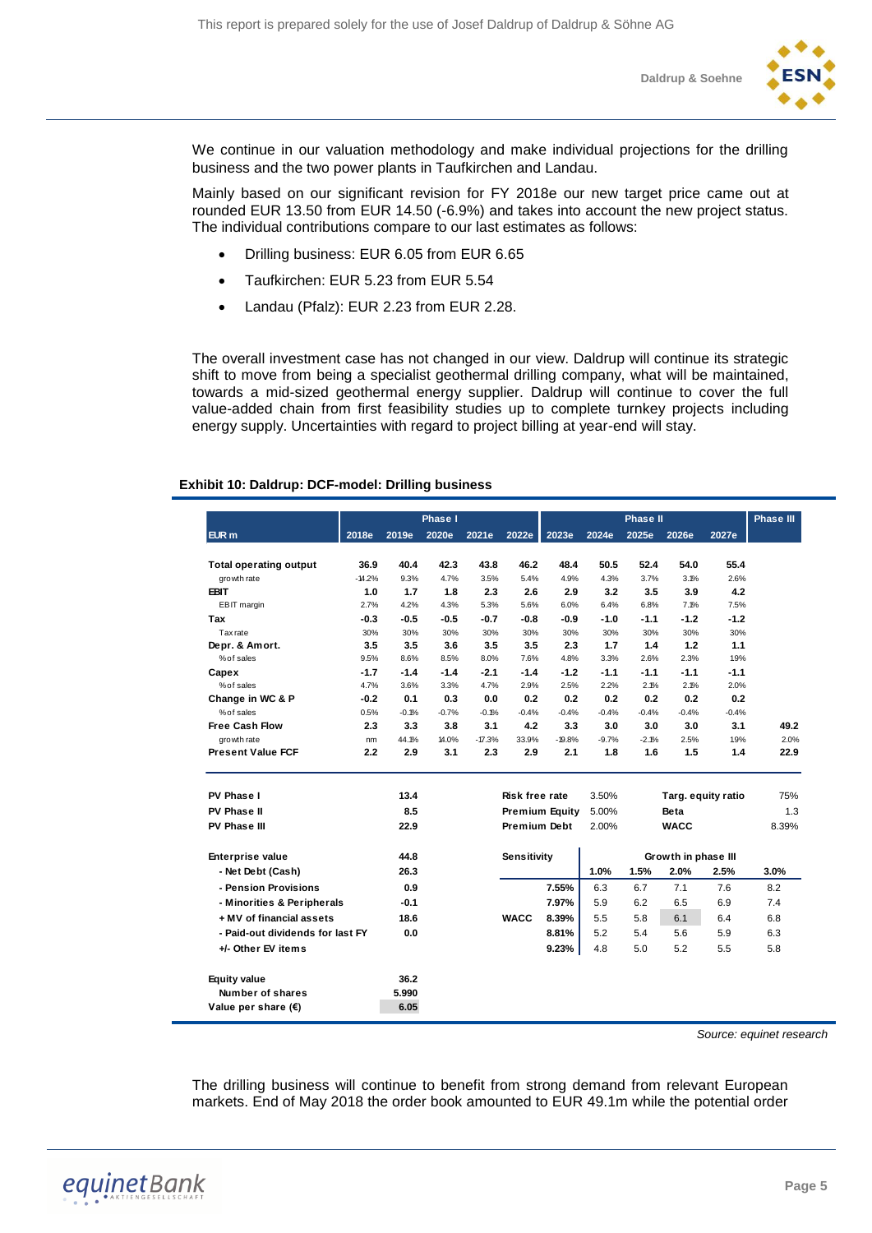

We continue in our valuation methodology and make individual projections for the drilling business and the two power plants in Taufkirchen and Landau.

Mainly based on our significant revision for FY 2018e our new target price came out at rounded EUR 13.50 from EUR 14.50 (-6.9%) and takes into account the new project status. The individual contributions compare to our last estimates as follows:

- Drilling business: EUR 6.05 from EUR 6.65
- Taufkirchen: EUR 5.23 from EUR 5.54
- Landau (Pfalz): EUR 2.23 from EUR 2.28.

The overall investment case has not changed in our view. Daldrup will continue its strategic shift to move from being a specialist geothermal drilling company, what will be maintained, towards a mid-sized geothermal energy supplier. Daldrup will continue to cover the full value-added chain from first feasibility studies up to complete turnkey projects including energy supply. Uncertainties with regard to project billing at year-end will stay.

|                                  |          |         | Phase I |          |                |                       |         | Phase II |                     |                    | <b>Phase III</b> |
|----------------------------------|----------|---------|---------|----------|----------------|-----------------------|---------|----------|---------------------|--------------------|------------------|
| EUR <sub>m</sub>                 | 2018e    | 2019e   | 2020e   | 2021e    | 2022e          | 2023e                 | 2024e   | 2025e    | 2026e               | 2027e              |                  |
| <b>Total operating output</b>    | 36.9     | 40.4    | 42.3    | 43.8     | 46.2           | 48.4                  | 50.5    | 52.4     | 54.0                | 55.4               |                  |
| growth rate                      | $-14.2%$ | 9.3%    | 4.7%    | 3.5%     | 5.4%           | 4.9%                  | 4.3%    | 3.7%     | 3.1%                | 2.6%               |                  |
| <b>EBIT</b>                      | 1.0      | 1.7     | 1.8     | 2.3      | 2.6            | 2.9                   | 3.2     | 3.5      | 3.9                 | 4.2                |                  |
| EBIT margin                      | 2.7%     | 4.2%    | 4.3%    | 5.3%     | 5.6%           | 6.0%                  | 6.4%    | 6.8%     | 7.1%                | 7.5%               |                  |
| Tax                              | $-0.3$   | $-0.5$  | $-0.5$  | $-0.7$   | $-0.8$         | $-0.9$                | $-1.0$  | $-1.1$   | $-1.2$              | $-1.2$             |                  |
| Tax rate                         | 30%      | 30%     | 30%     | 30%      | 30%            | 30%                   | 30%     | 30%      | 30%                 | 30%                |                  |
| Depr. & Amort.                   | 3.5      | 3.5     | 3.6     | 3.5      | 3.5            | 2.3                   | 1.7     | 1.4      | 1.2                 | 1.1                |                  |
| % of sales                       | 9.5%     | 8.6%    | 8.5%    | 8.0%     | 7.6%           | 4.8%                  | 3.3%    | 2.6%     | 2.3%                | 1.9%               |                  |
| Capex                            | $-1.7$   | $-1.4$  | $-1.4$  | $-2.1$   | $-1.4$         | $-1.2$                | $-1.1$  | $-1.1$   | $-1.1$              | $-1.1$             |                  |
| % of sales                       | 4.7%     | 3.6%    | 3.3%    | 4.7%     | 2.9%           | 2.5%                  | 2.2%    | 2.1%     | 2.1%                | 2.0%               |                  |
| Change in WC & P                 | $-0.2$   | 0.1     | 0.3     | 0.0      | 0.2            | 0.2                   | 0.2     | 0.2      | 0.2                 | 0.2                |                  |
| % of sales                       | 0.5%     | $-0.1%$ | $-0.7%$ | $-0.1%$  | $-0.4%$        | $-0.4%$               | $-0.4%$ | $-0.4%$  | $-0.4%$             | $-0.4%$            |                  |
| <b>Free Cash Flow</b>            | 2.3      | 3.3     | 3.8     | 3.1      | 4.2            | 3.3                   | 3.0     | 3.0      | 3.0                 | 3.1                | 49.2             |
| growth rate                      | nm       | 44.1%   | 14.0%   | $-17.3%$ | 33.9%          | $-19.8%$              | $-9.7%$ | $-2.1%$  | 2.5%                | 1.9%               | 2.0%             |
| <b>Present Value FCF</b>         | 2.2      | 2.9     | 3.1     | 2.3      | 2.9            | 2.1                   | 1.8     | 1.6      | 1.5                 | 1.4                | 22.9             |
| PV Phase I                       |          | 13.4    |         |          | Risk free rate |                       | 3.50%   |          |                     | Targ. equity ratio | 75%              |
| PV Phase II                      |          | 8.5     |         |          |                | <b>Premium Equity</b> | 5.00%   |          | Beta                |                    | 1.3              |
| PV Phase III                     |          | 22.9    |         |          | Premium Debt   |                       | 2.00%   |          | <b>WACC</b>         |                    | 8.39%            |
| <b>Enterprise value</b>          |          | 44.8    |         |          | Sensitivity    |                       |         |          | Growth in phase III |                    |                  |
| - Net Debt (Cash)                |          | 26.3    |         |          |                |                       | 1.0%    | 1.5%     | 2.0%                | 2.5%               | 3.0%             |
| - Pension Provisions             |          | 0.9     |         |          |                | 7.55%                 | 6.3     | 6.7      | 7.1                 | 7.6                | 8.2              |
| - Minorities & Peripherals       |          | $-0.1$  |         |          |                | 7.97%                 | 5.9     | 6.2      | 6.5                 | 6.9                | 7.4              |
| + MV of financial assets         |          | 18.6    |         |          | <b>WACC</b>    | 8.39%                 | 5.5     | 5.8      | 6.1                 | 6.4                | 6.8              |
| - Paid-out dividends for last FY |          | 0.0     |         |          |                | 8.81%                 | 5.2     | 5.4      | 5.6                 | 5.9                | 6.3              |
| +/- Other EV items               |          |         |         |          |                | 9.23%                 | 4.8     | 5.0      | 5.2                 | 5.5                | 5.8              |
|                                  |          |         |         |          |                |                       |         |          |                     |                    |                  |
| <b>Equity value</b>              |          | 36.2    |         |          |                |                       |         |          |                     |                    |                  |
| Number of shares                 |          | 5.990   |         |          |                |                       |         |          |                     |                    |                  |
| Value per share $(\epsilon)$     |          | 6.05    |         |          |                |                       |         |          |                     |                    |                  |

#### **Exhibit 10: Daldrup: DCF-model: Drilling business**

*Source: equinet research* 

The drilling business will continue to benefit from strong demand from relevant European markets. End of May 2018 the order book amounted to EUR 49.1m while the potential order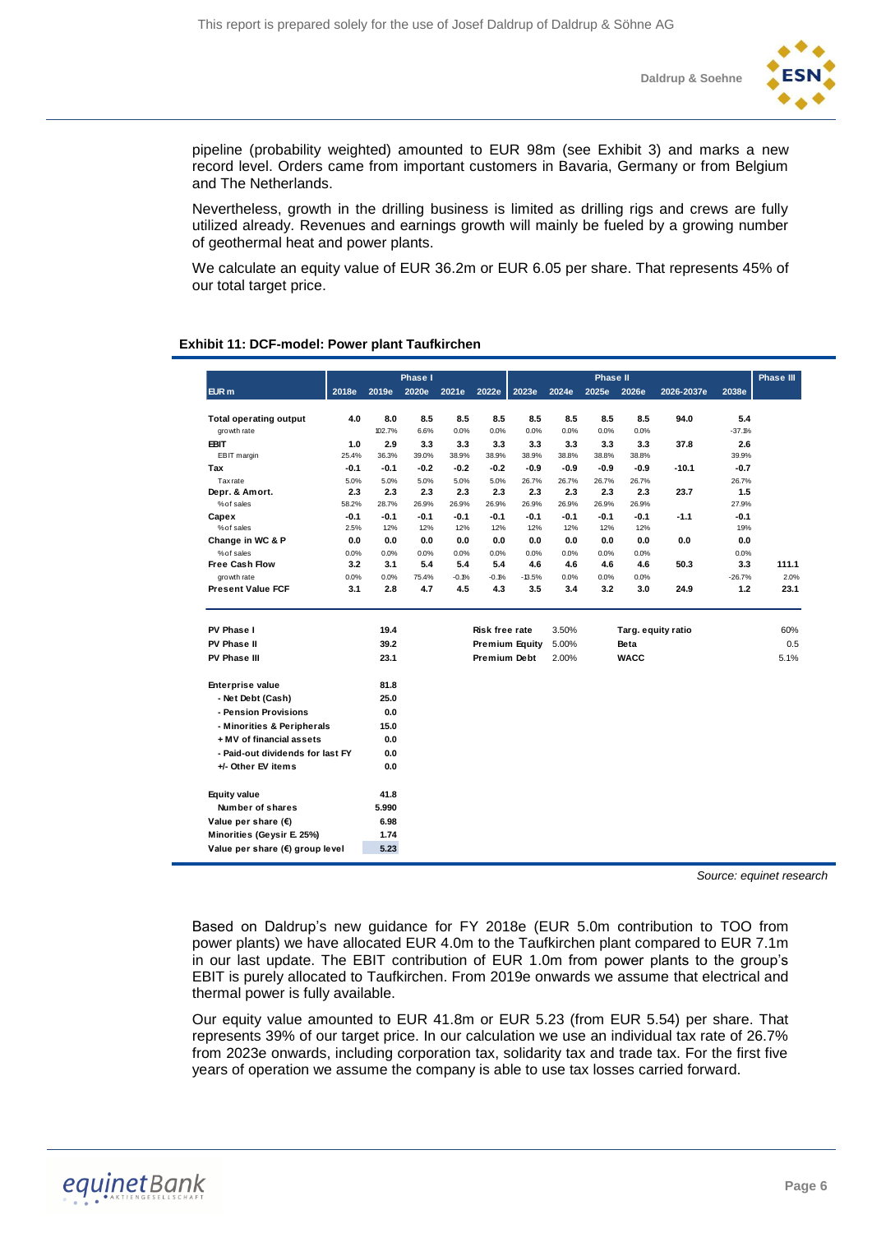

pipeline (probability weighted) amounted to EUR 98m (see Exhibit 3) and marks a new record level. Orders came from important customers in Bavaria, Germany or from Belgium and The Netherlands.

Nevertheless, growth in the drilling business is limited as drilling rigs and crews are fully utilized already. Revenues and earnings growth will mainly be fueled by a growing number of geothermal heat and power plants.

We calculate an equity value of EUR 36.2m or EUR 6.05 per share. That represents 45% of our total target price.

#### **Exhibit 11: DCF-model: Power plant Taufkirchen**

|                                  |        |        | Phase I |         |                |                |        | Phase II |             |                    |          | Phase III |
|----------------------------------|--------|--------|---------|---------|----------------|----------------|--------|----------|-------------|--------------------|----------|-----------|
| EUR m                            | 2018e  | 2019e  | 2020e   | 2021e   | 2022e          | 2023e          | 2024e  | 2025e    | 2026e       | 2026-2037e         | 2038e    |           |
| <b>Total operating output</b>    | 4.0    | 8.0    | 8.5     | 8.5     | 8.5            | 8.5            | 8.5    | 8.5      | 8.5         | 94.0               | 5.4      |           |
| growth rate                      |        | 102.7% | 6.6%    | 0.0%    | 0.0%           | 0.0%           | 0.0%   | 0.0%     | 0.0%        |                    | $-37.1%$ |           |
| <b>EBIT</b>                      | 1.0    | 2.9    | 3.3     | 3.3     | 3.3            | 3.3            | 3.3    | 3.3      | 3.3         | 37.8               | 2.6      |           |
| EBIT margin                      | 25.4%  | 36.3%  | 39.0%   | 38.9%   | 38.9%          | 38.9%          | 38.8%  | 38.8%    | 38.8%       |                    | 39.9%    |           |
| Tax                              | -0.1   | -0.1   | $-0.2$  | $-0.2$  | $-0.2$         | -0.9           | $-0.9$ | $-0.9$   | -0.9        | $-10.1$            | $-0.7$   |           |
| <b>Tax</b> rate                  | 5.0%   | 5.0%   | 5.0%    | 5.0%    | 5.0%           | 26.7%          | 26.7%  | 26.7%    | 26.7%       |                    | 26.7%    |           |
| Depr. & Amort.                   | 2.3    | 2.3    | 2.3     | 2.3     | 2.3            | 2.3            | 2.3    | 2.3      | 2.3         | 23.7               | 1.5      |           |
| % of sales                       | 58.2%  | 28.7%  | 26.9%   | 26.9%   | 26.9%          | 26.9%          | 26.9%  | 26.9%    | 26.9%       |                    | 27.9%    |           |
| Capex                            | $-0.1$ | $-0.1$ | $-0.1$  | $-0.1$  | $-0.1$         | $-0.1$         | $-0.1$ | $-0.1$   | $-0.1$      | $-1.1$             | $-0.1$   |           |
| %of sales                        | 2.5%   | 1.2%   | 1.2%    | 1.2%    | 1.2%           | 1.2%           | 1.2%   | 1.2%     | 1.2%        |                    | 1.9%     |           |
| Change in WC & P                 | 0.0    | 0.0    | 0.0     | 0.0     | 0.0            | 0.0            | 0.0    | 0.0      | 0.0         | 0.0                | 0.0      |           |
| % of sales                       | 0.0%   | 0.0%   | 0.0%    | 0.0%    | 0.0%           | 0.0%           | 0.0%   | 0.0%     | 0.0%        |                    | 0.0%     |           |
| <b>Free Cash Flow</b>            | 3.2    | 3.1    | 5.4     | 5.4     | 5.4            | 4.6            | 4.6    | 4.6      | 4.6         | 50.3               | 3.3      | 111.1     |
| growth rate                      | 0.0%   | 0.0%   | 75.4%   | $-0.1%$ | $-0.1%$        | $-13.5%$       | 0.0%   | 0.0%     | 0.0%        |                    | $-26.7%$ | 2.0%      |
| <b>Present Value FCF</b>         | 3.1    | 2.8    | 4.7     | 4.5     | 4.3            | 3.5            | 3.4    | 3.2      | 3.0         | 24.9               | 1.2      | 23.1      |
| PV Phase I                       |        | 19.4   |         |         | Risk free rate |                | 3.50%  |          |             | Targ. equity ratio |          | 60%       |
| PV Phase II                      |        | 39.2   |         |         |                | Premium Equity | 5.00%  |          | Beta        |                    |          | 0.5       |
| <b>PV Phase III</b>              |        | 23.1   |         |         | Premium Debt   |                | 2.00%  |          | <b>WACC</b> |                    |          | 5.1%      |
| <b>Enterprise value</b>          |        | 81.8   |         |         |                |                |        |          |             |                    |          |           |
| - Net Debt (Cash)                |        | 25.0   |         |         |                |                |        |          |             |                    |          |           |
| - Pension Provisions             |        | 0.0    |         |         |                |                |        |          |             |                    |          |           |
| - Minorities & Peripherals       |        | 15.0   |         |         |                |                |        |          |             |                    |          |           |
| + MV of financial assets         |        | 0.0    |         |         |                |                |        |          |             |                    |          |           |
| - Paid-out dividends for last FY |        | 0.0    |         |         |                |                |        |          |             |                    |          |           |
| +/- Other EV items               |        | 0.0    |         |         |                |                |        |          |             |                    |          |           |
|                                  |        |        |         |         |                |                |        |          |             |                    |          |           |
| <b>Equity value</b>              |        | 41.8   |         |         |                |                |        |          |             |                    |          |           |
| Number of shares                 |        | 5.990  |         |         |                |                |        |          |             |                    |          |           |
| Value per share $(E)$            |        | 6.98   |         |         |                |                |        |          |             |                    |          |           |
| Minorities (Geysir E. 25%)       |        | 1.74   |         |         |                |                |        |          |             |                    |          |           |
| Value per share (€) group level  |        | 5.23   |         |         |                |                |        |          |             |                    |          |           |

*Source: equinet research* 

Based on Daldrup's new guidance for FY 2018e (EUR 5.0m contribution to TOO from power plants) we have allocated EUR 4.0m to the Taufkirchen plant compared to EUR 7.1m in our last update. The EBIT contribution of EUR 1.0m from power plants to the group's EBIT is purely allocated to Taufkirchen. From 2019e onwards we assume that electrical and thermal power is fully available.

Our equity value amounted to EUR 41.8m or EUR 5.23 (from EUR 5.54) per share. That represents 39% of our target price. In our calculation we use an individual tax rate of 26.7% from 2023e onwards, including corporation tax, solidarity tax and trade tax. For the first five years of operation we assume the company is able to use tax losses carried forward.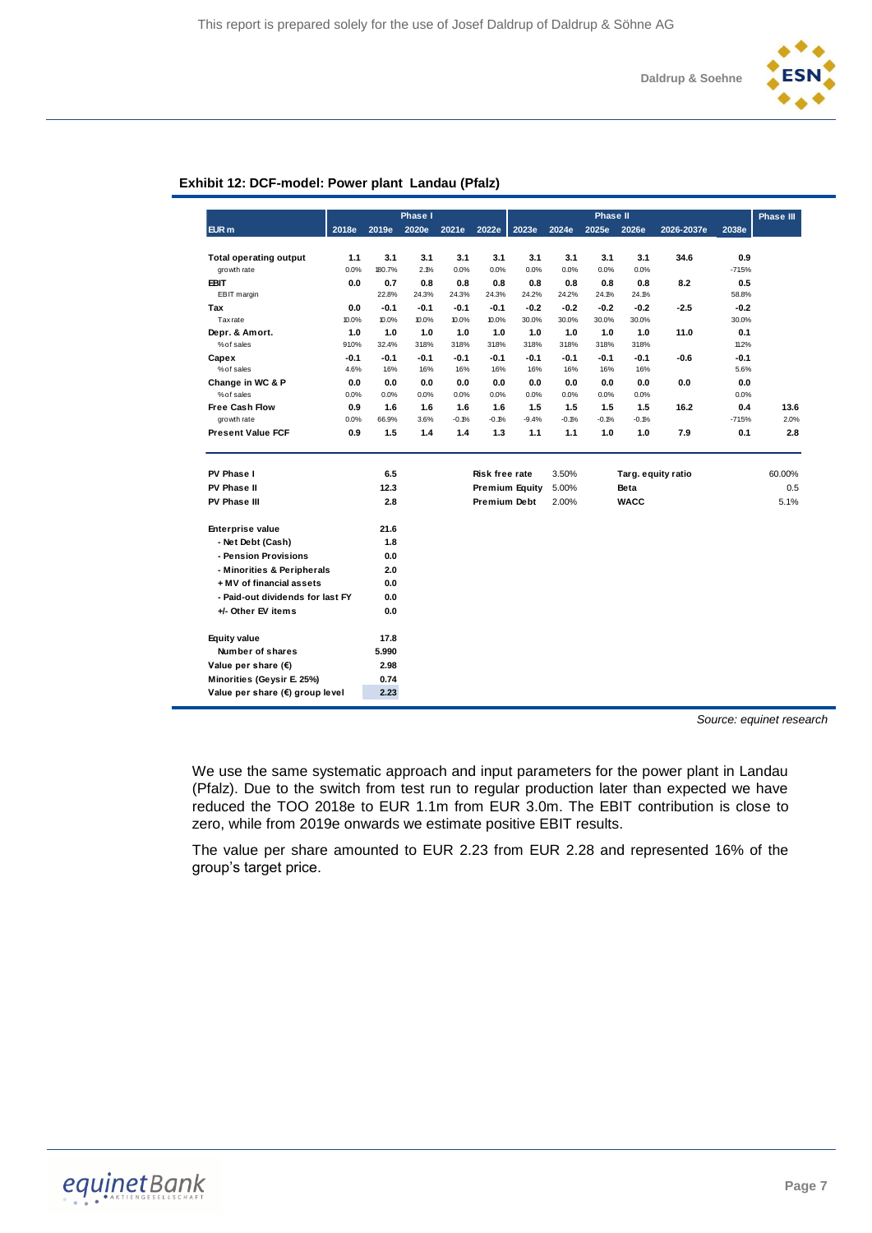

#### **Exhibit 12: DCF-model: Power plant Landau (Pfalz)**

| EUR m<br>2020e<br>2022e<br>2023e<br>2024e<br>2025e<br>2026e<br>2026-2037e<br>2018e<br>2019e<br>2021e<br>2038e<br>1.1<br>3.1<br>3.1<br>34.6<br><b>Total operating output</b><br>3.1<br>3.1<br>3.1<br>3.1<br>3.1<br>3.1<br>0.9<br>0.0%<br>180.7%<br>2.1%<br>0.0%<br>0.0%<br>0.0%<br>0.0%<br>0.0%<br>0.0%<br>$-71.5%$<br>growth rate<br>0.5<br><b>EBIT</b><br>0.0<br>0.7<br>0.8<br>0.8<br>0.8<br>0.8<br>0.8<br>0.8<br>8.2<br>0.8<br>EBIT margin<br>22.8%<br>24.3%<br>24.3%<br>24.3%<br>24.2%<br>24.2%<br>24.1%<br>24.1%<br>58.8%<br>$-0.1$<br>$-0.1$<br>$-0.2$<br>$-0.2$<br>$-0.2$<br>$-0.2$<br>$-2.5$<br>$-0.2$<br>Tax<br>0.0<br>-0.1<br>-0.1<br><b>Tax</b> rate<br>10.0%<br>10.0%<br>10.0%<br>10.0%<br>10.0%<br>30.0%<br>30.0%<br>30.0%<br>30.0%<br>30.0%<br>1.0<br>1.0<br>1.0<br>1.0<br>1.0<br>1.0<br>11.0<br>0.1<br>Depr. & Amort.<br>1.0<br>1.0<br>1.0<br>% of sales<br>91.0%<br>32.4%<br>31.8%<br>31.8%<br>31.8%<br>31.8%<br>31.8%<br>31.8%<br>11.2%<br>31.8%<br>$-0.1$<br>$-0.1$<br>$-0.1$<br>$-0.1$<br>$-0.1$<br>$-0.1$<br>$-0.1$<br>$-0.1$<br>$-0.1$<br>$-0.1$<br>$-0.6$<br>Capex<br>% of sales<br>4.6%<br>1.6%<br>1.6%<br>1.6%<br>1.6%<br>1.6%<br>1.6%<br>1.6%<br>1.6%<br>5.6%<br>0.0<br>0.0<br>0.0<br>Change in WC & P<br>0.0<br>0.0<br>0.0<br>0.0<br>0.0<br>0.0<br>0.0<br>0.0<br>0.0%<br>0.0%<br>% of sales<br>0.0%<br>0.0%<br>0.0%<br>0.0%<br>0.0%<br>0.0%<br>0.0%<br>0.0%<br>0.9<br>1.6<br>1.5<br>1.5<br>1.5<br>1.5<br>16.2<br>0.4<br><b>Free Cash Flow</b><br>1.6<br>1.6<br>1.6<br>0.0%<br>66.9%<br>3.6%<br>$-0.1%$<br>$-0.1%$<br>$-9.4%$<br>$-0.1%$<br>$-0.1%$<br>$-0.1%$<br>$-71.5%$<br>growth rate<br><b>Present Value FCF</b><br>0.9<br>1.5<br>1.4<br>1.4<br>1.3<br>1.1<br>1.1<br>1.0<br>1.0<br>7.9<br>0.1<br>PV Phase I<br>6.5<br>Risk free rate<br>3.50%<br>Targ. equity ratio<br>PV Phase II<br>12.3<br>5.00%<br>Beta<br><b>Premium Equity</b><br>PV Phase III<br>2.8<br><b>WACC</b><br>Premium Debt<br>2.00%<br>21.6<br><b>Enterprise value</b><br>1.8<br>- Net Debt (Cash)<br>0.0<br>- Pension Provisions<br>2.0<br>- Minorities & Peripherals<br>+ MV of financial assets<br>0.0<br>- Paid-out dividends for last FY<br>0.0<br>0.0<br>+/- Other EV items<br>17.8<br><b>Equity value</b><br>Number of shares<br>5.990<br>Value per share (€)<br>2.98<br>Minorities (Geysir E. 25%)<br>0.74<br>Value per share (€) group level |  |      | Phase I |  |  | Phase II |  | <b>Phase III</b> |
|----------------------------------------------------------------------------------------------------------------------------------------------------------------------------------------------------------------------------------------------------------------------------------------------------------------------------------------------------------------------------------------------------------------------------------------------------------------------------------------------------------------------------------------------------------------------------------------------------------------------------------------------------------------------------------------------------------------------------------------------------------------------------------------------------------------------------------------------------------------------------------------------------------------------------------------------------------------------------------------------------------------------------------------------------------------------------------------------------------------------------------------------------------------------------------------------------------------------------------------------------------------------------------------------------------------------------------------------------------------------------------------------------------------------------------------------------------------------------------------------------------------------------------------------------------------------------------------------------------------------------------------------------------------------------------------------------------------------------------------------------------------------------------------------------------------------------------------------------------------------------------------------------------------------------------------------------------------------------------------------------------------------------------------------------------------------------------------------------------------------------------------------------------------------------------------------------------------------------------------------------------------------------------------------------------------------------------------------------|--|------|---------|--|--|----------|--|------------------|
|                                                                                                                                                                                                                                                                                                                                                                                                                                                                                                                                                                                                                                                                                                                                                                                                                                                                                                                                                                                                                                                                                                                                                                                                                                                                                                                                                                                                                                                                                                                                                                                                                                                                                                                                                                                                                                                                                                                                                                                                                                                                                                                                                                                                                                                                                                                                                    |  |      |         |  |  |          |  |                  |
|                                                                                                                                                                                                                                                                                                                                                                                                                                                                                                                                                                                                                                                                                                                                                                                                                                                                                                                                                                                                                                                                                                                                                                                                                                                                                                                                                                                                                                                                                                                                                                                                                                                                                                                                                                                                                                                                                                                                                                                                                                                                                                                                                                                                                                                                                                                                                    |  |      |         |  |  |          |  |                  |
|                                                                                                                                                                                                                                                                                                                                                                                                                                                                                                                                                                                                                                                                                                                                                                                                                                                                                                                                                                                                                                                                                                                                                                                                                                                                                                                                                                                                                                                                                                                                                                                                                                                                                                                                                                                                                                                                                                                                                                                                                                                                                                                                                                                                                                                                                                                                                    |  |      |         |  |  |          |  |                  |
|                                                                                                                                                                                                                                                                                                                                                                                                                                                                                                                                                                                                                                                                                                                                                                                                                                                                                                                                                                                                                                                                                                                                                                                                                                                                                                                                                                                                                                                                                                                                                                                                                                                                                                                                                                                                                                                                                                                                                                                                                                                                                                                                                                                                                                                                                                                                                    |  |      |         |  |  |          |  |                  |
|                                                                                                                                                                                                                                                                                                                                                                                                                                                                                                                                                                                                                                                                                                                                                                                                                                                                                                                                                                                                                                                                                                                                                                                                                                                                                                                                                                                                                                                                                                                                                                                                                                                                                                                                                                                                                                                                                                                                                                                                                                                                                                                                                                                                                                                                                                                                                    |  |      |         |  |  |          |  |                  |
|                                                                                                                                                                                                                                                                                                                                                                                                                                                                                                                                                                                                                                                                                                                                                                                                                                                                                                                                                                                                                                                                                                                                                                                                                                                                                                                                                                                                                                                                                                                                                                                                                                                                                                                                                                                                                                                                                                                                                                                                                                                                                                                                                                                                                                                                                                                                                    |  |      |         |  |  |          |  |                  |
|                                                                                                                                                                                                                                                                                                                                                                                                                                                                                                                                                                                                                                                                                                                                                                                                                                                                                                                                                                                                                                                                                                                                                                                                                                                                                                                                                                                                                                                                                                                                                                                                                                                                                                                                                                                                                                                                                                                                                                                                                                                                                                                                                                                                                                                                                                                                                    |  |      |         |  |  |          |  |                  |
|                                                                                                                                                                                                                                                                                                                                                                                                                                                                                                                                                                                                                                                                                                                                                                                                                                                                                                                                                                                                                                                                                                                                                                                                                                                                                                                                                                                                                                                                                                                                                                                                                                                                                                                                                                                                                                                                                                                                                                                                                                                                                                                                                                                                                                                                                                                                                    |  |      |         |  |  |          |  |                  |
|                                                                                                                                                                                                                                                                                                                                                                                                                                                                                                                                                                                                                                                                                                                                                                                                                                                                                                                                                                                                                                                                                                                                                                                                                                                                                                                                                                                                                                                                                                                                                                                                                                                                                                                                                                                                                                                                                                                                                                                                                                                                                                                                                                                                                                                                                                                                                    |  |      |         |  |  |          |  |                  |
|                                                                                                                                                                                                                                                                                                                                                                                                                                                                                                                                                                                                                                                                                                                                                                                                                                                                                                                                                                                                                                                                                                                                                                                                                                                                                                                                                                                                                                                                                                                                                                                                                                                                                                                                                                                                                                                                                                                                                                                                                                                                                                                                                                                                                                                                                                                                                    |  |      |         |  |  |          |  |                  |
|                                                                                                                                                                                                                                                                                                                                                                                                                                                                                                                                                                                                                                                                                                                                                                                                                                                                                                                                                                                                                                                                                                                                                                                                                                                                                                                                                                                                                                                                                                                                                                                                                                                                                                                                                                                                                                                                                                                                                                                                                                                                                                                                                                                                                                                                                                                                                    |  |      |         |  |  |          |  |                  |
|                                                                                                                                                                                                                                                                                                                                                                                                                                                                                                                                                                                                                                                                                                                                                                                                                                                                                                                                                                                                                                                                                                                                                                                                                                                                                                                                                                                                                                                                                                                                                                                                                                                                                                                                                                                                                                                                                                                                                                                                                                                                                                                                                                                                                                                                                                                                                    |  |      |         |  |  |          |  |                  |
|                                                                                                                                                                                                                                                                                                                                                                                                                                                                                                                                                                                                                                                                                                                                                                                                                                                                                                                                                                                                                                                                                                                                                                                                                                                                                                                                                                                                                                                                                                                                                                                                                                                                                                                                                                                                                                                                                                                                                                                                                                                                                                                                                                                                                                                                                                                                                    |  |      |         |  |  |          |  |                  |
|                                                                                                                                                                                                                                                                                                                                                                                                                                                                                                                                                                                                                                                                                                                                                                                                                                                                                                                                                                                                                                                                                                                                                                                                                                                                                                                                                                                                                                                                                                                                                                                                                                                                                                                                                                                                                                                                                                                                                                                                                                                                                                                                                                                                                                                                                                                                                    |  |      |         |  |  |          |  | 13.6             |
|                                                                                                                                                                                                                                                                                                                                                                                                                                                                                                                                                                                                                                                                                                                                                                                                                                                                                                                                                                                                                                                                                                                                                                                                                                                                                                                                                                                                                                                                                                                                                                                                                                                                                                                                                                                                                                                                                                                                                                                                                                                                                                                                                                                                                                                                                                                                                    |  |      |         |  |  |          |  | 2.0%<br>2.8      |
|                                                                                                                                                                                                                                                                                                                                                                                                                                                                                                                                                                                                                                                                                                                                                                                                                                                                                                                                                                                                                                                                                                                                                                                                                                                                                                                                                                                                                                                                                                                                                                                                                                                                                                                                                                                                                                                                                                                                                                                                                                                                                                                                                                                                                                                                                                                                                    |  |      |         |  |  |          |  |                  |
|                                                                                                                                                                                                                                                                                                                                                                                                                                                                                                                                                                                                                                                                                                                                                                                                                                                                                                                                                                                                                                                                                                                                                                                                                                                                                                                                                                                                                                                                                                                                                                                                                                                                                                                                                                                                                                                                                                                                                                                                                                                                                                                                                                                                                                                                                                                                                    |  |      |         |  |  |          |  | 60.00%           |
|                                                                                                                                                                                                                                                                                                                                                                                                                                                                                                                                                                                                                                                                                                                                                                                                                                                                                                                                                                                                                                                                                                                                                                                                                                                                                                                                                                                                                                                                                                                                                                                                                                                                                                                                                                                                                                                                                                                                                                                                                                                                                                                                                                                                                                                                                                                                                    |  |      |         |  |  |          |  | 0.5              |
|                                                                                                                                                                                                                                                                                                                                                                                                                                                                                                                                                                                                                                                                                                                                                                                                                                                                                                                                                                                                                                                                                                                                                                                                                                                                                                                                                                                                                                                                                                                                                                                                                                                                                                                                                                                                                                                                                                                                                                                                                                                                                                                                                                                                                                                                                                                                                    |  |      |         |  |  |          |  | 5.1%             |
|                                                                                                                                                                                                                                                                                                                                                                                                                                                                                                                                                                                                                                                                                                                                                                                                                                                                                                                                                                                                                                                                                                                                                                                                                                                                                                                                                                                                                                                                                                                                                                                                                                                                                                                                                                                                                                                                                                                                                                                                                                                                                                                                                                                                                                                                                                                                                    |  |      |         |  |  |          |  |                  |
|                                                                                                                                                                                                                                                                                                                                                                                                                                                                                                                                                                                                                                                                                                                                                                                                                                                                                                                                                                                                                                                                                                                                                                                                                                                                                                                                                                                                                                                                                                                                                                                                                                                                                                                                                                                                                                                                                                                                                                                                                                                                                                                                                                                                                                                                                                                                                    |  |      |         |  |  |          |  |                  |
|                                                                                                                                                                                                                                                                                                                                                                                                                                                                                                                                                                                                                                                                                                                                                                                                                                                                                                                                                                                                                                                                                                                                                                                                                                                                                                                                                                                                                                                                                                                                                                                                                                                                                                                                                                                                                                                                                                                                                                                                                                                                                                                                                                                                                                                                                                                                                    |  |      |         |  |  |          |  |                  |
|                                                                                                                                                                                                                                                                                                                                                                                                                                                                                                                                                                                                                                                                                                                                                                                                                                                                                                                                                                                                                                                                                                                                                                                                                                                                                                                                                                                                                                                                                                                                                                                                                                                                                                                                                                                                                                                                                                                                                                                                                                                                                                                                                                                                                                                                                                                                                    |  |      |         |  |  |          |  |                  |
|                                                                                                                                                                                                                                                                                                                                                                                                                                                                                                                                                                                                                                                                                                                                                                                                                                                                                                                                                                                                                                                                                                                                                                                                                                                                                                                                                                                                                                                                                                                                                                                                                                                                                                                                                                                                                                                                                                                                                                                                                                                                                                                                                                                                                                                                                                                                                    |  |      |         |  |  |          |  |                  |
|                                                                                                                                                                                                                                                                                                                                                                                                                                                                                                                                                                                                                                                                                                                                                                                                                                                                                                                                                                                                                                                                                                                                                                                                                                                                                                                                                                                                                                                                                                                                                                                                                                                                                                                                                                                                                                                                                                                                                                                                                                                                                                                                                                                                                                                                                                                                                    |  |      |         |  |  |          |  |                  |
|                                                                                                                                                                                                                                                                                                                                                                                                                                                                                                                                                                                                                                                                                                                                                                                                                                                                                                                                                                                                                                                                                                                                                                                                                                                                                                                                                                                                                                                                                                                                                                                                                                                                                                                                                                                                                                                                                                                                                                                                                                                                                                                                                                                                                                                                                                                                                    |  |      |         |  |  |          |  |                  |
|                                                                                                                                                                                                                                                                                                                                                                                                                                                                                                                                                                                                                                                                                                                                                                                                                                                                                                                                                                                                                                                                                                                                                                                                                                                                                                                                                                                                                                                                                                                                                                                                                                                                                                                                                                                                                                                                                                                                                                                                                                                                                                                                                                                                                                                                                                                                                    |  |      |         |  |  |          |  |                  |
|                                                                                                                                                                                                                                                                                                                                                                                                                                                                                                                                                                                                                                                                                                                                                                                                                                                                                                                                                                                                                                                                                                                                                                                                                                                                                                                                                                                                                                                                                                                                                                                                                                                                                                                                                                                                                                                                                                                                                                                                                                                                                                                                                                                                                                                                                                                                                    |  |      |         |  |  |          |  |                  |
|                                                                                                                                                                                                                                                                                                                                                                                                                                                                                                                                                                                                                                                                                                                                                                                                                                                                                                                                                                                                                                                                                                                                                                                                                                                                                                                                                                                                                                                                                                                                                                                                                                                                                                                                                                                                                                                                                                                                                                                                                                                                                                                                                                                                                                                                                                                                                    |  |      |         |  |  |          |  |                  |
|                                                                                                                                                                                                                                                                                                                                                                                                                                                                                                                                                                                                                                                                                                                                                                                                                                                                                                                                                                                                                                                                                                                                                                                                                                                                                                                                                                                                                                                                                                                                                                                                                                                                                                                                                                                                                                                                                                                                                                                                                                                                                                                                                                                                                                                                                                                                                    |  |      |         |  |  |          |  |                  |
|                                                                                                                                                                                                                                                                                                                                                                                                                                                                                                                                                                                                                                                                                                                                                                                                                                                                                                                                                                                                                                                                                                                                                                                                                                                                                                                                                                                                                                                                                                                                                                                                                                                                                                                                                                                                                                                                                                                                                                                                                                                                                                                                                                                                                                                                                                                                                    |  | 2.23 |         |  |  |          |  |                  |

*Source: equinet research* 

We use the same systematic approach and input parameters for the power plant in Landau (Pfalz). Due to the switch from test run to regular production later than expected we have reduced the TOO 2018e to EUR 1.1m from EUR 3.0m. The EBIT contribution is close to zero, while from 2019e onwards we estimate positive EBIT results.

The value per share amounted to EUR 2.23 from EUR 2.28 and represented 16% of the group's target price.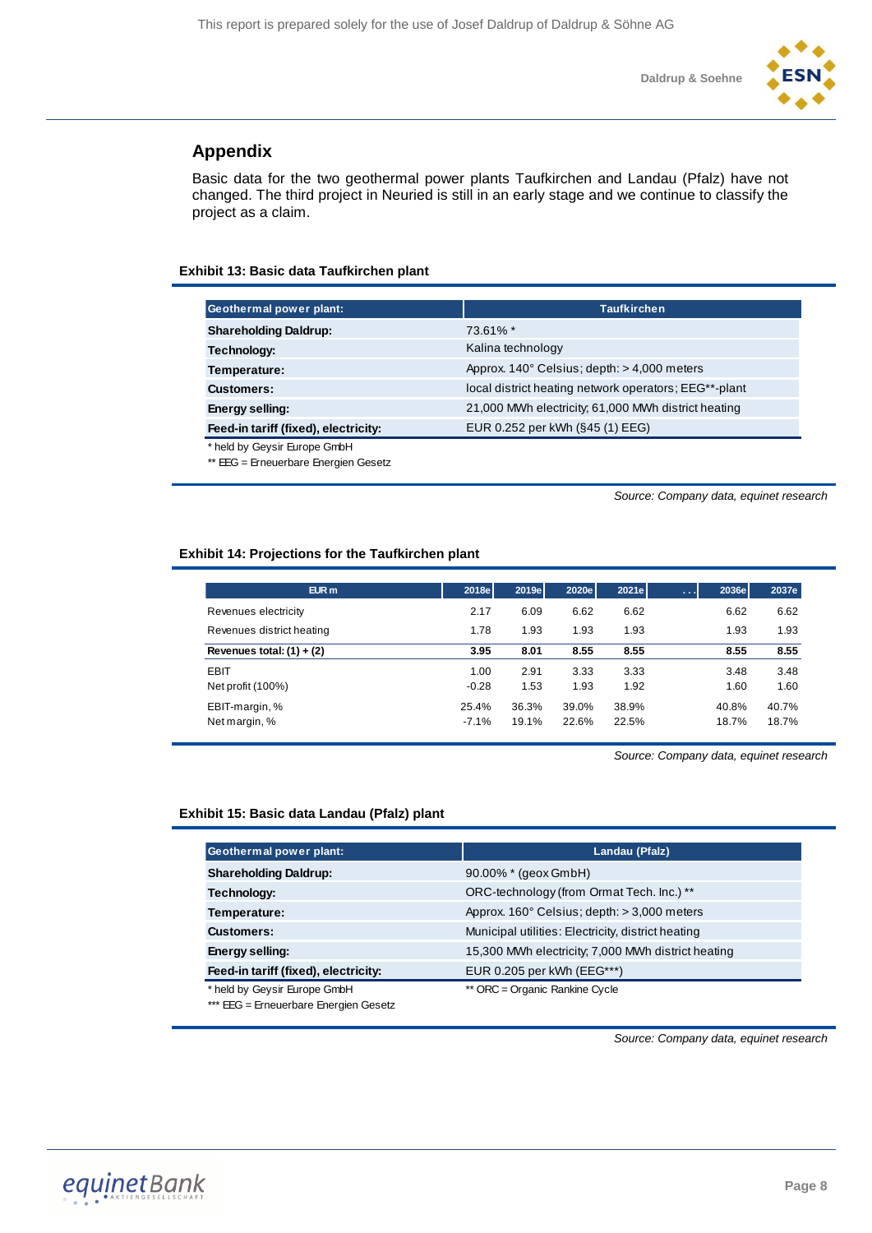

## **Appendix**

Basic data for the two geothermal power plants Taufkirchen and Landau (Pfalz) have not changed. The third project in Neuried is still in an early stage and we continue to classify the project as a claim.

## **Exhibit 13: Basic data Taufkirchen plant**

| Geothermal power plant:              | <b>Taufkirchen</b>                                    |
|--------------------------------------|-------------------------------------------------------|
| <b>Shareholding Daldrup:</b>         | 73.61% *                                              |
| Technology:                          | Kalina technology                                     |
| Temperature:                         | Approx. 140° Celsius; depth: > 4,000 meters           |
| <b>Customers:</b>                    | local district heating network operators; EEG**-plant |
| Energy selling:                      | 21,000 MWh electricity; 61,000 MWh district heating   |
| Feed-in tariff (fixed), electricity: | EUR 0.252 per kWh (§45 (1) EEG)                       |
| * held by Geysir Europe GmbH         |                                                       |
| ** EEG = Erneuerbare Energien Gesetz |                                                       |

*Source: Company data, equinet research*

#### **Exhibit 14: Projections for the Taufkirchen plant**

| EUR <sub>m</sub>            | 2018el  | 2019e | 2020e | 2021e | <b>A 10 A</b> | 2036e | 2037e |
|-----------------------------|---------|-------|-------|-------|---------------|-------|-------|
| Revenues electricity        | 2.17    | 6.09  | 6.62  | 6.62  |               | 6.62  | 6.62  |
| Revenues district heating   | 1.78    | 1.93  | 1.93  | 1.93  |               | 1.93  | 1.93  |
| Revenues total: $(1) + (2)$ | 3.95    | 8.01  | 8.55  | 8.55  |               | 8.55  | 8.55  |
| EBIT                        | 1.00    | 2.91  | 3.33  | 3.33  |               | 3.48  | 3.48  |
| Net profit (100%)           | $-0.28$ | 1.53  | 1.93  | 1.92  |               | 1.60  | 1.60  |
| EBIT-margin, %              | 25.4%   | 36.3% | 39.0% | 38.9% |               | 40.8% | 40.7% |
| Net margin, %               | $-7.1%$ | 19.1% | 22.6% | 22.5% |               | 18.7% | 18.7% |

*Source: Company data, equinet research*

### **Exhibit 15: Basic data Landau (Pfalz) plant**

| Geothermal power plant:               | Landau (Pfalz)                                     |
|---------------------------------------|----------------------------------------------------|
| <b>Shareholding Daldrup:</b>          | 90.00% * (geox GmbH)                               |
| Technology:                           | ORC-technology (from Ormat Tech. Inc.) **          |
| Temperature:                          | Approx. 160° Celsius; depth: > 3,000 meters        |
| <b>Customers:</b>                     | Municipal utilities: Electricity, district heating |
| <b>Energy selling:</b>                | 15,300 MWh electricity; 7,000 MWh district heating |
| Feed-in tariff (fixed), electricity:  | EUR 0.205 per kWh (EEG***)                         |
| * held by Geysir Europe GmbH          | ** ORC = Organic Rankine Cycle                     |
| *** EEG = Erneuerbare Energien Gesetz |                                                    |

*Source: Company data, equinet research*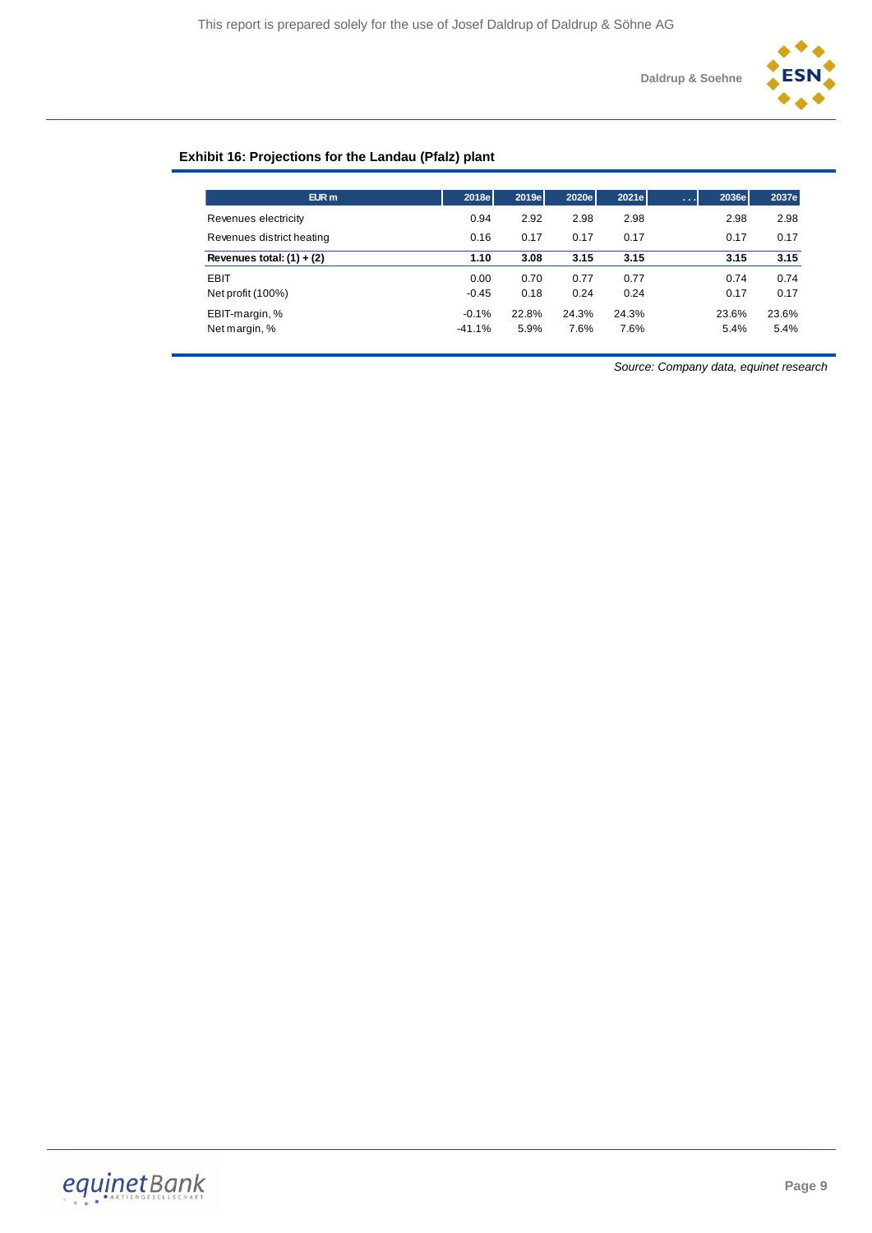

### **Exhibit 16: Projections for the Landau (Pfalz) plant**

| $EUR$ m                     | 2018e    | 2019e | 2020e | 2021e | <b>ALC UNIT</b> | 2036e | 2037e |
|-----------------------------|----------|-------|-------|-------|-----------------|-------|-------|
| Revenues electricity        | 0.94     | 2.92  | 2.98  | 2.98  |                 | 2.98  | 2.98  |
| Revenues district heating   | 0.16     | 0.17  | 0.17  | 0.17  |                 | 0.17  | 0.17  |
| Revenues total: $(1) + (2)$ | 1.10     | 3.08  | 3.15  | 3.15  |                 | 3.15  | 3.15  |
| <b>EBIT</b>                 | 0.00     | 0.70  | 0.77  | 0.77  |                 | 0.74  | 0.74  |
| Net profit (100%)           | $-0.45$  | 0.18  | 0.24  | 0.24  |                 | 0.17  | 0.17  |
| EBIT-margin, %              | $-0.1%$  | 22.8% | 24.3% | 24.3% |                 | 23.6% | 23.6% |
| Net margin, %               | $-41.1%$ | 5.9%  | 7.6%  | 7.6%  |                 | 5.4%  | 5.4%  |

*Source: Company data, equinet research*

**Daldrup & Soehne**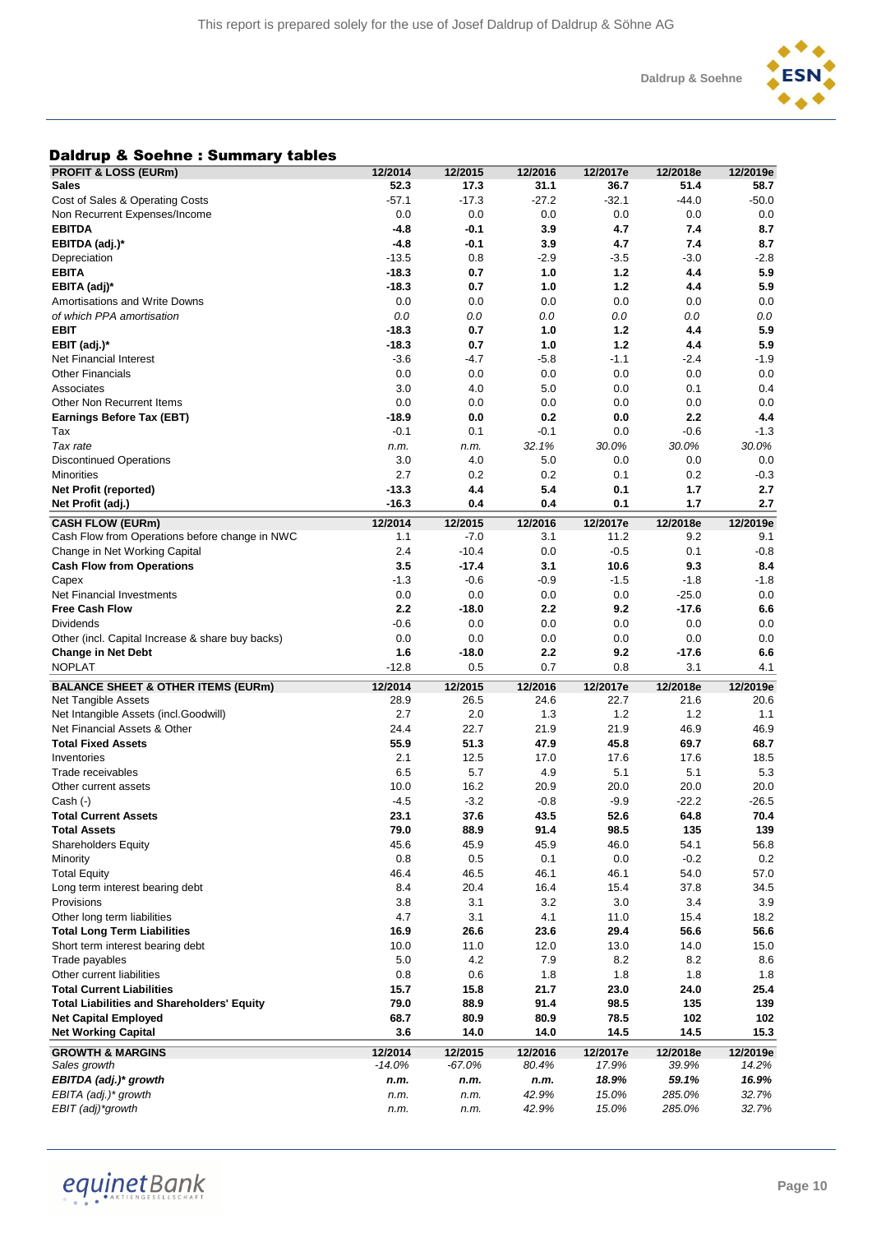

## Daldrup & Soehne : Summary tables

| <b>PROFIT &amp; LOSS (EURm)</b>                                       | 12/2014             | 12/2015             | 12/2016          | 12/2017e          | 12/2018e          | 12/2019e          |
|-----------------------------------------------------------------------|---------------------|---------------------|------------------|-------------------|-------------------|-------------------|
| Sales                                                                 | 52.3                | 17.3                | 31.1             | 36.7              | 51.4              | 58.7              |
| Cost of Sales & Operating Costs                                       | $-57.1$             | $-17.3$             | $-27.2$          | $-32.1$           | $-44.0$           | $-50.0$           |
| Non Recurrent Expenses/Income                                         | 0.0                 | 0.0                 | 0.0              | 0.0               | 0.0               | 0.0               |
| <b>EBITDA</b>                                                         | $-4.8$              | $-0.1$              | 3.9              | 4.7               | 7.4               | 8.7               |
| EBITDA (adj.)*                                                        | $-4.8$              | $-0.1$              | 3.9              | 4.7               | 7.4               | 8.7               |
| Depreciation                                                          | $-13.5$             | 0.8                 | $-2.9$           | $-3.5$            | $-3.0$            | -2.8              |
| <b>EBITA</b>                                                          | $-18.3$             | 0.7                 | 1.0              | 1.2               | 4.4               | 5.9               |
| EBITA (adj)*                                                          | $-18.3$             | 0.7                 | 1.0              | 1.2               | 4.4               | 5.9               |
| <b>Amortisations and Write Downs</b>                                  | 0.0                 | 0.0                 | 0.0              | 0.0               | 0.0               | 0.0               |
| of which PPA amortisation                                             | 0.0                 | 0.0                 | 0.0              | 0.0               | 0.0               | 0.0               |
| EBIT                                                                  | $-18.3$             | 0.7                 | 1.0              | 1.2               | 4.4               | 5.9               |
| EBIT (adj.)*                                                          | $-18.3$             | 0.7                 | 1.0              | 1.2               | 4.4               | 5.9               |
| <b>Net Financial Interest</b>                                         | $-3.6$              | $-4.7$              | $-5.8$           | $-1.1$            | $-2.4$            | $-1.9$            |
| <b>Other Financials</b>                                               | 0.0                 | 0.0                 | 0.0              | 0.0               | 0.0               | 0.0               |
| Associates                                                            | 3.0                 | 4.0                 | 5.0              | 0.0               | 0.1               | 0.4               |
| Other Non Recurrent Items                                             | 0.0                 | 0.0                 | 0.0              | 0.0               | 0.0               | 0.0               |
| <b>Earnings Before Tax (EBT)</b>                                      | $-18.9$             | 0.0                 | 0.2              | 0.0               | 2.2               | 4.4               |
| Tax                                                                   | $-0.1$              | 0.1                 | $-0.1$           | 0.0               | $-0.6$            | $-1.3$            |
| Tax rate                                                              | n.m.                | n.m.                | 32.1%            | 30.0%             | 30.0%             | 30.0%             |
| <b>Discontinued Operations</b>                                        | 3.0                 | 4.0                 | 5.0              | 0.0               | 0.0               | 0.0               |
| Minorities                                                            | 2.7                 | 0.2                 | 0.2              | 0.1               | 0.2               | $-0.3$            |
| <b>Net Profit (reported)</b>                                          | $-13.3$             | 4.4                 | 5.4              | 0.1               | 1.7               | 2.7               |
| Net Profit (adj.)                                                     | $-16.3$             | 0.4                 | 0.4              | 0.1               | 1.7               | 2.7               |
| <b>CASH FLOW (EURm)</b>                                               | 12/2014             | 12/2015             | 12/2016          | 12/2017e          | 12/2018e          | 12/2019e          |
| Cash Flow from Operations before change in NWC                        | 1.1                 | $-7.0$              | 3.1              | 11.2              | 9.2               | 9.1               |
| Change in Net Working Capital                                         | 2.4                 | $-10.4$             | 0.0              | $-0.5$            | 0.1               | $-0.8$            |
| <b>Cash Flow from Operations</b>                                      | 3.5                 | $-17.4$             | 3.1              | 10.6              | 9.3               | 8.4               |
| Capex                                                                 | $-1.3$              | $-0.6$              | $-0.9$           | $-1.5$            | $-1.8$            | $-1.8$            |
| Net Financial Investments                                             | 0.0                 | 0.0                 | 0.0              | 0.0               | $-25.0$           | 0.0               |
| <b>Free Cash Flow</b>                                                 | 2.2                 | $-18.0$             | 2.2              | 9.2               | $-17.6$           | 6.6               |
| <b>Dividends</b>                                                      | $-0.6$              | 0.0                 | 0.0              | 0.0               | 0.0               | 0.0               |
| Other (incl. Capital Increase & share buy backs)                      | 0.0                 | 0.0                 | 0.0              | 0.0               | 0.0               | 0.0               |
|                                                                       |                     |                     |                  |                   |                   |                   |
|                                                                       |                     |                     |                  |                   | $-17.6$           | 6.6               |
| <b>Change in Net Debt</b><br><b>NOPLAT</b>                            | 1.6<br>$-12.8$      | $-18.0$<br>0.5      | 2.2<br>0.7       | 9.2<br>0.8        | 3.1               | 4.1               |
|                                                                       |                     |                     |                  |                   |                   |                   |
| <b>BALANCE SHEET &amp; OTHER ITEMS (EURm)</b>                         | 12/2014             | 12/2015             | 12/2016          | 12/2017e          | 12/2018e          | 12/2019e          |
| Net Tangible Assets                                                   | 28.9                | 26.5                | 24.6             | 22.7              | 21.6              | 20.6              |
| Net Intangible Assets (incl.Goodwill)<br>Net Financial Assets & Other | 2.7<br>24.4         | 2.0<br>22.7         | 1.3<br>21.9      | 1.2               | 1.2<br>46.9       | 1.1               |
| <b>Total Fixed Assets</b>                                             | 55.9                | 51.3                | 47.9             | 21.9<br>45.8      | 69.7              | 46.9<br>68.7      |
| Inventories                                                           |                     |                     |                  |                   |                   |                   |
| Trade receivables                                                     | 2.1<br>6.5          | 12.5<br>5.7         | 17.0<br>4.9      | 17.6<br>5.1       | 17.6<br>5.1       | 18.5<br>5.3       |
| Other current assets                                                  | 10.0                | 16.2                | 20.9             | 20.0              | 20.0              | 20.0              |
|                                                                       | $-4.5$              | $-3.2$              | $-0.8$           | $-9.9$            |                   | $-26.5$           |
| Cash (-)<br><b>Total Current Assets</b>                               | 23.1                | 37.6                | 43.5             | 52.6              | $-22.2$<br>64.8   | 70.4              |
| <b>Total Assets</b>                                                   | 79.0                | 88.9                | 91.4             | 98.5              | 135               | 139               |
| <b>Shareholders Equity</b>                                            | 45.6                | 45.9                | 45.9             | 46.0              | 54.1              | 56.8              |
| Minority                                                              | 0.8                 | 0.5                 | 0.1              | 0.0               | $-0.2$            | 0.2               |
| <b>Total Equity</b>                                                   | 46.4                | 46.5                | 46.1             | 46.1              | 54.0              | 57.0              |
| Long term interest bearing debt                                       | 8.4                 | 20.4                | 16.4             | 15.4              | 37.8              | 34.5              |
| Provisions                                                            | 3.8                 | 3.1                 | 3.2              | 3.0               | 3.4               | 3.9               |
| Other long term liabilities                                           | 4.7                 | 3.1                 | 4.1              | 11.0              | 15.4              | 18.2              |
| <b>Total Long Term Liabilities</b>                                    | 16.9                | 26.6                | 23.6             | 29.4              | 56.6              | 56.6              |
| Short term interest bearing debt                                      | 10.0                | 11.0                | 12.0             | 13.0              | 14.0              | 15.0              |
| Trade payables                                                        | 5.0                 | 4.2                 | 7.9              | 8.2               | 8.2               | 8.6               |
| Other current liabilities                                             | 0.8                 | 0.6                 | 1.8              | 1.8               | 1.8               | 1.8               |
| <b>Total Current Liabilities</b>                                      | 15.7                | 15.8                | 21.7             | 23.0              | 24.0              | 25.4              |
| <b>Total Liabilities and Shareholders' Equity</b>                     | 79.0                | 88.9                | 91.4             | 98.5              | 135               | 139               |
| <b>Net Capital Employed</b>                                           | 68.7                | 80.9                | 80.9             | 78.5              | 102               | 102               |
| <b>Net Working Capital</b>                                            | 3.6                 | 14.0                | 14.0             | 14.5              | 14.5              | 15.3              |
|                                                                       |                     |                     |                  |                   |                   |                   |
| <b>GROWTH &amp; MARGINS</b><br>Sales growth                           | 12/2014<br>$-14.0%$ | 12/2015<br>$-67.0%$ | 12/2016<br>80.4% | 12/2017e<br>17.9% | 12/2018e<br>39.9% | 12/2019e<br>14.2% |
| EBITDA (adj.)* growth                                                 | n.m.                | n.m.                | n.m.             | 18.9%             | 59.1%             | 16.9%             |
| EBITA (adj.)* growth                                                  | n.m.                | n.m.                | 42.9%            | 15.0%             | 285.0%            | 32.7%             |
| EBIT (adj)*growth                                                     | n.m.                | n.m.                | 42.9%            | 15.0%             | 285.0%            | 32.7%             |

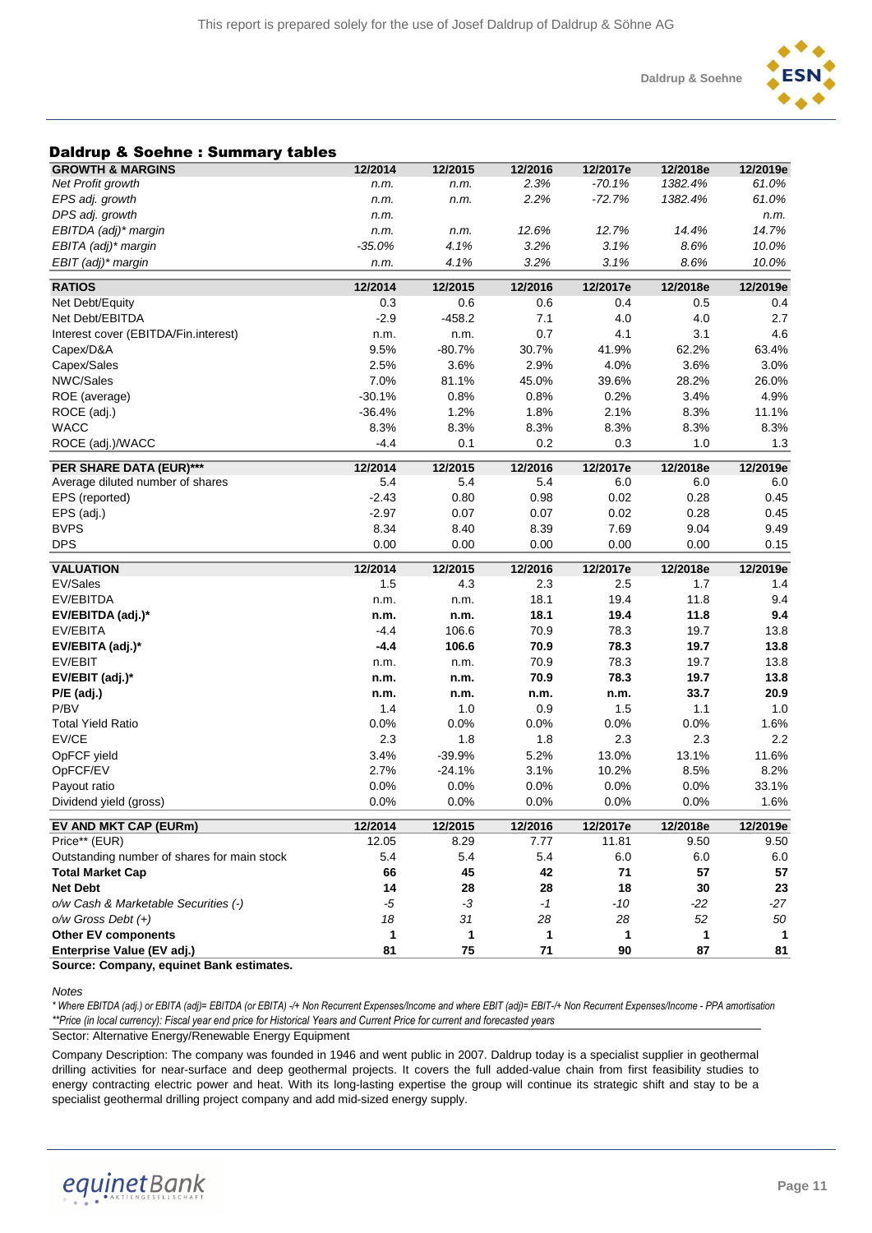

## Daldrup & Soehne : Summary tables

| AIWLWP OR UUU                               |          |             |            |          |            |          |
|---------------------------------------------|----------|-------------|------------|----------|------------|----------|
| <b>GROWTH &amp; MARGINS</b>                 | 12/2014  | 12/2015     | 12/2016    | 12/2017e | 12/2018e   | 12/2019e |
| Net Profit growth                           | n.m.     | n.m.        | 2.3%       | $-70.1%$ | 1382.4%    | 61.0%    |
| EPS adj. growth                             | n.m.     | n.m.        | 2.2%       | $-72.7%$ | 1382.4%    | 61.0%    |
| DPS adj. growth                             | n.m.     |             |            |          |            | n.m.     |
| EBITDA (adj)* margin                        | n.m.     | n.m.        | 12.6%      | 12.7%    | 14.4%      | 14.7%    |
| EBITA (adj)* margin                         | $-35.0%$ | 4.1%        | 3.2%       | 3.1%     | 8.6%       | 10.0%    |
| EBIT (adj)* margin                          | n.m.     | 4.1%        | 3.2%       | 3.1%     | 8.6%       | 10.0%    |
| <b>RATIOS</b>                               | 12/2014  | 12/2015     | 12/2016    | 12/2017e | 12/2018e   | 12/2019e |
| Net Debt/Equity                             | 0.3      | 0.6         | 0.6        | 0.4      | 0.5        | 0.4      |
| Net Debt/EBITDA                             | $-2.9$   | $-458.2$    | 7.1        | 4.0      | 4.0        | 2.7      |
| Interest cover (EBITDA/Fin.interest)        | n.m.     | n.m.        | 0.7        | 4.1      | 3.1        | 4.6      |
| Capex/D&A                                   | 9.5%     | $-80.7%$    | 30.7%      | 41.9%    | 62.2%      | 63.4%    |
| Capex/Sales                                 | 2.5%     | 3.6%        | 2.9%       | 4.0%     | 3.6%       | 3.0%     |
| NWC/Sales                                   | 7.0%     | 81.1%       | 45.0%      | 39.6%    | 28.2%      | 26.0%    |
| ROE (average)                               | $-30.1%$ | 0.8%        | 0.8%       | 0.2%     | 3.4%       | 4.9%     |
| ROCE (adj.)                                 | $-36.4%$ | 1.2%        | 1.8%       | 2.1%     | 8.3%       | 11.1%    |
| <b>WACC</b>                                 | 8.3%     |             |            |          | 8.3%       | 8.3%     |
|                                             |          | 8.3%<br>0.1 | 8.3%       | 8.3%     |            |          |
| ROCE (adj.)/WACC                            | $-4.4$   |             | 0.2        | 0.3      | 1.0        | 1.3      |
| <b>PER SHARE DATA (EUR)***</b>              | 12/2014  | 12/2015     | 12/2016    | 12/2017e | 12/2018e   | 12/2019e |
| Average diluted number of shares            | 5.4      | 5.4         | 5.4        | 6.0      | 6.0        | 6.0      |
| EPS (reported)                              | $-2.43$  | 0.80        | 0.98       | 0.02     | 0.28       | 0.45     |
| EPS (adj.)                                  | $-2.97$  | 0.07        | 0.07       | 0.02     | 0.28       | 0.45     |
| <b>BVPS</b>                                 | 8.34     | 8.40        | 8.39       | 7.69     | 9.04       | 9.49     |
| <b>DPS</b>                                  | 0.00     | 0.00        | 0.00       | 0.00     | 0.00       | 0.15     |
| <b>VALUATION</b>                            | 12/2014  | 12/2015     | 12/2016    | 12/2017e | 12/2018e   | 12/2019e |
| EV/Sales                                    | 1.5      | 4.3         | 2.3        | 2.5      | 1.7        | 1.4      |
| EV/EBITDA                                   | n.m.     | n.m.        | 18.1       | 19.4     | 11.8       | 9.4      |
| EV/EBITDA (adj.)*                           | n.m.     | n.m.        | 18.1       | 19.4     | 11.8       | 9.4      |
| EV/EBITA                                    | $-4.4$   | 106.6       | 70.9       | 78.3     | 19.7       | 13.8     |
| EV/EBITA (adj.)*                            | -4.4     | 106.6       | 70.9       | 78.3     | 19.7       | 13.8     |
| EV/EBIT                                     | n.m.     | n.m.        | 70.9       | 78.3     | 19.7       | 13.8     |
| EV/EBIT (adj.)*                             | n.m.     | n.m.        | 70.9       | 78.3     | 19.7       | 13.8     |
| $P/E$ (adj.)                                | n.m.     | n.m.        | n.m.       | n.m.     | 33.7       | 20.9     |
| P/BV                                        | 1.4      | 1.0         | 0.9        | 1.5      | 1.1        | 1.0      |
| <b>Total Yield Ratio</b>                    | 0.0%     | 0.0%        | 0.0%       | 0.0%     | 0.0%       | 1.6%     |
| EV/CE                                       | 2.3      | 1.8         | 1.8        | 2.3      | 2.3        | 2.2      |
| OpFCF yield                                 | 3.4%     | $-39.9%$    | 5.2%       | 13.0%    | 13.1%      | 11.6%    |
| OpFCF/EV                                    | 2.7%     | $-24.1%$    | 3.1%       | 10.2%    | 8.5%       | 8.2%     |
| Payout ratio                                | 0.0%     | 0.0%        | 0.0%       | 0.0%     | 0.0%       | 33.1%    |
| Dividend yield (gross)                      | 0.0%     | 0.0%        | 0.0%       | 0.0%     | 0.0%       | 1.6%     |
|                                             |          |             |            |          |            |          |
| <b>EV AND MKT CAP (EURm)</b>                | 12/2014  | 12/2015     | 12/2016    | 12/2017e | 12/2018e   | 12/2019e |
| Price** (EUR)                               | 12.05    | 8.29        | 7.77       | 11.81    | 9.50       | 9.50     |
| Outstanding number of shares for main stock | 5.4      | 5.4         | 5.4        | 6.0      | 6.0        | 6.0      |
| <b>Total Market Cap</b>                     | 66       | 45          | 42         | 71       | 57         | 57       |
| <b>Net Debt</b>                             | 14       | 28          | 28         | 18       | 30         | 23       |
| o/w Cash & Marketable Securities (-)        | $-5$     | $-3$        | $-1$       | $-10$    | -22        | $-27$    |
| $o/w$ Gross Debt $(+)$                      | 18       | 31          | 28         | 28       | 52         | 50       |
| <b>Other EV components</b>                  | 1        | 1           | 1          | 1        | 1          | 1        |
| Enterprise Value (EV adj.)                  | 81       | ${\bf 75}$  | ${\bf 71}$ | $90\,$   | ${\bf 87}$ | 81       |
| Source: Company, equinet Bank estimates.    |          |             |            |          |            |          |

*Notes*

*\* Where EBITDA (adj.) or EBITA (adj)= EBITDA (or EBITA) -/+ Non Recurrent Expenses/Income and where EBIT (adj)= EBIT-/+ Non Recurrent Expenses/Income - PPA amortisation \*\*Price (in local currency): Fiscal year end price for Historical Years and Current Price for current and forecasted years*

Sector: Alternative Energy/Renewable Energy Equipment

Company Description: The company was founded in 1946 and went public in 2007. Daldrup today is a specialist supplier in geothermal drilling activities for near-surface and deep geothermal projects. It covers the full added-value chain from first feasibility studies to energy contracting electric power and heat. With its long-lasting expertise the group will continue its strategic shift and stay to be a specialist geothermal drilling project company and add mid-sized energy supply.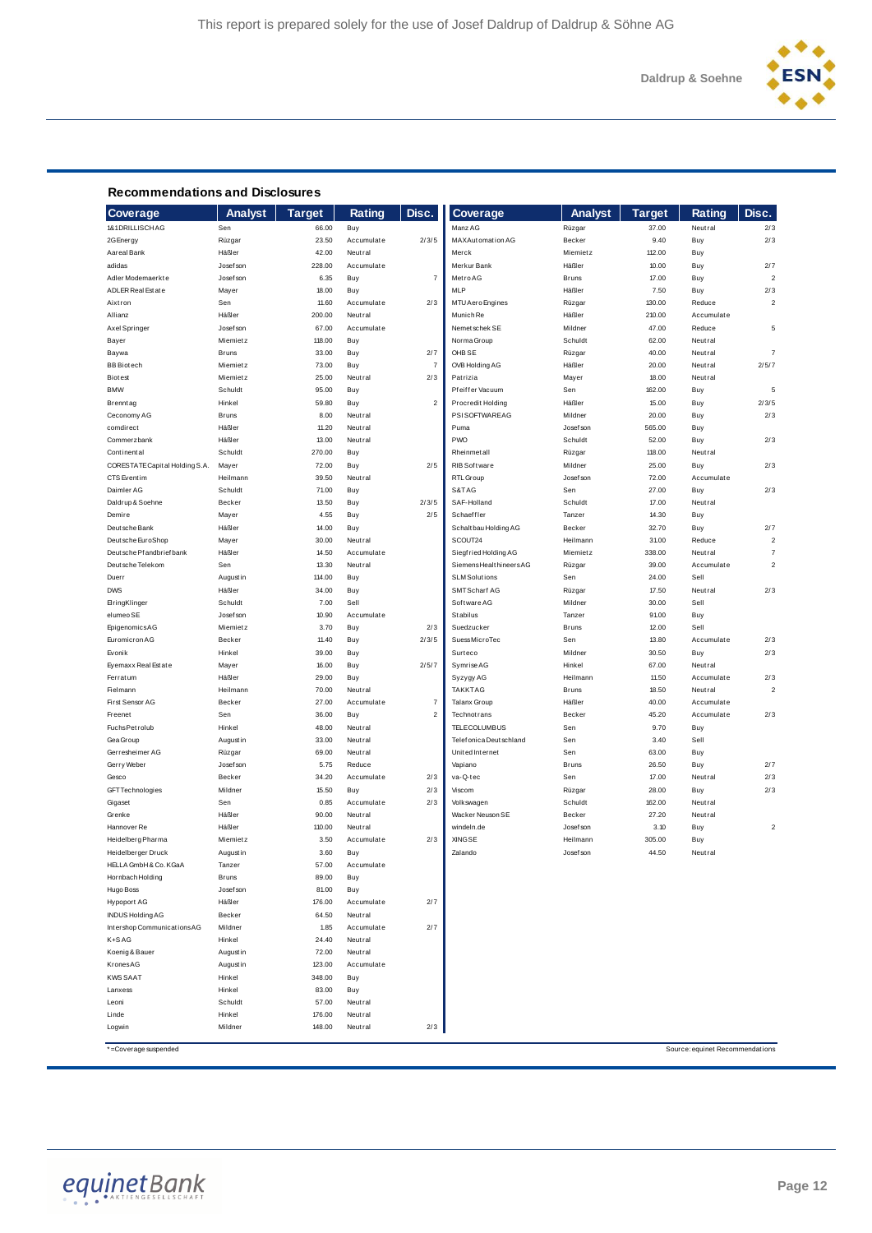

#### **Recommendations and Disclosures**

| 1&1DRILLISCHAG<br>Sen<br>66.00<br>Buy<br>Manz AG<br>Rüzgar<br>37.00<br>Neutral<br>2/3<br>23.50<br>2/3/5<br>2/3<br>2GEnergy<br>Rüzgar<br>Accumulate<br>MAXAutomation AG<br>Becker<br>9.40<br>Buy<br>42.00<br>Aareal Bank<br>Häßler<br>Neutral<br>Merck<br>Miemietz<br>112.00<br>Buy<br>adidas<br>Josef son<br>228.00<br>Accumulate<br>Merkur Bank<br>Häßler<br>10.00<br>Buy<br>2/7<br>$\scriptstyle{7}$<br>$\sqrt{2}$<br>Buy<br>MetroAG<br>Adler Modemaerkte<br>Josef son<br>6.35<br>Bruns<br>17.00<br>Buy<br>MLP<br>2/3<br>ADLER Real Estate<br>Mayer<br>18.00<br>Häßler<br>7.50<br>Buy<br>Buy<br>Aixtron<br>11.60<br>Accumulate<br>2/3<br>MTU Aero Engines<br>130.00<br>Reduce<br>2<br>Sen<br>Rüzgar<br>Häßler<br>Munich Re<br>Häßler<br>210.00<br>Allianz<br>200.00<br>Neutral<br>Accumulate<br>Nemet schek SE<br>47.00<br>5<br>Axel Springer<br>67.00<br>Accumulate<br>Mildner<br>Reduce<br>Josef son<br><b>Miemietz</b><br>118.00<br>Buy<br>Norma Group<br>Schuldt<br>62.00<br>Neutral<br>Bayer<br>OHB SE<br>$\overline{\mathfrak{z}}$<br>2/7<br>40.00<br>Baywa<br><b>Bruns</b><br>33.00<br>Buy<br>Rüzgar<br>Neutral<br>$\overline{7}$<br>OVB Holding AG<br>20.00<br>2/5/7<br><b>BB</b> Biotech<br>73.00<br>Buy<br>Häßler<br>Miemietz<br>Neutral<br><b>Biotest</b><br><b>Miemietz</b><br>25.00<br>Neutral<br>2/3<br>Patrizia<br>Mayer<br>18.00<br>Neutral<br><b>BMW</b><br>Schuldt<br>95.00<br>Buy<br>Pf eiff er Vacuum<br>162.00<br>Buy<br>5<br>Sen<br>$\overline{2}$<br>Procredit Holding<br>2/3/5<br>Hinkel<br>59.80<br>Häßler<br>15.00<br>Buy<br>Buy<br><b>Brenntag</b><br><b>PSISOFTWAREAG</b><br>Ceconomy AG<br><b>Bruns</b><br>8.00<br>Neutral<br>Mildner<br>20.00<br>Buy<br>2/3<br>comdirect<br>Häßler<br>11.20<br>Neutral<br>Puma<br>Josef son<br>565.00<br>Buy<br>Häßler<br><b>PWO</b><br>52.00<br>2/3<br>Commerzbank<br>13.00<br>Neutral<br>Schuldt<br>Buy<br>Continental<br>Schuldt<br>270.00<br>Buy<br>Rheinmetall<br>Rüzgar<br>118.00<br>Neutral<br>CORESTATE Capit al Holding S.A.<br>72.00<br>Buy<br>2/5<br>RIB Software<br>Mildner<br>25.00<br>Buy<br>2/3<br>Mayer<br>CTS Eventim<br>RTL Group<br>72.00<br>Heilmann<br>39.50<br>Neutral<br>Josef son<br>Accumulate<br>S&TAG<br>2/3<br>Daimler AG<br>Schuldt<br>71.00<br>Buy<br>27.00<br>Sen<br>Buy<br>Daldrup & Soehne<br>Becker<br>13.50<br>Buy<br>2/3/5<br>SAF-Holland<br>Schuldt<br>17.00<br>Neutral<br>2/5<br>Schaeffler<br>Demire<br>Mayer<br>4.55<br>Buy<br>Tanzer<br>14.30<br>Buy<br>Schaltbau Holding AG<br>2/7<br>Häßler<br>14.00<br>32.70<br>Deutsche Bank<br>Buy<br>Becker<br>Buy<br>SCOUT24<br>31.00<br>$\mathbf 2$<br>Deutsche EuroShop<br>Mayer<br>30.00<br>Neutral<br>Heilmann<br>Reduce<br>$\overline{\mathfrak{c}}$<br>Deutsche Pf andbrief bank<br>Häßler<br>Siegf ried Holding AG<br>338.00<br>14.50<br>Accumulate<br>Miemietz<br>Neutral<br>SiemensHealthineersAG<br>39.00<br>$\overline{\mathbf{c}}$<br>Deutsche Telekom<br>13.30<br>Neutral<br>Sen<br>Rüzgar<br>Accumulate<br>114.00<br>Buy<br><b>SLM Solutions</b><br>Sen<br>24.00<br>Sell<br>Duerr<br>August in<br><b>DWS</b><br>Häßler<br>34.00<br>Buy<br>SMT Scharf AG<br>Rüzgar<br>17.50<br>Neutral<br>2/3<br>30.00<br>ElringKlinger<br>Schuldt<br>7.00<br>Sell<br><b>Software AG</b><br>Mildner<br>Sell<br>elumeo SE<br>Josef son<br>10.90<br>Accumulate<br>Stabilus<br>Tanzer<br>91.00<br>Buy<br>EpigenomicsAG<br><b>Miemietz</b><br>3.70<br>Buy<br>2/3<br>Suedzucker<br><b>Bruns</b><br>12.00<br>Sell<br>2/3/5<br>SuessMicroTec<br>Euromicron AG<br>Becker<br>11.40<br>Buy<br>Sen<br>13.80<br>Accumulate<br>2/3<br>Surteco<br>Evonik<br>Hinkel<br>39.00<br>Buy<br>Mildner<br>30.50<br>Buy<br>2/3<br>Eyemaxx Real Est at e<br>16.00<br>Buy<br>2/5/7<br>Symrise AG<br>Hinkel<br>67.00<br>Neutral<br>Mayer<br>2/3<br>Ferratum<br>Häßler<br>Syzygy AG<br>29.00<br>Buy<br>Heilmann<br>11.50<br>Accumulate<br>TAKKTAG<br>$\overline{2}$<br>Fielmann<br>70.00<br>Neutral<br>18.50<br>Heilmann<br>Bruns<br>Neutral<br>First Sensor AG<br>Becker<br>27.00<br>Accumulate<br>$\overline{\mathfrak{c}}$<br><b>Talanx Group</b><br>Häßler<br>40.00<br>Accumulate<br>$\overline{c}$<br>2/3<br>Freenet<br>Sen<br>36.00<br>Buy<br>Technotrans<br>Becker<br>45.20<br>Accumulate<br>TELECOLUMBUS<br>Fuchs Pet rolub<br>48.00<br>Neutral<br>Sen<br>9.70<br>Hinkel<br>Buy<br>Telef onica Deut schland<br>Gea Group<br>33.00<br>Neutral<br>Sen<br>3.40<br>Sell<br>August in<br>Rüzgar<br>69.00<br>Neutral<br><b>United Internet</b><br>Gerresheimer AG<br>Sen<br>63.00<br>Buy<br>Gerry Weber<br>5.75<br>26.50<br>2/7<br>Josef son<br>Reduce<br>Vapiano<br>Bruns<br>Buy<br>Becker<br>34.20<br>Accumulate<br>2/3<br>va-Q-tec<br>Sen<br>17.00<br>Neutral<br>2/3<br>Gesco<br><b>GFT</b> Technologies<br>Mildner<br>15.50<br>2/3<br>Viscom<br>Rüzgar<br>28.00<br>2/3<br>Buy<br>Buy<br>2/3<br>162.00<br>Sen<br>0.85<br>Accumulate<br>Volkswagen<br>Schuldt<br>Gigaset<br>Neutral<br>Wacker Neuson SE<br>Grenke<br>Häßler<br>90.00<br>Neutral<br>Becker<br>27.20<br>Neutral<br>Hannover Re<br>Häßler<br>110.00<br>Neutral<br>windeln.de<br>Josef son<br>3.10<br>Buy<br>2<br>3.50<br>2/3<br><b>XINGSE</b><br>305.00<br>Heidelberg Pharma<br>Miemietz<br>Accumulate<br>Heilmann<br>Buy<br>Heidelberger Druck<br>August in<br>3.60<br>Buy<br>Zalando<br>44.50<br>Neutral<br>Josef son<br>HELLA GmbH & Co. KGaA<br>Tanzer<br>57.00<br>Accumulate<br>Hornbach Holding<br>89.00<br>Buy<br>Bruns<br>81.00<br>Hugo Boss<br>Josef son<br>Buy<br><b>Hypoport AG</b><br>Häßler<br>176.00<br>Accumulate<br>2/7<br>INDUS Holding AG<br>64.50<br>Becker<br>Neutral<br>2/7<br>Intershop Communications AG<br>Mildner<br>1.85<br>Accumulate<br>Neutral<br>$K+SAG$<br>Hinkel<br>24.40<br>Koenig & Bauer<br>72.00<br>Neutral<br>August in<br>KronesAG<br>123.00<br>Accumulate<br>August in<br><b>KWS SAAT</b><br>Hinkel<br>348.00<br>Buy<br>Lanxess<br>Hinkel<br>83.00<br>Buy<br>Schuldt<br>57.00<br>Neutral<br>Leoni<br>Linde<br>Hinkel<br>176.00<br>Neutral<br>Mildner<br>148.00<br>Neutral<br>2/3<br>Logwin | <b>Recommendations and Disclosures</b> |                |               |        |       |          | Analyst | <b>Target</b> |        | Disc. |
|---------------------------------------------------------------------------------------------------------------------------------------------------------------------------------------------------------------------------------------------------------------------------------------------------------------------------------------------------------------------------------------------------------------------------------------------------------------------------------------------------------------------------------------------------------------------------------------------------------------------------------------------------------------------------------------------------------------------------------------------------------------------------------------------------------------------------------------------------------------------------------------------------------------------------------------------------------------------------------------------------------------------------------------------------------------------------------------------------------------------------------------------------------------------------------------------------------------------------------------------------------------------------------------------------------------------------------------------------------------------------------------------------------------------------------------------------------------------------------------------------------------------------------------------------------------------------------------------------------------------------------------------------------------------------------------------------------------------------------------------------------------------------------------------------------------------------------------------------------------------------------------------------------------------------------------------------------------------------------------------------------------------------------------------------------------------------------------------------------------------------------------------------------------------------------------------------------------------------------------------------------------------------------------------------------------------------------------------------------------------------------------------------------------------------------------------------------------------------------------------------------------------------------------------------------------------------------------------------------------------------------------------------------------------------------------------------------------------------------------------------------------------------------------------------------------------------------------------------------------------------------------------------------------------------------------------------------------------------------------------------------------------------------------------------------------------------------------------------------------------------------------------------------------------------------------------------------------------------------------------------------------------------------------------------------------------------------------------------------------------------------------------------------------------------------------------------------------------------------------------------------------------------------------------------------------------------------------------------------------------------------------------------------------------------------------------------------------------------------------------------------------------------------------------------------------------------------------------------------------------------------------------------------------------------------------------------------------------------------------------------------------------------------------------------------------------------------------------------------------------------------------------------------------------------------------------------------------------------------------------------------------------------------------------------------------------------------------------------------------------------------------------------------------------------------------------------------------------------------------------------------------------------------------------------------------------------------------------------------------------------------------------------------------------------------------------------------------------------------------------------------------------------------------------------------------------------------------------------------------------------------------------------------------------------------------------------------------------------------------------------------------------------------------------------------------------------------------------------------------------------------------------------------------------------------------------------------------------------------------------------------------------------------------------------------------------------------------------------------------------------------------------------------------------------------------------------------------------------------------------------------------------------------------------------------------------------------------------------------------------------------------------------------------------------------------------------------------------------------------------------------------------------------------------------------------------------------------------------------------------------------------------------------------------------------------------------------------------------------------------------------------------|----------------------------------------|----------------|---------------|--------|-------|----------|---------|---------------|--------|-------|
|                                                                                                                                                                                                                                                                                                                                                                                                                                                                                                                                                                                                                                                                                                                                                                                                                                                                                                                                                                                                                                                                                                                                                                                                                                                                                                                                                                                                                                                                                                                                                                                                                                                                                                                                                                                                                                                                                                                                                                                                                                                                                                                                                                                                                                                                                                                                                                                                                                                                                                                                                                                                                                                                                                                                                                                                                                                                                                                                                                                                                                                                                                                                                                                                                                                                                                                                                                                                                                                                                                                                                                                                                                                                                                                                                                                                                                                                                                                                                                                                                                                                                                                                                                                                                                                                                                                                                                                                                                                                                                                                                                                                                                                                                                                                                                                                                                                                                                                                                                                                                                                                                                                                                                                                                                                                                                                                                                                                                                                                                                                                                                                                                                                                                                                                                                                                                                                                                                                                                                                                                     | Coverage                               | <b>Analyst</b> | <b>Target</b> | Rating | Disc. | Coverage |         |               | Rating |       |
|                                                                                                                                                                                                                                                                                                                                                                                                                                                                                                                                                                                                                                                                                                                                                                                                                                                                                                                                                                                                                                                                                                                                                                                                                                                                                                                                                                                                                                                                                                                                                                                                                                                                                                                                                                                                                                                                                                                                                                                                                                                                                                                                                                                                                                                                                                                                                                                                                                                                                                                                                                                                                                                                                                                                                                                                                                                                                                                                                                                                                                                                                                                                                                                                                                                                                                                                                                                                                                                                                                                                                                                                                                                                                                                                                                                                                                                                                                                                                                                                                                                                                                                                                                                                                                                                                                                                                                                                                                                                                                                                                                                                                                                                                                                                                                                                                                                                                                                                                                                                                                                                                                                                                                                                                                                                                                                                                                                                                                                                                                                                                                                                                                                                                                                                                                                                                                                                                                                                                                                                                     |                                        |                |               |        |       |          |         |               |        |       |
|                                                                                                                                                                                                                                                                                                                                                                                                                                                                                                                                                                                                                                                                                                                                                                                                                                                                                                                                                                                                                                                                                                                                                                                                                                                                                                                                                                                                                                                                                                                                                                                                                                                                                                                                                                                                                                                                                                                                                                                                                                                                                                                                                                                                                                                                                                                                                                                                                                                                                                                                                                                                                                                                                                                                                                                                                                                                                                                                                                                                                                                                                                                                                                                                                                                                                                                                                                                                                                                                                                                                                                                                                                                                                                                                                                                                                                                                                                                                                                                                                                                                                                                                                                                                                                                                                                                                                                                                                                                                                                                                                                                                                                                                                                                                                                                                                                                                                                                                                                                                                                                                                                                                                                                                                                                                                                                                                                                                                                                                                                                                                                                                                                                                                                                                                                                                                                                                                                                                                                                                                     |                                        |                |               |        |       |          |         |               |        |       |
|                                                                                                                                                                                                                                                                                                                                                                                                                                                                                                                                                                                                                                                                                                                                                                                                                                                                                                                                                                                                                                                                                                                                                                                                                                                                                                                                                                                                                                                                                                                                                                                                                                                                                                                                                                                                                                                                                                                                                                                                                                                                                                                                                                                                                                                                                                                                                                                                                                                                                                                                                                                                                                                                                                                                                                                                                                                                                                                                                                                                                                                                                                                                                                                                                                                                                                                                                                                                                                                                                                                                                                                                                                                                                                                                                                                                                                                                                                                                                                                                                                                                                                                                                                                                                                                                                                                                                                                                                                                                                                                                                                                                                                                                                                                                                                                                                                                                                                                                                                                                                                                                                                                                                                                                                                                                                                                                                                                                                                                                                                                                                                                                                                                                                                                                                                                                                                                                                                                                                                                                                     |                                        |                |               |        |       |          |         |               |        |       |
|                                                                                                                                                                                                                                                                                                                                                                                                                                                                                                                                                                                                                                                                                                                                                                                                                                                                                                                                                                                                                                                                                                                                                                                                                                                                                                                                                                                                                                                                                                                                                                                                                                                                                                                                                                                                                                                                                                                                                                                                                                                                                                                                                                                                                                                                                                                                                                                                                                                                                                                                                                                                                                                                                                                                                                                                                                                                                                                                                                                                                                                                                                                                                                                                                                                                                                                                                                                                                                                                                                                                                                                                                                                                                                                                                                                                                                                                                                                                                                                                                                                                                                                                                                                                                                                                                                                                                                                                                                                                                                                                                                                                                                                                                                                                                                                                                                                                                                                                                                                                                                                                                                                                                                                                                                                                                                                                                                                                                                                                                                                                                                                                                                                                                                                                                                                                                                                                                                                                                                                                                     |                                        |                |               |        |       |          |         |               |        |       |
|                                                                                                                                                                                                                                                                                                                                                                                                                                                                                                                                                                                                                                                                                                                                                                                                                                                                                                                                                                                                                                                                                                                                                                                                                                                                                                                                                                                                                                                                                                                                                                                                                                                                                                                                                                                                                                                                                                                                                                                                                                                                                                                                                                                                                                                                                                                                                                                                                                                                                                                                                                                                                                                                                                                                                                                                                                                                                                                                                                                                                                                                                                                                                                                                                                                                                                                                                                                                                                                                                                                                                                                                                                                                                                                                                                                                                                                                                                                                                                                                                                                                                                                                                                                                                                                                                                                                                                                                                                                                                                                                                                                                                                                                                                                                                                                                                                                                                                                                                                                                                                                                                                                                                                                                                                                                                                                                                                                                                                                                                                                                                                                                                                                                                                                                                                                                                                                                                                                                                                                                                     |                                        |                |               |        |       |          |         |               |        |       |
|                                                                                                                                                                                                                                                                                                                                                                                                                                                                                                                                                                                                                                                                                                                                                                                                                                                                                                                                                                                                                                                                                                                                                                                                                                                                                                                                                                                                                                                                                                                                                                                                                                                                                                                                                                                                                                                                                                                                                                                                                                                                                                                                                                                                                                                                                                                                                                                                                                                                                                                                                                                                                                                                                                                                                                                                                                                                                                                                                                                                                                                                                                                                                                                                                                                                                                                                                                                                                                                                                                                                                                                                                                                                                                                                                                                                                                                                                                                                                                                                                                                                                                                                                                                                                                                                                                                                                                                                                                                                                                                                                                                                                                                                                                                                                                                                                                                                                                                                                                                                                                                                                                                                                                                                                                                                                                                                                                                                                                                                                                                                                                                                                                                                                                                                                                                                                                                                                                                                                                                                                     |                                        |                |               |        |       |          |         |               |        |       |
|                                                                                                                                                                                                                                                                                                                                                                                                                                                                                                                                                                                                                                                                                                                                                                                                                                                                                                                                                                                                                                                                                                                                                                                                                                                                                                                                                                                                                                                                                                                                                                                                                                                                                                                                                                                                                                                                                                                                                                                                                                                                                                                                                                                                                                                                                                                                                                                                                                                                                                                                                                                                                                                                                                                                                                                                                                                                                                                                                                                                                                                                                                                                                                                                                                                                                                                                                                                                                                                                                                                                                                                                                                                                                                                                                                                                                                                                                                                                                                                                                                                                                                                                                                                                                                                                                                                                                                                                                                                                                                                                                                                                                                                                                                                                                                                                                                                                                                                                                                                                                                                                                                                                                                                                                                                                                                                                                                                                                                                                                                                                                                                                                                                                                                                                                                                                                                                                                                                                                                                                                     |                                        |                |               |        |       |          |         |               |        |       |
|                                                                                                                                                                                                                                                                                                                                                                                                                                                                                                                                                                                                                                                                                                                                                                                                                                                                                                                                                                                                                                                                                                                                                                                                                                                                                                                                                                                                                                                                                                                                                                                                                                                                                                                                                                                                                                                                                                                                                                                                                                                                                                                                                                                                                                                                                                                                                                                                                                                                                                                                                                                                                                                                                                                                                                                                                                                                                                                                                                                                                                                                                                                                                                                                                                                                                                                                                                                                                                                                                                                                                                                                                                                                                                                                                                                                                                                                                                                                                                                                                                                                                                                                                                                                                                                                                                                                                                                                                                                                                                                                                                                                                                                                                                                                                                                                                                                                                                                                                                                                                                                                                                                                                                                                                                                                                                                                                                                                                                                                                                                                                                                                                                                                                                                                                                                                                                                                                                                                                                                                                     |                                        |                |               |        |       |          |         |               |        |       |
|                                                                                                                                                                                                                                                                                                                                                                                                                                                                                                                                                                                                                                                                                                                                                                                                                                                                                                                                                                                                                                                                                                                                                                                                                                                                                                                                                                                                                                                                                                                                                                                                                                                                                                                                                                                                                                                                                                                                                                                                                                                                                                                                                                                                                                                                                                                                                                                                                                                                                                                                                                                                                                                                                                                                                                                                                                                                                                                                                                                                                                                                                                                                                                                                                                                                                                                                                                                                                                                                                                                                                                                                                                                                                                                                                                                                                                                                                                                                                                                                                                                                                                                                                                                                                                                                                                                                                                                                                                                                                                                                                                                                                                                                                                                                                                                                                                                                                                                                                                                                                                                                                                                                                                                                                                                                                                                                                                                                                                                                                                                                                                                                                                                                                                                                                                                                                                                                                                                                                                                                                     |                                        |                |               |        |       |          |         |               |        |       |
|                                                                                                                                                                                                                                                                                                                                                                                                                                                                                                                                                                                                                                                                                                                                                                                                                                                                                                                                                                                                                                                                                                                                                                                                                                                                                                                                                                                                                                                                                                                                                                                                                                                                                                                                                                                                                                                                                                                                                                                                                                                                                                                                                                                                                                                                                                                                                                                                                                                                                                                                                                                                                                                                                                                                                                                                                                                                                                                                                                                                                                                                                                                                                                                                                                                                                                                                                                                                                                                                                                                                                                                                                                                                                                                                                                                                                                                                                                                                                                                                                                                                                                                                                                                                                                                                                                                                                                                                                                                                                                                                                                                                                                                                                                                                                                                                                                                                                                                                                                                                                                                                                                                                                                                                                                                                                                                                                                                                                                                                                                                                                                                                                                                                                                                                                                                                                                                                                                                                                                                                                     |                                        |                |               |        |       |          |         |               |        |       |
|                                                                                                                                                                                                                                                                                                                                                                                                                                                                                                                                                                                                                                                                                                                                                                                                                                                                                                                                                                                                                                                                                                                                                                                                                                                                                                                                                                                                                                                                                                                                                                                                                                                                                                                                                                                                                                                                                                                                                                                                                                                                                                                                                                                                                                                                                                                                                                                                                                                                                                                                                                                                                                                                                                                                                                                                                                                                                                                                                                                                                                                                                                                                                                                                                                                                                                                                                                                                                                                                                                                                                                                                                                                                                                                                                                                                                                                                                                                                                                                                                                                                                                                                                                                                                                                                                                                                                                                                                                                                                                                                                                                                                                                                                                                                                                                                                                                                                                                                                                                                                                                                                                                                                                                                                                                                                                                                                                                                                                                                                                                                                                                                                                                                                                                                                                                                                                                                                                                                                                                                                     |                                        |                |               |        |       |          |         |               |        |       |
|                                                                                                                                                                                                                                                                                                                                                                                                                                                                                                                                                                                                                                                                                                                                                                                                                                                                                                                                                                                                                                                                                                                                                                                                                                                                                                                                                                                                                                                                                                                                                                                                                                                                                                                                                                                                                                                                                                                                                                                                                                                                                                                                                                                                                                                                                                                                                                                                                                                                                                                                                                                                                                                                                                                                                                                                                                                                                                                                                                                                                                                                                                                                                                                                                                                                                                                                                                                                                                                                                                                                                                                                                                                                                                                                                                                                                                                                                                                                                                                                                                                                                                                                                                                                                                                                                                                                                                                                                                                                                                                                                                                                                                                                                                                                                                                                                                                                                                                                                                                                                                                                                                                                                                                                                                                                                                                                                                                                                                                                                                                                                                                                                                                                                                                                                                                                                                                                                                                                                                                                                     |                                        |                |               |        |       |          |         |               |        |       |
|                                                                                                                                                                                                                                                                                                                                                                                                                                                                                                                                                                                                                                                                                                                                                                                                                                                                                                                                                                                                                                                                                                                                                                                                                                                                                                                                                                                                                                                                                                                                                                                                                                                                                                                                                                                                                                                                                                                                                                                                                                                                                                                                                                                                                                                                                                                                                                                                                                                                                                                                                                                                                                                                                                                                                                                                                                                                                                                                                                                                                                                                                                                                                                                                                                                                                                                                                                                                                                                                                                                                                                                                                                                                                                                                                                                                                                                                                                                                                                                                                                                                                                                                                                                                                                                                                                                                                                                                                                                                                                                                                                                                                                                                                                                                                                                                                                                                                                                                                                                                                                                                                                                                                                                                                                                                                                                                                                                                                                                                                                                                                                                                                                                                                                                                                                                                                                                                                                                                                                                                                     |                                        |                |               |        |       |          |         |               |        |       |
|                                                                                                                                                                                                                                                                                                                                                                                                                                                                                                                                                                                                                                                                                                                                                                                                                                                                                                                                                                                                                                                                                                                                                                                                                                                                                                                                                                                                                                                                                                                                                                                                                                                                                                                                                                                                                                                                                                                                                                                                                                                                                                                                                                                                                                                                                                                                                                                                                                                                                                                                                                                                                                                                                                                                                                                                                                                                                                                                                                                                                                                                                                                                                                                                                                                                                                                                                                                                                                                                                                                                                                                                                                                                                                                                                                                                                                                                                                                                                                                                                                                                                                                                                                                                                                                                                                                                                                                                                                                                                                                                                                                                                                                                                                                                                                                                                                                                                                                                                                                                                                                                                                                                                                                                                                                                                                                                                                                                                                                                                                                                                                                                                                                                                                                                                                                                                                                                                                                                                                                                                     |                                        |                |               |        |       |          |         |               |        |       |
|                                                                                                                                                                                                                                                                                                                                                                                                                                                                                                                                                                                                                                                                                                                                                                                                                                                                                                                                                                                                                                                                                                                                                                                                                                                                                                                                                                                                                                                                                                                                                                                                                                                                                                                                                                                                                                                                                                                                                                                                                                                                                                                                                                                                                                                                                                                                                                                                                                                                                                                                                                                                                                                                                                                                                                                                                                                                                                                                                                                                                                                                                                                                                                                                                                                                                                                                                                                                                                                                                                                                                                                                                                                                                                                                                                                                                                                                                                                                                                                                                                                                                                                                                                                                                                                                                                                                                                                                                                                                                                                                                                                                                                                                                                                                                                                                                                                                                                                                                                                                                                                                                                                                                                                                                                                                                                                                                                                                                                                                                                                                                                                                                                                                                                                                                                                                                                                                                                                                                                                                                     |                                        |                |               |        |       |          |         |               |        |       |
|                                                                                                                                                                                                                                                                                                                                                                                                                                                                                                                                                                                                                                                                                                                                                                                                                                                                                                                                                                                                                                                                                                                                                                                                                                                                                                                                                                                                                                                                                                                                                                                                                                                                                                                                                                                                                                                                                                                                                                                                                                                                                                                                                                                                                                                                                                                                                                                                                                                                                                                                                                                                                                                                                                                                                                                                                                                                                                                                                                                                                                                                                                                                                                                                                                                                                                                                                                                                                                                                                                                                                                                                                                                                                                                                                                                                                                                                                                                                                                                                                                                                                                                                                                                                                                                                                                                                                                                                                                                                                                                                                                                                                                                                                                                                                                                                                                                                                                                                                                                                                                                                                                                                                                                                                                                                                                                                                                                                                                                                                                                                                                                                                                                                                                                                                                                                                                                                                                                                                                                                                     |                                        |                |               |        |       |          |         |               |        |       |
|                                                                                                                                                                                                                                                                                                                                                                                                                                                                                                                                                                                                                                                                                                                                                                                                                                                                                                                                                                                                                                                                                                                                                                                                                                                                                                                                                                                                                                                                                                                                                                                                                                                                                                                                                                                                                                                                                                                                                                                                                                                                                                                                                                                                                                                                                                                                                                                                                                                                                                                                                                                                                                                                                                                                                                                                                                                                                                                                                                                                                                                                                                                                                                                                                                                                                                                                                                                                                                                                                                                                                                                                                                                                                                                                                                                                                                                                                                                                                                                                                                                                                                                                                                                                                                                                                                                                                                                                                                                                                                                                                                                                                                                                                                                                                                                                                                                                                                                                                                                                                                                                                                                                                                                                                                                                                                                                                                                                                                                                                                                                                                                                                                                                                                                                                                                                                                                                                                                                                                                                                     |                                        |                |               |        |       |          |         |               |        |       |
|                                                                                                                                                                                                                                                                                                                                                                                                                                                                                                                                                                                                                                                                                                                                                                                                                                                                                                                                                                                                                                                                                                                                                                                                                                                                                                                                                                                                                                                                                                                                                                                                                                                                                                                                                                                                                                                                                                                                                                                                                                                                                                                                                                                                                                                                                                                                                                                                                                                                                                                                                                                                                                                                                                                                                                                                                                                                                                                                                                                                                                                                                                                                                                                                                                                                                                                                                                                                                                                                                                                                                                                                                                                                                                                                                                                                                                                                                                                                                                                                                                                                                                                                                                                                                                                                                                                                                                                                                                                                                                                                                                                                                                                                                                                                                                                                                                                                                                                                                                                                                                                                                                                                                                                                                                                                                                                                                                                                                                                                                                                                                                                                                                                                                                                                                                                                                                                                                                                                                                                                                     |                                        |                |               |        |       |          |         |               |        |       |
|                                                                                                                                                                                                                                                                                                                                                                                                                                                                                                                                                                                                                                                                                                                                                                                                                                                                                                                                                                                                                                                                                                                                                                                                                                                                                                                                                                                                                                                                                                                                                                                                                                                                                                                                                                                                                                                                                                                                                                                                                                                                                                                                                                                                                                                                                                                                                                                                                                                                                                                                                                                                                                                                                                                                                                                                                                                                                                                                                                                                                                                                                                                                                                                                                                                                                                                                                                                                                                                                                                                                                                                                                                                                                                                                                                                                                                                                                                                                                                                                                                                                                                                                                                                                                                                                                                                                                                                                                                                                                                                                                                                                                                                                                                                                                                                                                                                                                                                                                                                                                                                                                                                                                                                                                                                                                                                                                                                                                                                                                                                                                                                                                                                                                                                                                                                                                                                                                                                                                                                                                     |                                        |                |               |        |       |          |         |               |        |       |
|                                                                                                                                                                                                                                                                                                                                                                                                                                                                                                                                                                                                                                                                                                                                                                                                                                                                                                                                                                                                                                                                                                                                                                                                                                                                                                                                                                                                                                                                                                                                                                                                                                                                                                                                                                                                                                                                                                                                                                                                                                                                                                                                                                                                                                                                                                                                                                                                                                                                                                                                                                                                                                                                                                                                                                                                                                                                                                                                                                                                                                                                                                                                                                                                                                                                                                                                                                                                                                                                                                                                                                                                                                                                                                                                                                                                                                                                                                                                                                                                                                                                                                                                                                                                                                                                                                                                                                                                                                                                                                                                                                                                                                                                                                                                                                                                                                                                                                                                                                                                                                                                                                                                                                                                                                                                                                                                                                                                                                                                                                                                                                                                                                                                                                                                                                                                                                                                                                                                                                                                                     |                                        |                |               |        |       |          |         |               |        |       |
|                                                                                                                                                                                                                                                                                                                                                                                                                                                                                                                                                                                                                                                                                                                                                                                                                                                                                                                                                                                                                                                                                                                                                                                                                                                                                                                                                                                                                                                                                                                                                                                                                                                                                                                                                                                                                                                                                                                                                                                                                                                                                                                                                                                                                                                                                                                                                                                                                                                                                                                                                                                                                                                                                                                                                                                                                                                                                                                                                                                                                                                                                                                                                                                                                                                                                                                                                                                                                                                                                                                                                                                                                                                                                                                                                                                                                                                                                                                                                                                                                                                                                                                                                                                                                                                                                                                                                                                                                                                                                                                                                                                                                                                                                                                                                                                                                                                                                                                                                                                                                                                                                                                                                                                                                                                                                                                                                                                                                                                                                                                                                                                                                                                                                                                                                                                                                                                                                                                                                                                                                     |                                        |                |               |        |       |          |         |               |        |       |
|                                                                                                                                                                                                                                                                                                                                                                                                                                                                                                                                                                                                                                                                                                                                                                                                                                                                                                                                                                                                                                                                                                                                                                                                                                                                                                                                                                                                                                                                                                                                                                                                                                                                                                                                                                                                                                                                                                                                                                                                                                                                                                                                                                                                                                                                                                                                                                                                                                                                                                                                                                                                                                                                                                                                                                                                                                                                                                                                                                                                                                                                                                                                                                                                                                                                                                                                                                                                                                                                                                                                                                                                                                                                                                                                                                                                                                                                                                                                                                                                                                                                                                                                                                                                                                                                                                                                                                                                                                                                                                                                                                                                                                                                                                                                                                                                                                                                                                                                                                                                                                                                                                                                                                                                                                                                                                                                                                                                                                                                                                                                                                                                                                                                                                                                                                                                                                                                                                                                                                                                                     |                                        |                |               |        |       |          |         |               |        |       |
|                                                                                                                                                                                                                                                                                                                                                                                                                                                                                                                                                                                                                                                                                                                                                                                                                                                                                                                                                                                                                                                                                                                                                                                                                                                                                                                                                                                                                                                                                                                                                                                                                                                                                                                                                                                                                                                                                                                                                                                                                                                                                                                                                                                                                                                                                                                                                                                                                                                                                                                                                                                                                                                                                                                                                                                                                                                                                                                                                                                                                                                                                                                                                                                                                                                                                                                                                                                                                                                                                                                                                                                                                                                                                                                                                                                                                                                                                                                                                                                                                                                                                                                                                                                                                                                                                                                                                                                                                                                                                                                                                                                                                                                                                                                                                                                                                                                                                                                                                                                                                                                                                                                                                                                                                                                                                                                                                                                                                                                                                                                                                                                                                                                                                                                                                                                                                                                                                                                                                                                                                     |                                        |                |               |        |       |          |         |               |        |       |
|                                                                                                                                                                                                                                                                                                                                                                                                                                                                                                                                                                                                                                                                                                                                                                                                                                                                                                                                                                                                                                                                                                                                                                                                                                                                                                                                                                                                                                                                                                                                                                                                                                                                                                                                                                                                                                                                                                                                                                                                                                                                                                                                                                                                                                                                                                                                                                                                                                                                                                                                                                                                                                                                                                                                                                                                                                                                                                                                                                                                                                                                                                                                                                                                                                                                                                                                                                                                                                                                                                                                                                                                                                                                                                                                                                                                                                                                                                                                                                                                                                                                                                                                                                                                                                                                                                                                                                                                                                                                                                                                                                                                                                                                                                                                                                                                                                                                                                                                                                                                                                                                                                                                                                                                                                                                                                                                                                                                                                                                                                                                                                                                                                                                                                                                                                                                                                                                                                                                                                                                                     |                                        |                |               |        |       |          |         |               |        |       |
|                                                                                                                                                                                                                                                                                                                                                                                                                                                                                                                                                                                                                                                                                                                                                                                                                                                                                                                                                                                                                                                                                                                                                                                                                                                                                                                                                                                                                                                                                                                                                                                                                                                                                                                                                                                                                                                                                                                                                                                                                                                                                                                                                                                                                                                                                                                                                                                                                                                                                                                                                                                                                                                                                                                                                                                                                                                                                                                                                                                                                                                                                                                                                                                                                                                                                                                                                                                                                                                                                                                                                                                                                                                                                                                                                                                                                                                                                                                                                                                                                                                                                                                                                                                                                                                                                                                                                                                                                                                                                                                                                                                                                                                                                                                                                                                                                                                                                                                                                                                                                                                                                                                                                                                                                                                                                                                                                                                                                                                                                                                                                                                                                                                                                                                                                                                                                                                                                                                                                                                                                     |                                        |                |               |        |       |          |         |               |        |       |
|                                                                                                                                                                                                                                                                                                                                                                                                                                                                                                                                                                                                                                                                                                                                                                                                                                                                                                                                                                                                                                                                                                                                                                                                                                                                                                                                                                                                                                                                                                                                                                                                                                                                                                                                                                                                                                                                                                                                                                                                                                                                                                                                                                                                                                                                                                                                                                                                                                                                                                                                                                                                                                                                                                                                                                                                                                                                                                                                                                                                                                                                                                                                                                                                                                                                                                                                                                                                                                                                                                                                                                                                                                                                                                                                                                                                                                                                                                                                                                                                                                                                                                                                                                                                                                                                                                                                                                                                                                                                                                                                                                                                                                                                                                                                                                                                                                                                                                                                                                                                                                                                                                                                                                                                                                                                                                                                                                                                                                                                                                                                                                                                                                                                                                                                                                                                                                                                                                                                                                                                                     |                                        |                |               |        |       |          |         |               |        |       |
|                                                                                                                                                                                                                                                                                                                                                                                                                                                                                                                                                                                                                                                                                                                                                                                                                                                                                                                                                                                                                                                                                                                                                                                                                                                                                                                                                                                                                                                                                                                                                                                                                                                                                                                                                                                                                                                                                                                                                                                                                                                                                                                                                                                                                                                                                                                                                                                                                                                                                                                                                                                                                                                                                                                                                                                                                                                                                                                                                                                                                                                                                                                                                                                                                                                                                                                                                                                                                                                                                                                                                                                                                                                                                                                                                                                                                                                                                                                                                                                                                                                                                                                                                                                                                                                                                                                                                                                                                                                                                                                                                                                                                                                                                                                                                                                                                                                                                                                                                                                                                                                                                                                                                                                                                                                                                                                                                                                                                                                                                                                                                                                                                                                                                                                                                                                                                                                                                                                                                                                                                     |                                        |                |               |        |       |          |         |               |        |       |
|                                                                                                                                                                                                                                                                                                                                                                                                                                                                                                                                                                                                                                                                                                                                                                                                                                                                                                                                                                                                                                                                                                                                                                                                                                                                                                                                                                                                                                                                                                                                                                                                                                                                                                                                                                                                                                                                                                                                                                                                                                                                                                                                                                                                                                                                                                                                                                                                                                                                                                                                                                                                                                                                                                                                                                                                                                                                                                                                                                                                                                                                                                                                                                                                                                                                                                                                                                                                                                                                                                                                                                                                                                                                                                                                                                                                                                                                                                                                                                                                                                                                                                                                                                                                                                                                                                                                                                                                                                                                                                                                                                                                                                                                                                                                                                                                                                                                                                                                                                                                                                                                                                                                                                                                                                                                                                                                                                                                                                                                                                                                                                                                                                                                                                                                                                                                                                                                                                                                                                                                                     |                                        |                |               |        |       |          |         |               |        |       |
|                                                                                                                                                                                                                                                                                                                                                                                                                                                                                                                                                                                                                                                                                                                                                                                                                                                                                                                                                                                                                                                                                                                                                                                                                                                                                                                                                                                                                                                                                                                                                                                                                                                                                                                                                                                                                                                                                                                                                                                                                                                                                                                                                                                                                                                                                                                                                                                                                                                                                                                                                                                                                                                                                                                                                                                                                                                                                                                                                                                                                                                                                                                                                                                                                                                                                                                                                                                                                                                                                                                                                                                                                                                                                                                                                                                                                                                                                                                                                                                                                                                                                                                                                                                                                                                                                                                                                                                                                                                                                                                                                                                                                                                                                                                                                                                                                                                                                                                                                                                                                                                                                                                                                                                                                                                                                                                                                                                                                                                                                                                                                                                                                                                                                                                                                                                                                                                                                                                                                                                                                     |                                        |                |               |        |       |          |         |               |        |       |
|                                                                                                                                                                                                                                                                                                                                                                                                                                                                                                                                                                                                                                                                                                                                                                                                                                                                                                                                                                                                                                                                                                                                                                                                                                                                                                                                                                                                                                                                                                                                                                                                                                                                                                                                                                                                                                                                                                                                                                                                                                                                                                                                                                                                                                                                                                                                                                                                                                                                                                                                                                                                                                                                                                                                                                                                                                                                                                                                                                                                                                                                                                                                                                                                                                                                                                                                                                                                                                                                                                                                                                                                                                                                                                                                                                                                                                                                                                                                                                                                                                                                                                                                                                                                                                                                                                                                                                                                                                                                                                                                                                                                                                                                                                                                                                                                                                                                                                                                                                                                                                                                                                                                                                                                                                                                                                                                                                                                                                                                                                                                                                                                                                                                                                                                                                                                                                                                                                                                                                                                                     |                                        |                |               |        |       |          |         |               |        |       |
|                                                                                                                                                                                                                                                                                                                                                                                                                                                                                                                                                                                                                                                                                                                                                                                                                                                                                                                                                                                                                                                                                                                                                                                                                                                                                                                                                                                                                                                                                                                                                                                                                                                                                                                                                                                                                                                                                                                                                                                                                                                                                                                                                                                                                                                                                                                                                                                                                                                                                                                                                                                                                                                                                                                                                                                                                                                                                                                                                                                                                                                                                                                                                                                                                                                                                                                                                                                                                                                                                                                                                                                                                                                                                                                                                                                                                                                                                                                                                                                                                                                                                                                                                                                                                                                                                                                                                                                                                                                                                                                                                                                                                                                                                                                                                                                                                                                                                                                                                                                                                                                                                                                                                                                                                                                                                                                                                                                                                                                                                                                                                                                                                                                                                                                                                                                                                                                                                                                                                                                                                     |                                        |                |               |        |       |          |         |               |        |       |
|                                                                                                                                                                                                                                                                                                                                                                                                                                                                                                                                                                                                                                                                                                                                                                                                                                                                                                                                                                                                                                                                                                                                                                                                                                                                                                                                                                                                                                                                                                                                                                                                                                                                                                                                                                                                                                                                                                                                                                                                                                                                                                                                                                                                                                                                                                                                                                                                                                                                                                                                                                                                                                                                                                                                                                                                                                                                                                                                                                                                                                                                                                                                                                                                                                                                                                                                                                                                                                                                                                                                                                                                                                                                                                                                                                                                                                                                                                                                                                                                                                                                                                                                                                                                                                                                                                                                                                                                                                                                                                                                                                                                                                                                                                                                                                                                                                                                                                                                                                                                                                                                                                                                                                                                                                                                                                                                                                                                                                                                                                                                                                                                                                                                                                                                                                                                                                                                                                                                                                                                                     |                                        |                |               |        |       |          |         |               |        |       |
|                                                                                                                                                                                                                                                                                                                                                                                                                                                                                                                                                                                                                                                                                                                                                                                                                                                                                                                                                                                                                                                                                                                                                                                                                                                                                                                                                                                                                                                                                                                                                                                                                                                                                                                                                                                                                                                                                                                                                                                                                                                                                                                                                                                                                                                                                                                                                                                                                                                                                                                                                                                                                                                                                                                                                                                                                                                                                                                                                                                                                                                                                                                                                                                                                                                                                                                                                                                                                                                                                                                                                                                                                                                                                                                                                                                                                                                                                                                                                                                                                                                                                                                                                                                                                                                                                                                                                                                                                                                                                                                                                                                                                                                                                                                                                                                                                                                                                                                                                                                                                                                                                                                                                                                                                                                                                                                                                                                                                                                                                                                                                                                                                                                                                                                                                                                                                                                                                                                                                                                                                     |                                        |                |               |        |       |          |         |               |        |       |
|                                                                                                                                                                                                                                                                                                                                                                                                                                                                                                                                                                                                                                                                                                                                                                                                                                                                                                                                                                                                                                                                                                                                                                                                                                                                                                                                                                                                                                                                                                                                                                                                                                                                                                                                                                                                                                                                                                                                                                                                                                                                                                                                                                                                                                                                                                                                                                                                                                                                                                                                                                                                                                                                                                                                                                                                                                                                                                                                                                                                                                                                                                                                                                                                                                                                                                                                                                                                                                                                                                                                                                                                                                                                                                                                                                                                                                                                                                                                                                                                                                                                                                                                                                                                                                                                                                                                                                                                                                                                                                                                                                                                                                                                                                                                                                                                                                                                                                                                                                                                                                                                                                                                                                                                                                                                                                                                                                                                                                                                                                                                                                                                                                                                                                                                                                                                                                                                                                                                                                                                                     |                                        |                |               |        |       |          |         |               |        |       |
|                                                                                                                                                                                                                                                                                                                                                                                                                                                                                                                                                                                                                                                                                                                                                                                                                                                                                                                                                                                                                                                                                                                                                                                                                                                                                                                                                                                                                                                                                                                                                                                                                                                                                                                                                                                                                                                                                                                                                                                                                                                                                                                                                                                                                                                                                                                                                                                                                                                                                                                                                                                                                                                                                                                                                                                                                                                                                                                                                                                                                                                                                                                                                                                                                                                                                                                                                                                                                                                                                                                                                                                                                                                                                                                                                                                                                                                                                                                                                                                                                                                                                                                                                                                                                                                                                                                                                                                                                                                                                                                                                                                                                                                                                                                                                                                                                                                                                                                                                                                                                                                                                                                                                                                                                                                                                                                                                                                                                                                                                                                                                                                                                                                                                                                                                                                                                                                                                                                                                                                                                     |                                        |                |               |        |       |          |         |               |        |       |
|                                                                                                                                                                                                                                                                                                                                                                                                                                                                                                                                                                                                                                                                                                                                                                                                                                                                                                                                                                                                                                                                                                                                                                                                                                                                                                                                                                                                                                                                                                                                                                                                                                                                                                                                                                                                                                                                                                                                                                                                                                                                                                                                                                                                                                                                                                                                                                                                                                                                                                                                                                                                                                                                                                                                                                                                                                                                                                                                                                                                                                                                                                                                                                                                                                                                                                                                                                                                                                                                                                                                                                                                                                                                                                                                                                                                                                                                                                                                                                                                                                                                                                                                                                                                                                                                                                                                                                                                                                                                                                                                                                                                                                                                                                                                                                                                                                                                                                                                                                                                                                                                                                                                                                                                                                                                                                                                                                                                                                                                                                                                                                                                                                                                                                                                                                                                                                                                                                                                                                                                                     |                                        |                |               |        |       |          |         |               |        |       |
|                                                                                                                                                                                                                                                                                                                                                                                                                                                                                                                                                                                                                                                                                                                                                                                                                                                                                                                                                                                                                                                                                                                                                                                                                                                                                                                                                                                                                                                                                                                                                                                                                                                                                                                                                                                                                                                                                                                                                                                                                                                                                                                                                                                                                                                                                                                                                                                                                                                                                                                                                                                                                                                                                                                                                                                                                                                                                                                                                                                                                                                                                                                                                                                                                                                                                                                                                                                                                                                                                                                                                                                                                                                                                                                                                                                                                                                                                                                                                                                                                                                                                                                                                                                                                                                                                                                                                                                                                                                                                                                                                                                                                                                                                                                                                                                                                                                                                                                                                                                                                                                                                                                                                                                                                                                                                                                                                                                                                                                                                                                                                                                                                                                                                                                                                                                                                                                                                                                                                                                                                     |                                        |                |               |        |       |          |         |               |        |       |
|                                                                                                                                                                                                                                                                                                                                                                                                                                                                                                                                                                                                                                                                                                                                                                                                                                                                                                                                                                                                                                                                                                                                                                                                                                                                                                                                                                                                                                                                                                                                                                                                                                                                                                                                                                                                                                                                                                                                                                                                                                                                                                                                                                                                                                                                                                                                                                                                                                                                                                                                                                                                                                                                                                                                                                                                                                                                                                                                                                                                                                                                                                                                                                                                                                                                                                                                                                                                                                                                                                                                                                                                                                                                                                                                                                                                                                                                                                                                                                                                                                                                                                                                                                                                                                                                                                                                                                                                                                                                                                                                                                                                                                                                                                                                                                                                                                                                                                                                                                                                                                                                                                                                                                                                                                                                                                                                                                                                                                                                                                                                                                                                                                                                                                                                                                                                                                                                                                                                                                                                                     |                                        |                |               |        |       |          |         |               |        |       |
|                                                                                                                                                                                                                                                                                                                                                                                                                                                                                                                                                                                                                                                                                                                                                                                                                                                                                                                                                                                                                                                                                                                                                                                                                                                                                                                                                                                                                                                                                                                                                                                                                                                                                                                                                                                                                                                                                                                                                                                                                                                                                                                                                                                                                                                                                                                                                                                                                                                                                                                                                                                                                                                                                                                                                                                                                                                                                                                                                                                                                                                                                                                                                                                                                                                                                                                                                                                                                                                                                                                                                                                                                                                                                                                                                                                                                                                                                                                                                                                                                                                                                                                                                                                                                                                                                                                                                                                                                                                                                                                                                                                                                                                                                                                                                                                                                                                                                                                                                                                                                                                                                                                                                                                                                                                                                                                                                                                                                                                                                                                                                                                                                                                                                                                                                                                                                                                                                                                                                                                                                     |                                        |                |               |        |       |          |         |               |        |       |
|                                                                                                                                                                                                                                                                                                                                                                                                                                                                                                                                                                                                                                                                                                                                                                                                                                                                                                                                                                                                                                                                                                                                                                                                                                                                                                                                                                                                                                                                                                                                                                                                                                                                                                                                                                                                                                                                                                                                                                                                                                                                                                                                                                                                                                                                                                                                                                                                                                                                                                                                                                                                                                                                                                                                                                                                                                                                                                                                                                                                                                                                                                                                                                                                                                                                                                                                                                                                                                                                                                                                                                                                                                                                                                                                                                                                                                                                                                                                                                                                                                                                                                                                                                                                                                                                                                                                                                                                                                                                                                                                                                                                                                                                                                                                                                                                                                                                                                                                                                                                                                                                                                                                                                                                                                                                                                                                                                                                                                                                                                                                                                                                                                                                                                                                                                                                                                                                                                                                                                                                                     |                                        |                |               |        |       |          |         |               |        |       |
|                                                                                                                                                                                                                                                                                                                                                                                                                                                                                                                                                                                                                                                                                                                                                                                                                                                                                                                                                                                                                                                                                                                                                                                                                                                                                                                                                                                                                                                                                                                                                                                                                                                                                                                                                                                                                                                                                                                                                                                                                                                                                                                                                                                                                                                                                                                                                                                                                                                                                                                                                                                                                                                                                                                                                                                                                                                                                                                                                                                                                                                                                                                                                                                                                                                                                                                                                                                                                                                                                                                                                                                                                                                                                                                                                                                                                                                                                                                                                                                                                                                                                                                                                                                                                                                                                                                                                                                                                                                                                                                                                                                                                                                                                                                                                                                                                                                                                                                                                                                                                                                                                                                                                                                                                                                                                                                                                                                                                                                                                                                                                                                                                                                                                                                                                                                                                                                                                                                                                                                                                     |                                        |                |               |        |       |          |         |               |        |       |
|                                                                                                                                                                                                                                                                                                                                                                                                                                                                                                                                                                                                                                                                                                                                                                                                                                                                                                                                                                                                                                                                                                                                                                                                                                                                                                                                                                                                                                                                                                                                                                                                                                                                                                                                                                                                                                                                                                                                                                                                                                                                                                                                                                                                                                                                                                                                                                                                                                                                                                                                                                                                                                                                                                                                                                                                                                                                                                                                                                                                                                                                                                                                                                                                                                                                                                                                                                                                                                                                                                                                                                                                                                                                                                                                                                                                                                                                                                                                                                                                                                                                                                                                                                                                                                                                                                                                                                                                                                                                                                                                                                                                                                                                                                                                                                                                                                                                                                                                                                                                                                                                                                                                                                                                                                                                                                                                                                                                                                                                                                                                                                                                                                                                                                                                                                                                                                                                                                                                                                                                                     |                                        |                |               |        |       |          |         |               |        |       |
|                                                                                                                                                                                                                                                                                                                                                                                                                                                                                                                                                                                                                                                                                                                                                                                                                                                                                                                                                                                                                                                                                                                                                                                                                                                                                                                                                                                                                                                                                                                                                                                                                                                                                                                                                                                                                                                                                                                                                                                                                                                                                                                                                                                                                                                                                                                                                                                                                                                                                                                                                                                                                                                                                                                                                                                                                                                                                                                                                                                                                                                                                                                                                                                                                                                                                                                                                                                                                                                                                                                                                                                                                                                                                                                                                                                                                                                                                                                                                                                                                                                                                                                                                                                                                                                                                                                                                                                                                                                                                                                                                                                                                                                                                                                                                                                                                                                                                                                                                                                                                                                                                                                                                                                                                                                                                                                                                                                                                                                                                                                                                                                                                                                                                                                                                                                                                                                                                                                                                                                                                     |                                        |                |               |        |       |          |         |               |        |       |
|                                                                                                                                                                                                                                                                                                                                                                                                                                                                                                                                                                                                                                                                                                                                                                                                                                                                                                                                                                                                                                                                                                                                                                                                                                                                                                                                                                                                                                                                                                                                                                                                                                                                                                                                                                                                                                                                                                                                                                                                                                                                                                                                                                                                                                                                                                                                                                                                                                                                                                                                                                                                                                                                                                                                                                                                                                                                                                                                                                                                                                                                                                                                                                                                                                                                                                                                                                                                                                                                                                                                                                                                                                                                                                                                                                                                                                                                                                                                                                                                                                                                                                                                                                                                                                                                                                                                                                                                                                                                                                                                                                                                                                                                                                                                                                                                                                                                                                                                                                                                                                                                                                                                                                                                                                                                                                                                                                                                                                                                                                                                                                                                                                                                                                                                                                                                                                                                                                                                                                                                                     |                                        |                |               |        |       |          |         |               |        |       |
|                                                                                                                                                                                                                                                                                                                                                                                                                                                                                                                                                                                                                                                                                                                                                                                                                                                                                                                                                                                                                                                                                                                                                                                                                                                                                                                                                                                                                                                                                                                                                                                                                                                                                                                                                                                                                                                                                                                                                                                                                                                                                                                                                                                                                                                                                                                                                                                                                                                                                                                                                                                                                                                                                                                                                                                                                                                                                                                                                                                                                                                                                                                                                                                                                                                                                                                                                                                                                                                                                                                                                                                                                                                                                                                                                                                                                                                                                                                                                                                                                                                                                                                                                                                                                                                                                                                                                                                                                                                                                                                                                                                                                                                                                                                                                                                                                                                                                                                                                                                                                                                                                                                                                                                                                                                                                                                                                                                                                                                                                                                                                                                                                                                                                                                                                                                                                                                                                                                                                                                                                     |                                        |                |               |        |       |          |         |               |        |       |
|                                                                                                                                                                                                                                                                                                                                                                                                                                                                                                                                                                                                                                                                                                                                                                                                                                                                                                                                                                                                                                                                                                                                                                                                                                                                                                                                                                                                                                                                                                                                                                                                                                                                                                                                                                                                                                                                                                                                                                                                                                                                                                                                                                                                                                                                                                                                                                                                                                                                                                                                                                                                                                                                                                                                                                                                                                                                                                                                                                                                                                                                                                                                                                                                                                                                                                                                                                                                                                                                                                                                                                                                                                                                                                                                                                                                                                                                                                                                                                                                                                                                                                                                                                                                                                                                                                                                                                                                                                                                                                                                                                                                                                                                                                                                                                                                                                                                                                                                                                                                                                                                                                                                                                                                                                                                                                                                                                                                                                                                                                                                                                                                                                                                                                                                                                                                                                                                                                                                                                                                                     |                                        |                |               |        |       |          |         |               |        |       |
|                                                                                                                                                                                                                                                                                                                                                                                                                                                                                                                                                                                                                                                                                                                                                                                                                                                                                                                                                                                                                                                                                                                                                                                                                                                                                                                                                                                                                                                                                                                                                                                                                                                                                                                                                                                                                                                                                                                                                                                                                                                                                                                                                                                                                                                                                                                                                                                                                                                                                                                                                                                                                                                                                                                                                                                                                                                                                                                                                                                                                                                                                                                                                                                                                                                                                                                                                                                                                                                                                                                                                                                                                                                                                                                                                                                                                                                                                                                                                                                                                                                                                                                                                                                                                                                                                                                                                                                                                                                                                                                                                                                                                                                                                                                                                                                                                                                                                                                                                                                                                                                                                                                                                                                                                                                                                                                                                                                                                                                                                                                                                                                                                                                                                                                                                                                                                                                                                                                                                                                                                     |                                        |                |               |        |       |          |         |               |        |       |
|                                                                                                                                                                                                                                                                                                                                                                                                                                                                                                                                                                                                                                                                                                                                                                                                                                                                                                                                                                                                                                                                                                                                                                                                                                                                                                                                                                                                                                                                                                                                                                                                                                                                                                                                                                                                                                                                                                                                                                                                                                                                                                                                                                                                                                                                                                                                                                                                                                                                                                                                                                                                                                                                                                                                                                                                                                                                                                                                                                                                                                                                                                                                                                                                                                                                                                                                                                                                                                                                                                                                                                                                                                                                                                                                                                                                                                                                                                                                                                                                                                                                                                                                                                                                                                                                                                                                                                                                                                                                                                                                                                                                                                                                                                                                                                                                                                                                                                                                                                                                                                                                                                                                                                                                                                                                                                                                                                                                                                                                                                                                                                                                                                                                                                                                                                                                                                                                                                                                                                                                                     |                                        |                |               |        |       |          |         |               |        |       |
|                                                                                                                                                                                                                                                                                                                                                                                                                                                                                                                                                                                                                                                                                                                                                                                                                                                                                                                                                                                                                                                                                                                                                                                                                                                                                                                                                                                                                                                                                                                                                                                                                                                                                                                                                                                                                                                                                                                                                                                                                                                                                                                                                                                                                                                                                                                                                                                                                                                                                                                                                                                                                                                                                                                                                                                                                                                                                                                                                                                                                                                                                                                                                                                                                                                                                                                                                                                                                                                                                                                                                                                                                                                                                                                                                                                                                                                                                                                                                                                                                                                                                                                                                                                                                                                                                                                                                                                                                                                                                                                                                                                                                                                                                                                                                                                                                                                                                                                                                                                                                                                                                                                                                                                                                                                                                                                                                                                                                                                                                                                                                                                                                                                                                                                                                                                                                                                                                                                                                                                                                     |                                        |                |               |        |       |          |         |               |        |       |
|                                                                                                                                                                                                                                                                                                                                                                                                                                                                                                                                                                                                                                                                                                                                                                                                                                                                                                                                                                                                                                                                                                                                                                                                                                                                                                                                                                                                                                                                                                                                                                                                                                                                                                                                                                                                                                                                                                                                                                                                                                                                                                                                                                                                                                                                                                                                                                                                                                                                                                                                                                                                                                                                                                                                                                                                                                                                                                                                                                                                                                                                                                                                                                                                                                                                                                                                                                                                                                                                                                                                                                                                                                                                                                                                                                                                                                                                                                                                                                                                                                                                                                                                                                                                                                                                                                                                                                                                                                                                                                                                                                                                                                                                                                                                                                                                                                                                                                                                                                                                                                                                                                                                                                                                                                                                                                                                                                                                                                                                                                                                                                                                                                                                                                                                                                                                                                                                                                                                                                                                                     |                                        |                |               |        |       |          |         |               |        |       |
|                                                                                                                                                                                                                                                                                                                                                                                                                                                                                                                                                                                                                                                                                                                                                                                                                                                                                                                                                                                                                                                                                                                                                                                                                                                                                                                                                                                                                                                                                                                                                                                                                                                                                                                                                                                                                                                                                                                                                                                                                                                                                                                                                                                                                                                                                                                                                                                                                                                                                                                                                                                                                                                                                                                                                                                                                                                                                                                                                                                                                                                                                                                                                                                                                                                                                                                                                                                                                                                                                                                                                                                                                                                                                                                                                                                                                                                                                                                                                                                                                                                                                                                                                                                                                                                                                                                                                                                                                                                                                                                                                                                                                                                                                                                                                                                                                                                                                                                                                                                                                                                                                                                                                                                                                                                                                                                                                                                                                                                                                                                                                                                                                                                                                                                                                                                                                                                                                                                                                                                                                     |                                        |                |               |        |       |          |         |               |        |       |
|                                                                                                                                                                                                                                                                                                                                                                                                                                                                                                                                                                                                                                                                                                                                                                                                                                                                                                                                                                                                                                                                                                                                                                                                                                                                                                                                                                                                                                                                                                                                                                                                                                                                                                                                                                                                                                                                                                                                                                                                                                                                                                                                                                                                                                                                                                                                                                                                                                                                                                                                                                                                                                                                                                                                                                                                                                                                                                                                                                                                                                                                                                                                                                                                                                                                                                                                                                                                                                                                                                                                                                                                                                                                                                                                                                                                                                                                                                                                                                                                                                                                                                                                                                                                                                                                                                                                                                                                                                                                                                                                                                                                                                                                                                                                                                                                                                                                                                                                                                                                                                                                                                                                                                                                                                                                                                                                                                                                                                                                                                                                                                                                                                                                                                                                                                                                                                                                                                                                                                                                                     |                                        |                |               |        |       |          |         |               |        |       |
|                                                                                                                                                                                                                                                                                                                                                                                                                                                                                                                                                                                                                                                                                                                                                                                                                                                                                                                                                                                                                                                                                                                                                                                                                                                                                                                                                                                                                                                                                                                                                                                                                                                                                                                                                                                                                                                                                                                                                                                                                                                                                                                                                                                                                                                                                                                                                                                                                                                                                                                                                                                                                                                                                                                                                                                                                                                                                                                                                                                                                                                                                                                                                                                                                                                                                                                                                                                                                                                                                                                                                                                                                                                                                                                                                                                                                                                                                                                                                                                                                                                                                                                                                                                                                                                                                                                                                                                                                                                                                                                                                                                                                                                                                                                                                                                                                                                                                                                                                                                                                                                                                                                                                                                                                                                                                                                                                                                                                                                                                                                                                                                                                                                                                                                                                                                                                                                                                                                                                                                                                     |                                        |                |               |        |       |          |         |               |        |       |
|                                                                                                                                                                                                                                                                                                                                                                                                                                                                                                                                                                                                                                                                                                                                                                                                                                                                                                                                                                                                                                                                                                                                                                                                                                                                                                                                                                                                                                                                                                                                                                                                                                                                                                                                                                                                                                                                                                                                                                                                                                                                                                                                                                                                                                                                                                                                                                                                                                                                                                                                                                                                                                                                                                                                                                                                                                                                                                                                                                                                                                                                                                                                                                                                                                                                                                                                                                                                                                                                                                                                                                                                                                                                                                                                                                                                                                                                                                                                                                                                                                                                                                                                                                                                                                                                                                                                                                                                                                                                                                                                                                                                                                                                                                                                                                                                                                                                                                                                                                                                                                                                                                                                                                                                                                                                                                                                                                                                                                                                                                                                                                                                                                                                                                                                                                                                                                                                                                                                                                                                                     |                                        |                |               |        |       |          |         |               |        |       |
|                                                                                                                                                                                                                                                                                                                                                                                                                                                                                                                                                                                                                                                                                                                                                                                                                                                                                                                                                                                                                                                                                                                                                                                                                                                                                                                                                                                                                                                                                                                                                                                                                                                                                                                                                                                                                                                                                                                                                                                                                                                                                                                                                                                                                                                                                                                                                                                                                                                                                                                                                                                                                                                                                                                                                                                                                                                                                                                                                                                                                                                                                                                                                                                                                                                                                                                                                                                                                                                                                                                                                                                                                                                                                                                                                                                                                                                                                                                                                                                                                                                                                                                                                                                                                                                                                                                                                                                                                                                                                                                                                                                                                                                                                                                                                                                                                                                                                                                                                                                                                                                                                                                                                                                                                                                                                                                                                                                                                                                                                                                                                                                                                                                                                                                                                                                                                                                                                                                                                                                                                     |                                        |                |               |        |       |          |         |               |        |       |
|                                                                                                                                                                                                                                                                                                                                                                                                                                                                                                                                                                                                                                                                                                                                                                                                                                                                                                                                                                                                                                                                                                                                                                                                                                                                                                                                                                                                                                                                                                                                                                                                                                                                                                                                                                                                                                                                                                                                                                                                                                                                                                                                                                                                                                                                                                                                                                                                                                                                                                                                                                                                                                                                                                                                                                                                                                                                                                                                                                                                                                                                                                                                                                                                                                                                                                                                                                                                                                                                                                                                                                                                                                                                                                                                                                                                                                                                                                                                                                                                                                                                                                                                                                                                                                                                                                                                                                                                                                                                                                                                                                                                                                                                                                                                                                                                                                                                                                                                                                                                                                                                                                                                                                                                                                                                                                                                                                                                                                                                                                                                                                                                                                                                                                                                                                                                                                                                                                                                                                                                                     |                                        |                |               |        |       |          |         |               |        |       |
|                                                                                                                                                                                                                                                                                                                                                                                                                                                                                                                                                                                                                                                                                                                                                                                                                                                                                                                                                                                                                                                                                                                                                                                                                                                                                                                                                                                                                                                                                                                                                                                                                                                                                                                                                                                                                                                                                                                                                                                                                                                                                                                                                                                                                                                                                                                                                                                                                                                                                                                                                                                                                                                                                                                                                                                                                                                                                                                                                                                                                                                                                                                                                                                                                                                                                                                                                                                                                                                                                                                                                                                                                                                                                                                                                                                                                                                                                                                                                                                                                                                                                                                                                                                                                                                                                                                                                                                                                                                                                                                                                                                                                                                                                                                                                                                                                                                                                                                                                                                                                                                                                                                                                                                                                                                                                                                                                                                                                                                                                                                                                                                                                                                                                                                                                                                                                                                                                                                                                                                                                     |                                        |                |               |        |       |          |         |               |        |       |
|                                                                                                                                                                                                                                                                                                                                                                                                                                                                                                                                                                                                                                                                                                                                                                                                                                                                                                                                                                                                                                                                                                                                                                                                                                                                                                                                                                                                                                                                                                                                                                                                                                                                                                                                                                                                                                                                                                                                                                                                                                                                                                                                                                                                                                                                                                                                                                                                                                                                                                                                                                                                                                                                                                                                                                                                                                                                                                                                                                                                                                                                                                                                                                                                                                                                                                                                                                                                                                                                                                                                                                                                                                                                                                                                                                                                                                                                                                                                                                                                                                                                                                                                                                                                                                                                                                                                                                                                                                                                                                                                                                                                                                                                                                                                                                                                                                                                                                                                                                                                                                                                                                                                                                                                                                                                                                                                                                                                                                                                                                                                                                                                                                                                                                                                                                                                                                                                                                                                                                                                                     |                                        |                |               |        |       |          |         |               |        |       |
|                                                                                                                                                                                                                                                                                                                                                                                                                                                                                                                                                                                                                                                                                                                                                                                                                                                                                                                                                                                                                                                                                                                                                                                                                                                                                                                                                                                                                                                                                                                                                                                                                                                                                                                                                                                                                                                                                                                                                                                                                                                                                                                                                                                                                                                                                                                                                                                                                                                                                                                                                                                                                                                                                                                                                                                                                                                                                                                                                                                                                                                                                                                                                                                                                                                                                                                                                                                                                                                                                                                                                                                                                                                                                                                                                                                                                                                                                                                                                                                                                                                                                                                                                                                                                                                                                                                                                                                                                                                                                                                                                                                                                                                                                                                                                                                                                                                                                                                                                                                                                                                                                                                                                                                                                                                                                                                                                                                                                                                                                                                                                                                                                                                                                                                                                                                                                                                                                                                                                                                                                     |                                        |                |               |        |       |          |         |               |        |       |
|                                                                                                                                                                                                                                                                                                                                                                                                                                                                                                                                                                                                                                                                                                                                                                                                                                                                                                                                                                                                                                                                                                                                                                                                                                                                                                                                                                                                                                                                                                                                                                                                                                                                                                                                                                                                                                                                                                                                                                                                                                                                                                                                                                                                                                                                                                                                                                                                                                                                                                                                                                                                                                                                                                                                                                                                                                                                                                                                                                                                                                                                                                                                                                                                                                                                                                                                                                                                                                                                                                                                                                                                                                                                                                                                                                                                                                                                                                                                                                                                                                                                                                                                                                                                                                                                                                                                                                                                                                                                                                                                                                                                                                                                                                                                                                                                                                                                                                                                                                                                                                                                                                                                                                                                                                                                                                                                                                                                                                                                                                                                                                                                                                                                                                                                                                                                                                                                                                                                                                                                                     |                                        |                |               |        |       |          |         |               |        |       |
|                                                                                                                                                                                                                                                                                                                                                                                                                                                                                                                                                                                                                                                                                                                                                                                                                                                                                                                                                                                                                                                                                                                                                                                                                                                                                                                                                                                                                                                                                                                                                                                                                                                                                                                                                                                                                                                                                                                                                                                                                                                                                                                                                                                                                                                                                                                                                                                                                                                                                                                                                                                                                                                                                                                                                                                                                                                                                                                                                                                                                                                                                                                                                                                                                                                                                                                                                                                                                                                                                                                                                                                                                                                                                                                                                                                                                                                                                                                                                                                                                                                                                                                                                                                                                                                                                                                                                                                                                                                                                                                                                                                                                                                                                                                                                                                                                                                                                                                                                                                                                                                                                                                                                                                                                                                                                                                                                                                                                                                                                                                                                                                                                                                                                                                                                                                                                                                                                                                                                                                                                     |                                        |                |               |        |       |          |         |               |        |       |
|                                                                                                                                                                                                                                                                                                                                                                                                                                                                                                                                                                                                                                                                                                                                                                                                                                                                                                                                                                                                                                                                                                                                                                                                                                                                                                                                                                                                                                                                                                                                                                                                                                                                                                                                                                                                                                                                                                                                                                                                                                                                                                                                                                                                                                                                                                                                                                                                                                                                                                                                                                                                                                                                                                                                                                                                                                                                                                                                                                                                                                                                                                                                                                                                                                                                                                                                                                                                                                                                                                                                                                                                                                                                                                                                                                                                                                                                                                                                                                                                                                                                                                                                                                                                                                                                                                                                                                                                                                                                                                                                                                                                                                                                                                                                                                                                                                                                                                                                                                                                                                                                                                                                                                                                                                                                                                                                                                                                                                                                                                                                                                                                                                                                                                                                                                                                                                                                                                                                                                                                                     |                                        |                |               |        |       |          |         |               |        |       |
|                                                                                                                                                                                                                                                                                                                                                                                                                                                                                                                                                                                                                                                                                                                                                                                                                                                                                                                                                                                                                                                                                                                                                                                                                                                                                                                                                                                                                                                                                                                                                                                                                                                                                                                                                                                                                                                                                                                                                                                                                                                                                                                                                                                                                                                                                                                                                                                                                                                                                                                                                                                                                                                                                                                                                                                                                                                                                                                                                                                                                                                                                                                                                                                                                                                                                                                                                                                                                                                                                                                                                                                                                                                                                                                                                                                                                                                                                                                                                                                                                                                                                                                                                                                                                                                                                                                                                                                                                                                                                                                                                                                                                                                                                                                                                                                                                                                                                                                                                                                                                                                                                                                                                                                                                                                                                                                                                                                                                                                                                                                                                                                                                                                                                                                                                                                                                                                                                                                                                                                                                     |                                        |                |               |        |       |          |         |               |        |       |
|                                                                                                                                                                                                                                                                                                                                                                                                                                                                                                                                                                                                                                                                                                                                                                                                                                                                                                                                                                                                                                                                                                                                                                                                                                                                                                                                                                                                                                                                                                                                                                                                                                                                                                                                                                                                                                                                                                                                                                                                                                                                                                                                                                                                                                                                                                                                                                                                                                                                                                                                                                                                                                                                                                                                                                                                                                                                                                                                                                                                                                                                                                                                                                                                                                                                                                                                                                                                                                                                                                                                                                                                                                                                                                                                                                                                                                                                                                                                                                                                                                                                                                                                                                                                                                                                                                                                                                                                                                                                                                                                                                                                                                                                                                                                                                                                                                                                                                                                                                                                                                                                                                                                                                                                                                                                                                                                                                                                                                                                                                                                                                                                                                                                                                                                                                                                                                                                                                                                                                                                                     |                                        |                |               |        |       |          |         |               |        |       |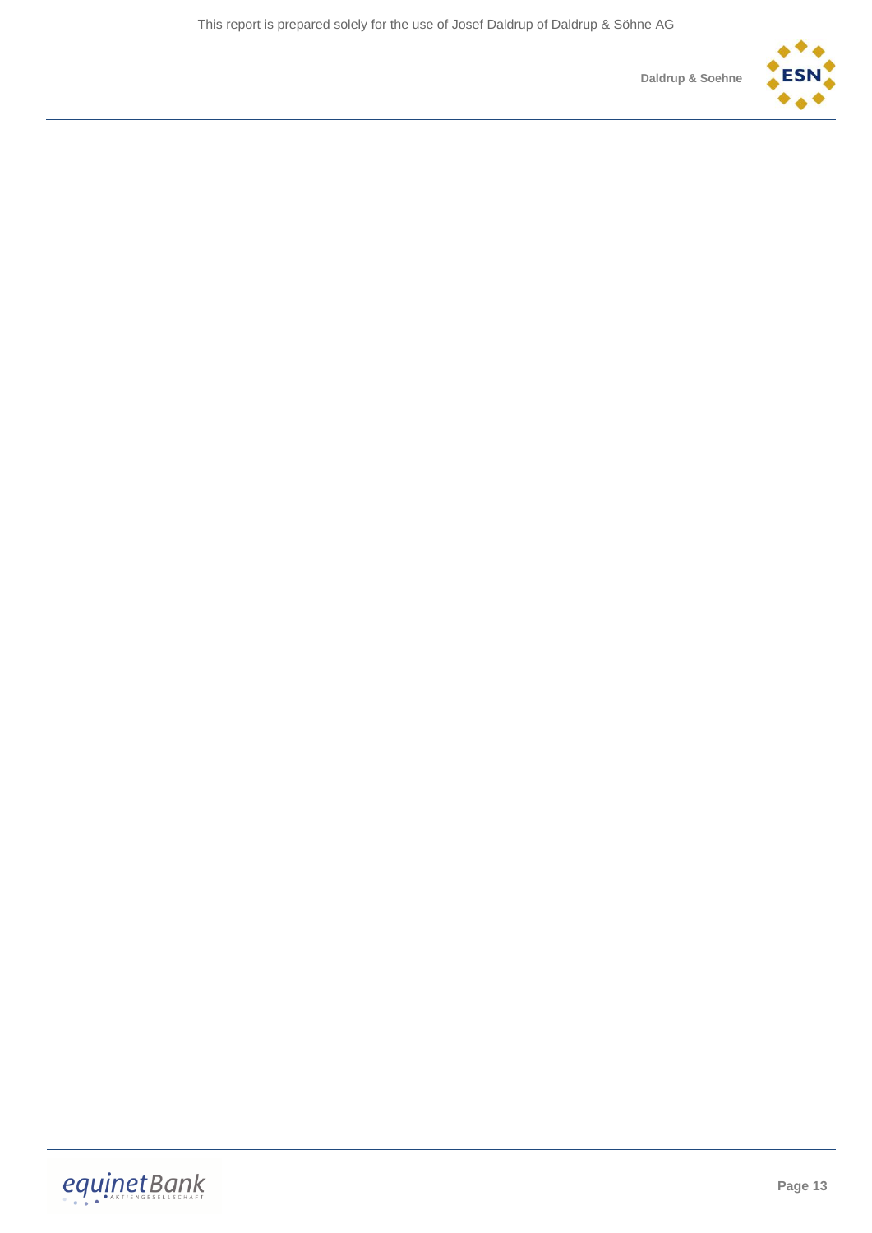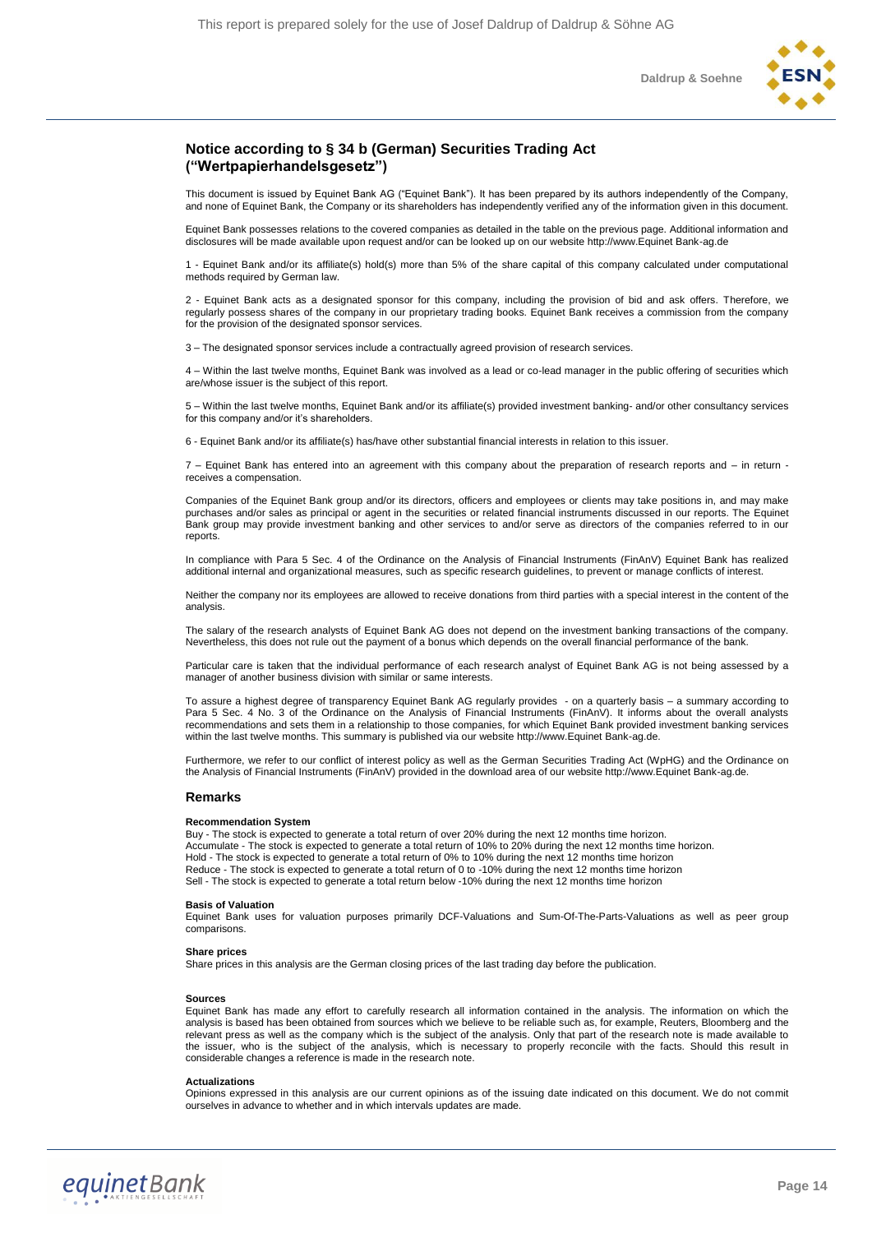

#### **Notice according to § 34 b (German) Securities Trading Act ("Wertpapierhandelsgesetz")**

This document is issued by Equinet Bank AG ("Equinet Bank"). It has been prepared by its authors independently of the Company, and none of Equinet Bank, the Company or its shareholders has independently verified any of the information given in this document.

Equinet Bank possesses relations to the covered companies as detailed in the table on the previous page. Additional information and disclosures will be made available upon request and/or can be looked up on our website http://www.Equinet Bank-ag.de

1 - Equinet Bank and/or its affiliate(s) hold(s) more than 5% of the share capital of this company calculated under computational methods required by German law

2 - Equinet Bank acts as a designated sponsor for this company, including the provision of bid and ask offers. Therefore, we regularly possess shares of the company in our proprietary trading books. Equinet Bank receives a commission from the company for the provision of the designated sponsor services.

3 – The designated sponsor services include a contractually agreed provision of research services.

4 – Within the last twelve months, Equinet Bank was involved as a lead or co-lead manager in the public offering of securities which are/whose issuer is the subject of this report.

5 – Within the last twelve months, Equinet Bank and/or its affiliate(s) provided investment banking- and/or other consultancy services for this company and/or it's shareholders

6 - Equinet Bank and/or its affiliate(s) has/have other substantial financial interests in relation to this issuer.

7 – Equinet Bank has entered into an agreement with this company about the preparation of research reports and – in return receives a compensation.

Companies of the Equinet Bank group and/or its directors, officers and employees or clients may take positions in, and may make purchases and/or sales as principal or agent in the securities or related financial instruments discussed in our reports. The Equinet Bank group may provide investment banking and other services to and/or serve as directors of the companies referred to in our reports.

In compliance with Para 5 Sec. 4 of the Ordinance on the Analysis of Financial Instruments (FinAnV) Equinet Bank has realized additional internal and organizational measures, such as specific research guidelines, to prevent or manage conflicts of interest.

Neither the company nor its employees are allowed to receive donations from third parties with a special interest in the content of the analysis.

The salary of the research analysts of Equinet Bank AG does not depend on the investment banking transactions of the company. Nevertheless, this does not rule out the payment of a bonus which depends on the overall financial performance of the bank.

Particular care is taken that the individual performance of each research analyst of Equinet Bank AG is not being assessed by a manager of another business division with similar or same interests.

To assure a highest degree of transparency Equinet Bank AG regularly provides - on a quarterly basis – a summary according to Para 5 Sec. 4 No. 3 of the Ordinance on the Analysis of Financial Instruments (FinAnV). It informs about the overall analysts recommendations and sets them in a relationship to those companies, for which Equinet Bank provided investment banking services within the last twelve months. This summary is published via our website http://www.Equinet Bank-ag.de.

Furthermore, we refer to our conflict of interest policy as well as the German Securities Trading Act (WpHG) and the Ordinance on the Analysis of Financial Instruments (FinAnV) provided in the download area of our website http://www.Equinet Bank-ag.de.

#### **Remarks**

#### **Recommendation System**

Buy - The stock is expected to generate a total return of over 20% during the next 12 months time horizon. Accumulate - The stock is expected to generate a total return of 10% to 20% during the next 12 months time horizon. Hold - The stock is expected to generate a total return of 0% to 10% during the next 12 months time horizon Reduce - The stock is expected to generate a total return of 0 to -10% during the next 12 months time horizon Sell - The stock is expected to generate a total return below -10% during the next 12 months time horizon

#### **Basis of Valuation**

Equinet Bank uses for valuation purposes primarily DCF-Valuations and Sum-Of-The-Parts-Valuations as well as peer group comparisons.

#### **Share prices**

Share prices in this analysis are the German closing prices of the last trading day before the publication.

#### **Sources**

Equinet Bank has made any effort to carefully research all information contained in the analysis. The information on which the analysis is based has been obtained from sources which we believe to be reliable such as, for example, Reuters, Bloomberg and the relevant press as well as the company which is the subject of the analysis. Only that part of the research note is made available to the issuer, who is the subject of the analysis, which is necessary to properly reconcile with the facts. Should this result in considerable changes a reference is made in the research note.

#### **Actualizations**

Opinions expressed in this analysis are our current opinions as of the issuing date indicated on this document. We do not commit ourselves in advance to whether and in which intervals updates are made.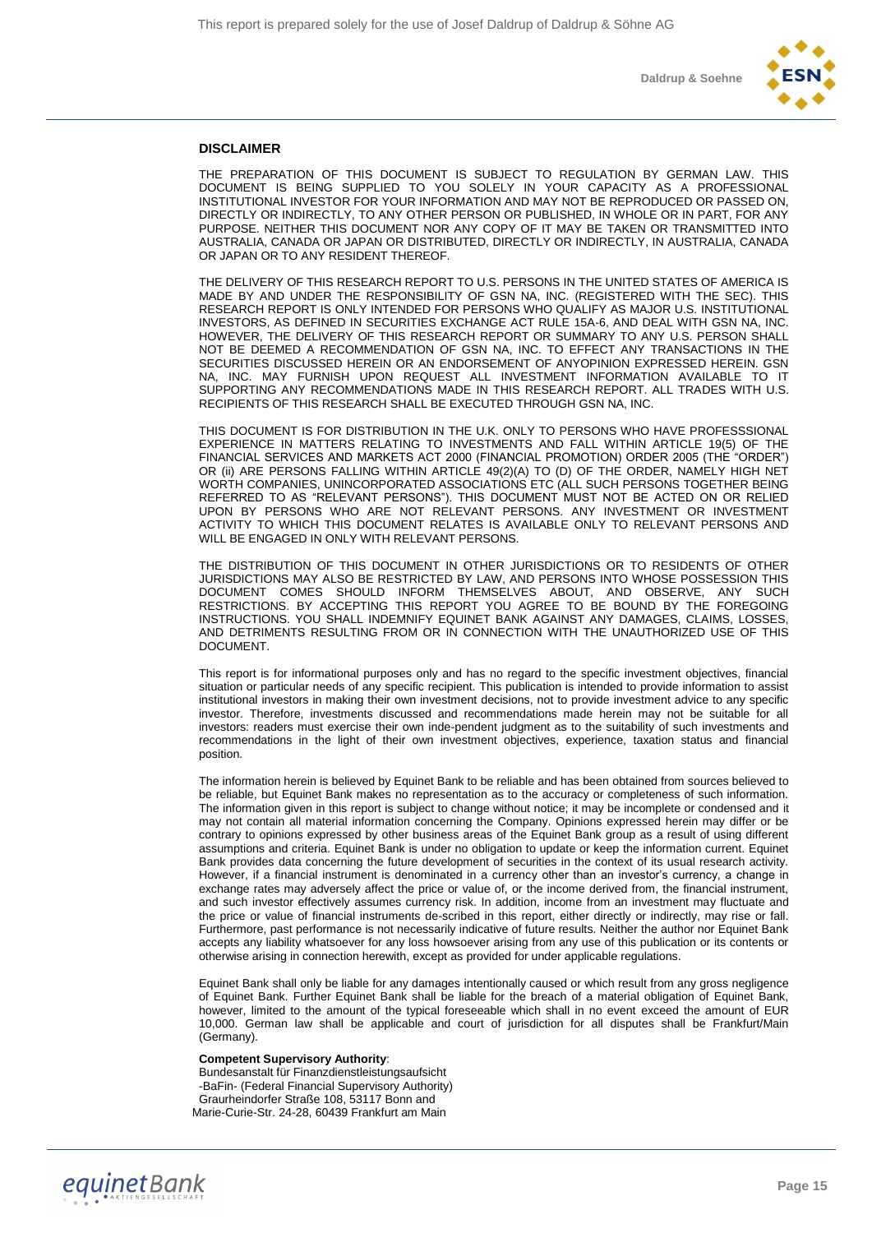

#### **DISCLAIMER**

THE PREPARATION OF THIS DOCUMENT IS SUBJECT TO REGULATION BY GERMAN LAW. THIS DOCUMENT IS BEING SUPPLIED TO YOU SOLELY IN YOUR CAPACITY AS A PROFESSIONAL INSTITUTIONAL INVESTOR FOR YOUR INFORMATION AND MAY NOT BE REPRODUCED OR PASSED ON, DIRECTLY OR INDIRECTLY, TO ANY OTHER PERSON OR PUBLISHED, IN WHOLE OR IN PART, FOR ANY PURPOSE. NEITHER THIS DOCUMENT NOR ANY COPY OF IT MAY BE TAKEN OR TRANSMITTED INTO AUSTRALIA, CANADA OR JAPAN OR DISTRIBUTED, DIRECTLY OR INDIRECTLY, IN AUSTRALIA, CANADA OR JAPAN OR TO ANY RESIDENT THEREOF.

THE DELIVERY OF THIS RESEARCH REPORT TO U.S. PERSONS IN THE UNITED STATES OF AMERICA IS MADE BY AND UNDER THE RESPONSIBILITY OF GSN NA, INC. (REGISTERED WITH THE SEC). THIS RESEARCH REPORT IS ONLY INTENDED FOR PERSONS WHO QUALIFY AS MAJOR U.S. INSTITUTIONAL INVESTORS, AS DEFINED IN SECURITIES EXCHANGE ACT RULE 15A-6, AND DEAL WITH GSN NA, INC. HOWEVER, THE DELIVERY OF THIS RESEARCH REPORT OR SUMMARY TO ANY U.S. PERSON SHALL NOT BE DEEMED A RECOMMENDATION OF GSN NA, INC. TO EFFECT ANY TRANSACTIONS IN THE SECURITIES DISCUSSED HEREIN OR AN ENDORSEMENT OF ANYOPINION EXPRESSED HEREIN. GSN NA, INC. MAY FURNISH UPON REQUEST ALL INVESTMENT INFORMATION AVAILABLE TO IT SUPPORTING ANY RECOMMENDATIONS MADE IN THIS RESEARCH REPORT. ALL TRADES WITH U.S. RECIPIENTS OF THIS RESEARCH SHALL BE EXECUTED THROUGH GSN NA, INC.

THIS DOCUMENT IS FOR DISTRIBUTION IN THE U.K. ONLY TO PERSONS WHO HAVE PROFESSSIONAL EXPERIENCE IN MATTERS RELATING TO INVESTMENTS AND FALL WITHIN ARTICLE 19(5) OF THE FINANCIAL SERVICES AND MARKETS ACT 2000 (FINANCIAL PROMOTION) ORDER 2005 (THE "ORDER") OR (ii) ARE PERSONS FALLING WITHIN ARTICLE 49(2)(A) TO (D) OF THE ORDER, NAMELY HIGH NET WORTH COMPANIES, UNINCORPORATED ASSOCIATIONS ETC (ALL SUCH PERSONS TOGETHER BEING REFERRED TO AS "RELEVANT PERSONS"). THIS DOCUMENT MUST NOT BE ACTED ON OR RELIED UPON BY PERSONS WHO ARE NOT RELEVANT PERSONS. ANY INVESTMENT OR INVESTMENT ACTIVITY TO WHICH THIS DOCUMENT RELATES IS AVAILABLE ONLY TO RELEVANT PERSONS AND WILL BE ENGAGED IN ONLY WITH RELEVANT PERSONS.

THE DISTRIBUTION OF THIS DOCUMENT IN OTHER JURISDICTIONS OR TO RESIDENTS OF OTHER JURISDICTIONS MAY ALSO BE RESTRICTED BY LAW, AND PERSONS INTO WHOSE POSSESSION THIS DOCUMENT COMES SHOULD INFORM THEMSELVES ABOUT, AND OBSERVE, ANY SUCH RESTRICTIONS. BY ACCEPTING THIS REPORT YOU AGREE TO BE BOUND BY THE FOREGOING INSTRUCTIONS. YOU SHALL INDEMNIFY EQUINET BANK AGAINST ANY DAMAGES, CLAIMS, LOSSES, AND DETRIMENTS RESULTING FROM OR IN CONNECTION WITH THE UNAUTHORIZED USE OF THIS DOCUMENT.

This report is for informational purposes only and has no regard to the specific investment objectives, financial situation or particular needs of any specific recipient. This publication is intended to provide information to assist institutional investors in making their own investment decisions, not to provide investment advice to any specific investor. Therefore, investments discussed and recommendations made herein may not be suitable for all investors: readers must exercise their own inde-pendent judgment as to the suitability of such investments and recommendations in the light of their own investment objectives, experience, taxation status and financial position.

The information herein is believed by Equinet Bank to be reliable and has been obtained from sources believed to be reliable, but Equinet Bank makes no representation as to the accuracy or completeness of such information. The information given in this report is subject to change without notice; it may be incomplete or condensed and it may not contain all material information concerning the Company. Opinions expressed herein may differ or be contrary to opinions expressed by other business areas of the Equinet Bank group as a result of using different assumptions and criteria. Equinet Bank is under no obligation to update or keep the information current. Equinet Bank provides data concerning the future development of securities in the context of its usual research activity. However, if a financial instrument is denominated in a currency other than an investor's currency, a change in exchange rates may adversely affect the price or value of, or the income derived from, the financial instrument, and such investor effectively assumes currency risk. In addition, income from an investment may fluctuate and the price or value of financial instruments de-scribed in this report, either directly or indirectly, may rise or fall. Furthermore, past performance is not necessarily indicative of future results. Neither the author nor Equinet Bank accepts any liability whatsoever for any loss howsoever arising from any use of this publication or its contents or otherwise arising in connection herewith, except as provided for under applicable regulations.

Equinet Bank shall only be liable for any damages intentionally caused or which result from any gross negligence of Equinet Bank. Further Equinet Bank shall be liable for the breach of a material obligation of Equinet Bank, however, limited to the amount of the typical foreseeable which shall in no event exceed the amount of EUR 10,000. German law shall be applicable and court of jurisdiction for all disputes shall be Frankfurt/Main (Germany).

#### **Competent Supervisory Authority**:

Bundesanstalt für Finanzdienstleistungsaufsicht -BaFin- (Federal Financial Supervisory Authority) Graurheindorfer Straße 108, 53117 Bonn and Marie-Curie-Str. 24-28, 60439 Frankfurt am Main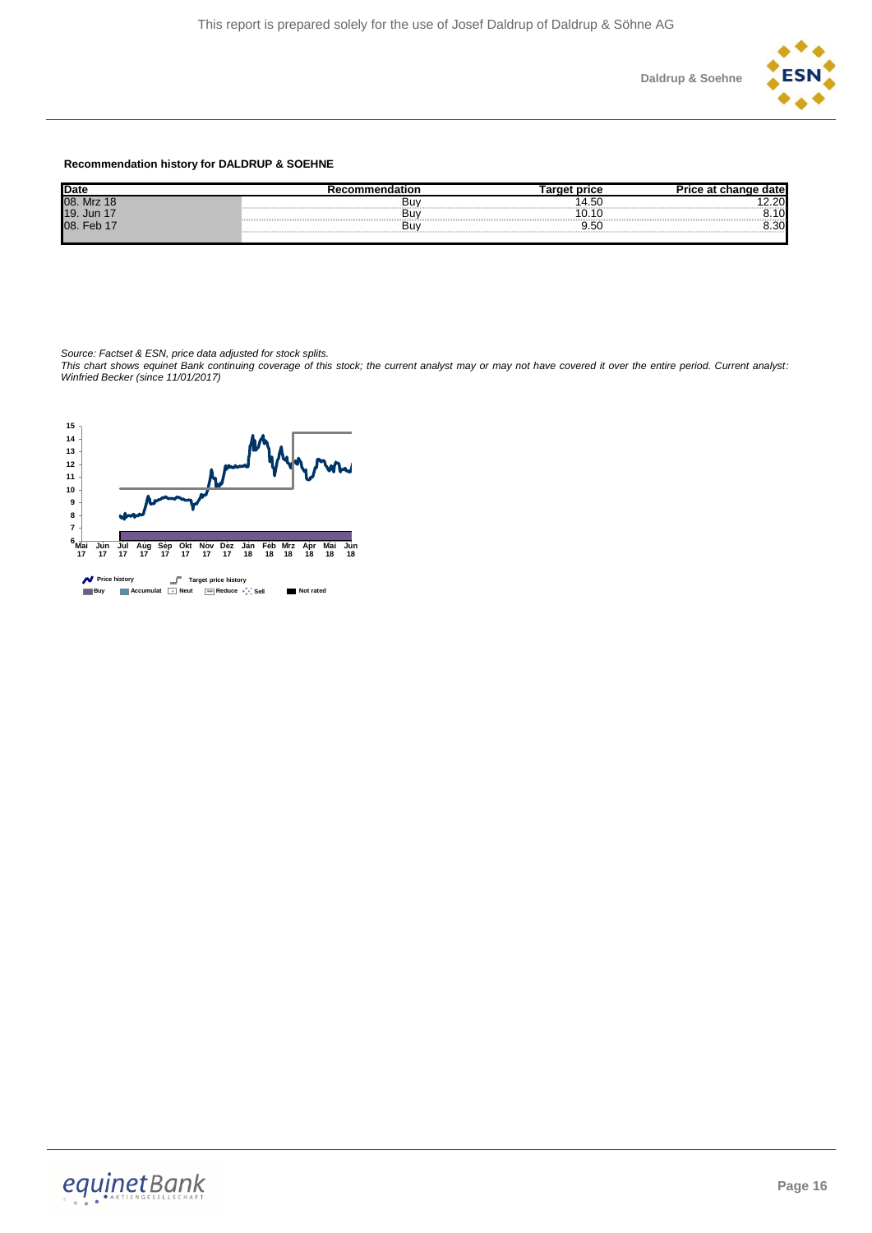

#### **Recommendation history for DALDRUP & SOEHNE**

| <b>IDate</b>  |                                   | price               | late                                       |
|---------------|-----------------------------------|---------------------|--------------------------------------------|
| 08. Mrz 1     | Buv                               | 4.50                | 0.00<br>ے ۔                                |
| 19. Jun 17    | Buv                               | $\sim$<br>. .<br>U. | $\ddot{\phantom{1}}$<br>$\mathbf{u}$<br>J. |
| 08. Feb<br>11 | Buv<br><b>*******************</b> | $  \sim$<br>9.50    | $\sim$                                     |
|               |                                   |                     |                                            |

*Source: Factset & ESN, price data adjusted for stock splits.*

*This chart shows equinet Bank continuing coverage of this stock; the current analyst may or may not have covered it over the entire period. Current analyst: Winfried Becker (since 11/01/2017)*

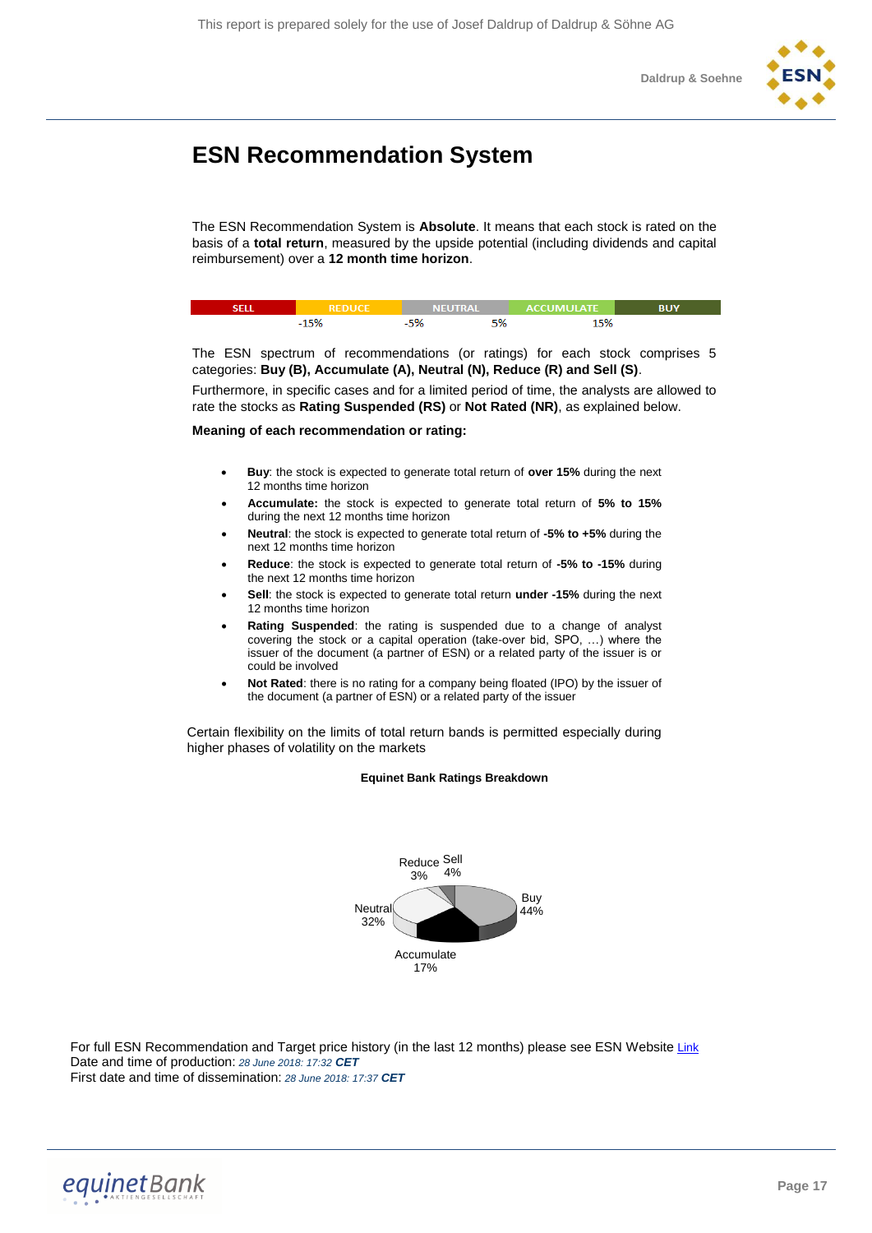

# **ESN Recommendation System**

The ESN Recommendation System is **Absolute**. It means that each stock is rated on the basis of a **total return**, measured by the upside potential (including dividends and capital reimbursement) over a **12 month time horizon**.

| . | NFLITRΔI -  | – ACCUMULATE |  |
|---|-------------|--------------|--|
|   | $-01$<br>70 |              |  |

The ESN spectrum of recommendations (or ratings) for each stock comprises 5 categories: **Buy (B), Accumulate (A), Neutral (N), Reduce (R) and Sell (S)**.

Furthermore, in specific cases and for a limited period of time, the analysts are allowed to rate the stocks as **Rating Suspended (RS)** or **Not Rated (NR)**, as explained below.

#### **Meaning of each recommendation or rating:**

- **Buy**: the stock is expected to generate total return of **over 15%** during the next 12 months time horizon
- **Accumulate:** the stock is expected to generate total return of **5% to 15%** during the next 12 months time horizon
- **Neutral**: the stock is expected to generate total return of **-5% to +5%** during the next 12 months time horizon
- **Reduce**: the stock is expected to generate total return of **-5% to -15%** during the next 12 months time horizon
- **Sell**: the stock is expected to generate total return **under -15%** during the next 12 months time horizon
- **Rating Suspended**: the rating is suspended due to a change of analyst covering the stock or a capital operation (take-over bid, SPO, …) where the issuer of the document (a partner of ESN) or a related party of the issuer is or could be involved
- **Not Rated**: there is no rating for a company being floated (IPO) by the issuer of the document (a partner of ESN) or a related party of the issuer

Certain flexibility on the limits of total return bands is permitted especially during higher phases of volatility on the markets

#### **Equinet Bank Ratings Breakdown**



For full ESN Recommendation and Target price history (in the last 12 months) please see ESN Website [Link](http://www.esnpartnership.eu/research_and_database_access) Date and time of production: *28 June 2018: 17:32 CET* First date and time of dissemination: *28 June 2018: 17:37 CET*